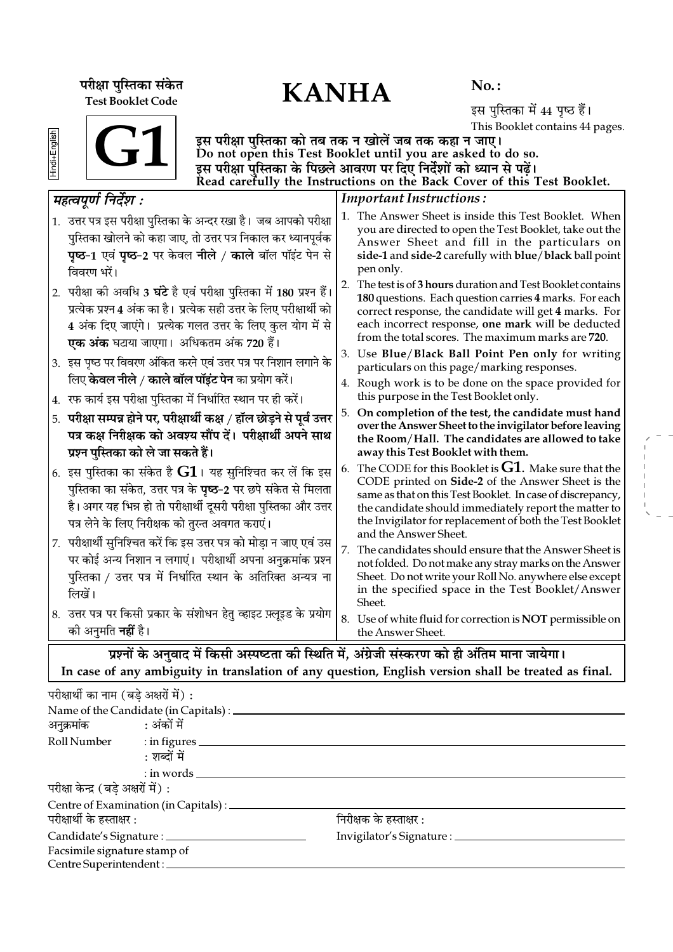परीक्षा पुस्तिका संकेत $\mathbf{KANHA}$ Test Booklet Code

No. :

इस पुस्तिका में 44 पृष्ठ हैं। This Booklet contains 44 pages.

| ळ |  |  |
|---|--|--|
|   |  |  |
|   |  |  |
|   |  |  |

G1

इस परीक्षा पुस्तिका को तब तक न खोलें जब तक कहा न जाए। Do not open this Test Booklet until you are asked to do so. इस परीक्षा पुस्तिका के पिछले आवरण पर दिए निर्देशों को ध्यान से पढ़ें। Read carefully the Instructions on the Back Cover of this Test Booklet.

| महत्वपूर्ण निर्देश :                                                                                                                                                                                                                                                     | <b>Important Instructions:</b>                                                                                                                                                                                                                                                                                                |  |  |  |  |  |  |
|--------------------------------------------------------------------------------------------------------------------------------------------------------------------------------------------------------------------------------------------------------------------------|-------------------------------------------------------------------------------------------------------------------------------------------------------------------------------------------------------------------------------------------------------------------------------------------------------------------------------|--|--|--|--|--|--|
| 1. उत्तर पत्र इस परीक्षा पुस्तिका के अन्दर रखा है। जब आपको परीक्षा<br>पुस्तिका खोलने को कहा जाए, तो उत्तर पत्र निकाल कर ध्यानपूर्वक<br><b>पृष्ठ-1</b> एवं पृष्ठ-2 पर केवल नीले / काले बॉल पॉइंट पेन से<br>विवरण भरें।                                                    | 1. The Answer Sheet is inside this Test Booklet. When<br>you are directed to open the Test Booklet, take out the<br>Answer Sheet and fill in the particulars on<br>side-1 and side-2 carefully with blue/black ball point<br>pen only.                                                                                        |  |  |  |  |  |  |
| 2.  परीक्षा की अवधि 3 <b>घंटे</b> है एवं परीक्षा पुस्तिका में 180 प्रश्न हैं।<br>प्रत्येक प्रश्न 4 अंक का है। प्रत्येक सही उत्तर के लिए परीक्षार्थी को<br>4 अंक दिए जाएंगे।  प्रत्येक गलत उत्तर के लिए कुल योग में से<br><b>एक अंक</b> घटाया जाएगा।  अधिकतम अंक 720 हैं। | 2. The test is of 3 hours duration and Test Booklet contains<br>180 questions. Each question carries 4 marks. For each<br>correct response, the candidate will get 4 marks. For<br>each incorrect response, one mark will be deducted<br>from the total scores. The maximum marks are 720.                                    |  |  |  |  |  |  |
| 3. इस पृष्ठ पर विवरण अंकित करने एवं उत्तर पत्र पर निशान लगाने के<br>लिए <b>केवल नीले / काले बॉल पॉइंट पेन</b> का प्रयोग करें।                                                                                                                                            | 3. Use Blue/Black Ball Point Pen only for writing<br>particulars on this page/marking responses.                                                                                                                                                                                                                              |  |  |  |  |  |  |
| 4. रफ कार्य इस परीक्षा पुस्तिका में निर्धारित स्थान पर ही करें।                                                                                                                                                                                                          | 4. Rough work is to be done on the space provided for<br>this purpose in the Test Booklet only.                                                                                                                                                                                                                               |  |  |  |  |  |  |
| 5. परीक्षा सम्पन्न होने पर, परीक्षार्थी कक्ष / हॉल छोड़ने से पूर्व उत्तर<br>पत्र कक्ष निरीक्षक को अवश्य सौंप दें। परीक्षार्थी अपने साथ<br>प्रश्न पुस्तिका को ले जा सकते हैं।                                                                                             | On completion of the test, the candidate must hand<br>5.<br>over the Answer Sheet to the invigilator before leaving<br>the Room/Hall. The candidates are allowed to take<br>away this Test Booklet with them.                                                                                                                 |  |  |  |  |  |  |
| 6. इस पुस्तिका का संकेत है ${\bf G1}$ । यह सुनिश्चित कर लें कि इस<br>पुस्तिका का संकेत, उत्तर पत्र के <b>पृष्ठ</b> –2 पर छपे संकेत से मिलता<br>है। अगर यह भिन्न हो तो परीक्षार्थी दूसरी परीक्षा पुस्तिका और उत्तर<br>पत्र लेने के लिए निरीक्षक को तुरन्त अवगत कराएं।     | The CODE for this Booklet is $G1$ . Make sure that the<br>6.<br>CODE printed on Side-2 of the Answer Sheet is the<br>same as that on this Test Booklet. In case of discrepancy,<br>the candidate should immediately report the matter to<br>the Invigilator for replacement of both the Test Booklet<br>and the Answer Sheet. |  |  |  |  |  |  |
| 7. परीक्षार्थी सुनिश्चित करें कि इस उत्तर पत्र को मोड़ा न जाए एवं उस<br>पर कोई अन्य निशान न लगाएं।  परीक्षार्थी अपना अनुक्रमांक प्रश्न<br>पुस्तिका / उत्तर पत्र में निर्धारित स्थान के अतिरिक्त अन्यत्र ना<br>लिखें।                                                     | 7.<br>The candidates should ensure that the Answer Sheet is<br>not folded. Do not make any stray marks on the Answer<br>Sheet. Do not write your Roll No. anywhere else except<br>in the specified space in the Test Booklet/Answer<br>Sheet.                                                                                 |  |  |  |  |  |  |
| 8. उत्तर पत्र पर किसी प्रकार के संशोधन हेतु व्हाइट फ़्लूइड के प्रयोग<br>को अनुमति <b>नहीं</b> है।                                                                                                                                                                        | 8. Use of white fluid for correction is NOT permissible on<br>the Answer Sheet.                                                                                                                                                                                                                                               |  |  |  |  |  |  |
| प्रश्नों के अनुवाद में किसी अस्पष्टता की स्थिति में, अंग्रेजी संस्करण को ही अंतिम माना जायेगा।                                                                                                                                                                           |                                                                                                                                                                                                                                                                                                                               |  |  |  |  |  |  |

In case of any ambiguity in translation of any question, English version shall be treated as final.

| परीक्षार्थी का नाम (बडे अक्षरों में) : |                                                |                                 |  |
|----------------------------------------|------------------------------------------------|---------------------------------|--|
|                                        | Name of the Candidate (in Capitals) : ________ |                                 |  |
| अनुक्रमांक : अंकों में                 |                                                |                                 |  |
|                                        | Roll Number : in figures                       |                                 |  |
|                                        | : शब्दों में                                   |                                 |  |
|                                        | $:$ in words $\_\_$                            |                                 |  |
| परीक्षा केन्द्र (बडे अक्षरों में) :    |                                                |                                 |  |
|                                        | Centre of Examination (in Capitals) : _______  |                                 |  |
| परीक्षार्थी के हस्ताक्षर :             |                                                | निरीक्षक के हस्ताक्षर :         |  |
|                                        | Candidate's Signature : __________             | Invigilator's Signature : _____ |  |
| Facsimile signature stamp of           |                                                |                                 |  |
| Centre Superintendent :                |                                                |                                 |  |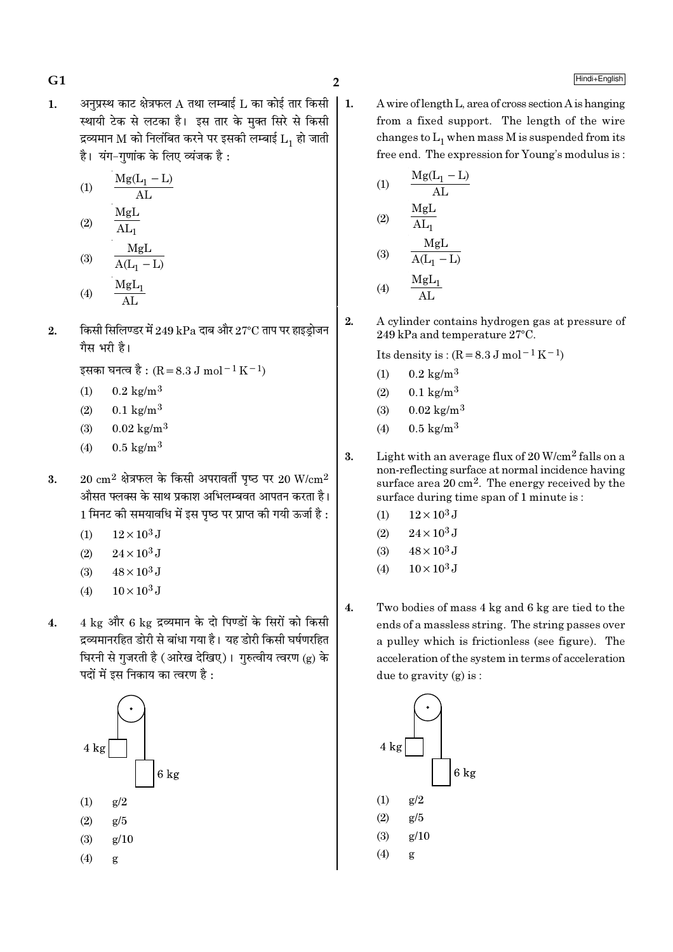अनुप्रस्थ काट क्षेत्रफल  ${\rm A}$  तथा लम्बाई  ${\rm L}$  का कोई तार किसी  $\mathbf{1}$ .  $\perp$  1. स्थायी टेक से लटका है। इस तार के मक्त सिरे से किसी द्रव्यमान M को निलंबित करने पर इसकी लम्बाई  $L_1$  हो जाती है। यंग-गणांक के लिए व्यंजक है:

$$
(1) \qquad \frac{\text{Mg}(L_1 - L)}{\text{AL}}
$$

$$
(2) \qquad \frac{\overline{M_{\rm B}L}}{\overline{M_{\rm I}}} \qquad \qquad
$$

(3) 
$$
\frac{M_5L}{A(L_1 - L)}
$$
  
(4)  $\frac{M_5L_1}{H}$ 

किसी सिलिण्डर में 249 kPa दाब और 27°C ताप पर हाइड़ोजन  $2.$ गैस भरी है।

इसका घनत्व है : (R = 8.3 J mol<sup>-1</sup> K<sup>-1</sup>)

- $(1)$  $0.2 \text{ kg/m}^3$
- $0.1 \text{ kg/m}^3$  $(2)$
- $0.02 \text{ kg/m}^3$  $(3)$
- $0.5 \text{ kg/m}^3$  $(4)$
- $20 \text{ cm}^2$  क्षेत्रफल के किसी अपरावर्ती पुष्ठ पर  $20 \text{ W/cm}^2$ 3. औसत फ्लक्स के साथ प्रकाश अभिलम्बवत आपतन करता है। 1 मिनट की समयावधि में इस पष्ठ पर प्राप्त की गयी ऊर्जा है :
	- $12 \times 10^3$  J  $(1)$
	- $24 \times 10^3$  J  $(2)$
	- $48 \times 10^3$  J  $(3)$
	- $10 \times 10^3$  J  $(4)$
- 4 kg और 6 kg द्रव्यमान के दो पिण्डों के सिरों को किसी  $\overline{4}$ . द्रव्यमानरहित डोरी से बांधा गया है। यह डोरी किसी घर्षणरहित घिरनी से गुजरती है (आरेख देखिए)। गुरुत्वीय त्वरण (g) के पदों में इस निकाय का त्वरण है :



A wire of length L, area of cross section A is hanging from a fixed support. The length of the wire changes to  $L_1$  when mass M is suspended from its free end. The expression for Young's modulus is:

(1) 
$$
\frac{Mg(L_1 - L)}{AL}
$$
  
(2) 
$$
\frac{MgL}{IL}
$$

$$
(3) \quad \frac{\text{Al}_1}{\text{Al}(L_1 - L)}
$$

$$
(4) \qquad \frac{\text{MgL}_1}{\text{AL}}
$$

 $2.$ A cylinder contains hydrogen gas at pressure of 249 kPa and temperature 27°C.

Its density is:  $(R = 8.3 J \text{ mol}^{-1} \text{K}^{-1})$ 

- $0.2 \text{ kg/m}^3$  $(1)$
- $(2)$  $0.1 \text{ kg/m}^3$
- $0.02 \text{ kg/m}^3$  $(3)$
- $0.5 \text{ kg/m}^3$  $(4)$
- 3. Light with an average flux of  $20 \text{ W/cm}^2$  falls on a non-reflecting surface at normal incidence having surface area 20 cm<sup>2</sup>. The energy received by the surface during time span of 1 minute is:
	- $12 \times 10^3$  J  $(1)$
	- $24 \times 10^3$  J  $(2)$
	- $48 \times 10^3$  J  $(3)$
	- $10 \times 10^3$  J  $(4)$
- $4.$ Two bodies of mass 4 kg and 6 kg are tied to the ends of a massless string. The string passes over a pulley which is frictionless (see figure). The acceleration of the system in terms of acceleration due to gravity  $(g)$  is:

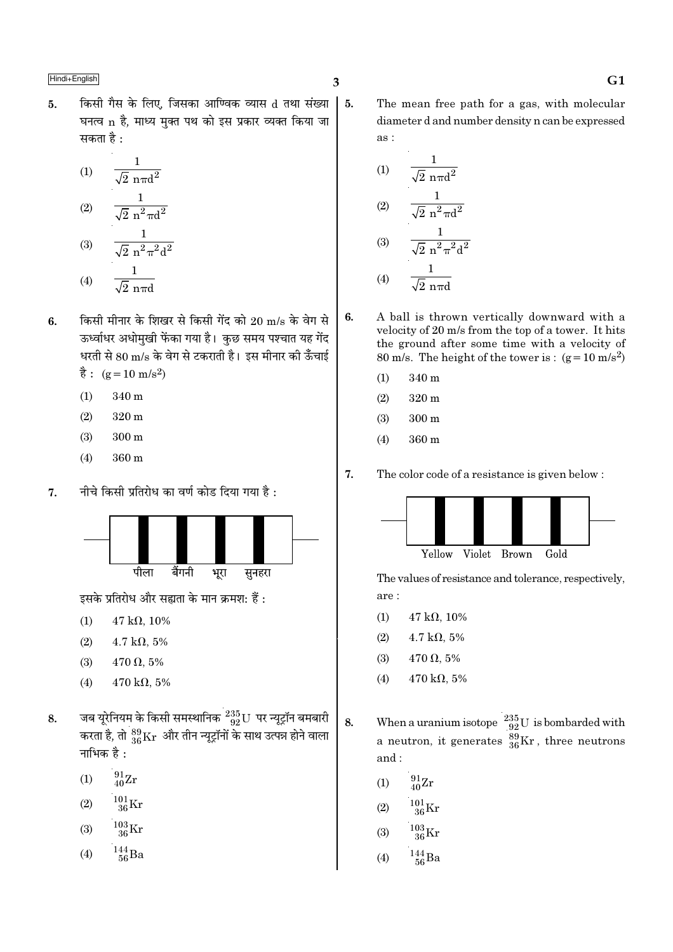किसी गैस के लिए. जिसका आण्विक व्यास d तथा संख्या 5.  $\vert 5.$ घनत्व n है, माध्य मुक्त पथ को इस प्रकार व्यक्त किया जा सकता है :

(1) 
$$
\frac{1}{\sqrt{2} \text{ n} \pi d^2}
$$
  
(2) 
$$
\frac{1}{\sqrt{2} \text{ n}^2 \pi d^2}
$$
  
(3) 
$$
\frac{1}{\sqrt{2} \text{ n}^2 \pi^2 d^2}
$$
  
(4) 
$$
\frac{1}{\sqrt{2} \text{ n}^2 \pi^2 d^2}
$$

- $(4)$  $\sqrt{2}$  nπd
- किसी मीनार के शिखर से किसी गेंद को 20 m/s के वेग से 6. ऊर्ध्वाधर अधोमुखी फेंका गया है। कुछ समय पश्चात यह गेंद धरती से 80 m/s के वेग से टकराती है। इस मीनार की ऊँचाई  $\dot{\vec{g}}$ : (g = 10 m/s<sup>2</sup>)
	- 340 m  $(1)$
	- $(2)$  $320<sub>m</sub>$
	- $(3)$  $300 \text{ m}$
	- $(4)$ 360 m
- नीचे किसी प्रतिरोध का वर्ण कोड दिया गया है :  $\overline{7}$ .



इसके प्रतिरोध और सह्यता के मान क्रमश: हैं :

- $47 \text{ k}\Omega, 10\%$  $(1)$
- $(2)$  $4.7 \text{ k}\Omega, 5\%$
- $470 \Omega, 5\%$  $(3)$
- $(4)$ 470 k $\Omega$ , 5%
- जब यूरेनियम के किसी समस्थानिक  $^{235}_{92}{\rm U}$  पर न्यूट्रॉन बमबारी<br>करता है, तो  $^{89}_{36}{\rm Kr}$  और तीन न्यूट्रॉनों के साथ उत्पन्न होने वाला 8. नाभिक है :
	- $^{91}_{40}Zr$  $(1)$
	- $\frac{101}{36}\rm{Kr}$  $(2)$
	- $\frac{103}{36}\mathrm{Kr}$  $(3)$
	- $\frac{144}{56}$ Ba  $(4)$
- $\overline{\mathbf{3}}$
- The mean free path for a gas, with molecular diameter d and number density n can be expressed as:

(1) 
$$
\frac{1}{\sqrt{2} \text{ n} \pi d^2}
$$
  
\n(2) 
$$
\frac{1}{\sqrt{2} \text{ n}^2 \pi d^2}
$$
  
\n(3) 
$$
\frac{1}{\sqrt{2} \text{ n}^2 \pi^2 d^2}
$$
  
\n(4) 
$$
\frac{1}{\sqrt{2} \text{ n} \pi d}
$$

- A ball is thrown vertically downward with a 6. velocity of 20 m/s from the top of a tower. It hits the ground after some time with a velocity of 80 m/s. The height of the tower is:  $(g=10 \text{ m/s}^2)$ 
	- $(1)$ 340 m
	- $(2)$  $320 \text{ m}$
	- $(3)$  $300<sub>m</sub>$
	- $360 \text{ m}$  $(4)$

7. The color code of a resistance is given below:



The values of resistance and tolerance, respectively, are:

- $47 k\Omega, 10\%$  $(1)$
- $(2)$  $4.7 \text{ k}\Omega, 5\%$
- $470 \Omega, 5\%$  $(3)$
- $470 \text{ k}\Omega, 5\%$  $(4)$
- When a uranium isotope  $\frac{235}{92}U$  is bombarded with<br>a neutron, it generates  $\frac{89}{36}Kr$ , three neutrons 8. and:
	- $^{91}_{40}Zr$  $(1)$
	- $^{101}_{36}\mathrm{Kr}$  $(2)$
	- $^{103}_{26}$ Kr  $(3)$
	- $\frac{144}{56}$ Ba  $(4)$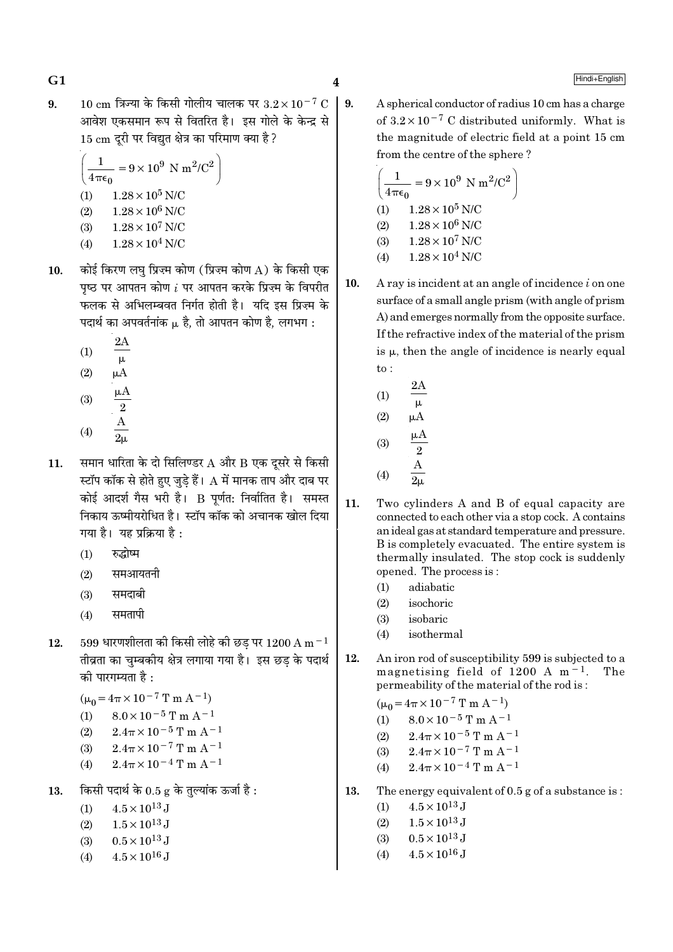10 cm त्रिज्या के किसी गोलीय चालक पर  $3.2 \times 10^{-7}$  C | 9.  $9<sub>1</sub>$ आवेश एकसमान रूप से वितरित है। इस गोले के केन्द्र से 15 cm दुरी पर विद्युत क्षेत्र का परिमाण क्या है ?

$$
\left(\frac{1}{4\pi\epsilon_0} = 9 \times 10^9 \text{ N m}^2/\text{C}^2\right)
$$
  
(1) 1.28×10<sup>5</sup> N/C  
(2) 1.28×10<sup>6</sup> N/C  
(3) 1.28×10<sup>7</sup> N/C  
(4) 1.28×10<sup>4</sup> N/C

- कोई किरण लघ प्रिज्म कोण (प्रिज्म कोण A) के किसी एक  $10.$ पृष्ठ पर आपतन कोण  $i$  पर आपतन करके प्रिज़्म के विपरीत फलक से अभिलम्बवत निर्गत होती है। यदि इस प्रिज्म के पदार्थ का अपवर्तनांक µ है, तो आपतन कोण है, लगभग:
	- $(1)$  $\mu$  $(2)$  $\mu A$  $\mu A$  $(3)$

(4) 
$$
\frac{2}{2\mu}
$$

- समान धारिता के दो सिलिण्डर A और B एक दूसरे से किसी 11. स्टॉप कॉक से होते हुए जुडे हैं।  ${\rm A}$  में मानक ताप और दाब पर कोई आदर्श गैस भरी है। B पूर्णत: निर्वातित है। समस्त निकाय ऊष्मीयरोधित है। स्टॉप कॉक को अचानक खोल दिया गया है। यह प्रक्रिया है:
	- रुद्धोष्म  $(1)$
	- समआयतनी  $(2)$
	- समदाबी  $(3)$
	- समतापी  $(4)$
- $599$  धारणशीलता की किसी लोहे की छड पर  $1200 \text{ A m}^{-1}$ 12. तीव्रता का चुम्बकीय क्षेत्र लगाया गया है। इस छड़ के पदार्थ की पारगम्यता है :

 $(\mu_0 = 4\pi \times 10^{-7}$  T m A<sup>-1</sup>)

(1) 
$$
8.0 \times 10^{-5}
$$
 T m A<sup>-1</sup>

(2) 
$$
2.4\pi \times 10^{-5}
$$
 T m A<sup>-1</sup>

- $(3)$  $2.4\pi \times 10^{-7}$  T m A<sup>-1</sup>
- $(4)$  $2.4\pi \times 10^{-4}$  T m A<sup>-1</sup>
- किसी पदार्थ के 0.5 g के तुल्यांक ऊर्जा है: 13.
	- $4.5 \times 10^{13}$  J  $(1)$
	- $1.5 \times 10^{13}$  J  $(2)$
	- $0.5 \times 10^{13}$  J  $(3)$
	- $4.5 \times 10^{16}$  J  $(4)$

A spherical conductor of radius 10 cm has a charge of  $3.2 \times 10^{-7}$  C distributed uniformly. What is the magnitude of electric field at a point 15 cm from the centre of the sphere?

$$
\left(\frac{1}{4\pi\epsilon_0} = 9 \times 10^9 \text{ N m}^2/\text{C}^2\right)
$$
  
(1) 1.28 × 10<sup>5</sup> N/C  
(2) 1.28 × 10<sup>6</sup> N/C  
(3) 1.28 × 10<sup>7</sup> N/C  
(4) 1.28 × 10<sup>4</sup> N/C

10. A ray is incident at an angle of incidence  $i$  on one surface of a small angle prism (with angle of prism A) and emerges normally from the opposite surface. If the refractive index of the material of the prism is  $\mu$ , then the angle of incidence is nearly equal  $\mathrm{to}$ :

(1) 
$$
\frac{2A}{\mu}
$$
  
\n(2)  $\mu A$   
\n(3)  $\frac{\mu A}{2}$   
\n(4)  $\frac{A}{2\mu}$ 

- $11.$ Two cylinders A and B of equal capacity are connected to each other via a stop cock. A contains an ideal gas at standard temperature and pressure. B is completely evacuated. The entire system is thermally insulated. The stop cock is suddenly opened. The process is:
	- adiabatic  $(1)$
	- $(2)$ isochoric
	- isobaric  $(3)$
	- isothermal  $(4)$
- 12. An iron rod of susceptibility 599 is subjected to a magnetising field of 1200 A  $m<sup>-1</sup>$ . The permeability of the material of the rod is:

 $(\mu_0 = 4\pi \times 10^{-7} \text{ T m A}^{-1})$ 

- $8.0 \times 10^{-5}$  T m A<sup>-1</sup>  $(1)$
- $2.4\pi \times 10^{-5}$  T m A<sup>-1</sup>  $(2)$
- $2.4\pi \times 10^{-7}$  T m A<sup>-1</sup>  $(3)$
- $2.4\pi \times 10^{-4}$  T m A<sup>-1</sup>  $(4)$

13. The energy equivalent of  $0.5$  g of a substance is:

- $4.5 \times 10^{13}$  J  $(1)$
- $1.5 \times 10^{13}$  J  $(2)$
- $0.5 \times 10^{13}$  J  $(3)$
- $4.5 \times 10^{16}$  J  $(4)$

## $G1$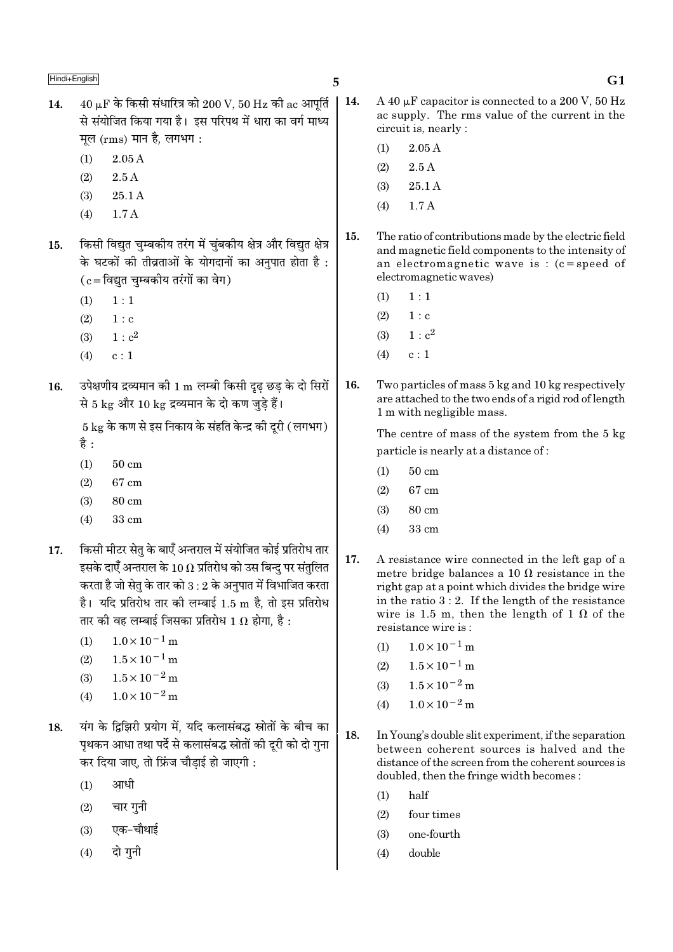- $40 \text{ }\mu\text{F}$  के किसी संधारित्र को  $200 \text{ V}$ .  $50 \text{ Hz}$  की ac आपर्ति  $14.$ से संयोजित किया गया है। इस परिपथ में धारा का वर्ग माध्य मूल (rms) मान है, लगभग:
	- $2.05A$  $(1)$
	- $2.5\,\mathrm{A}$  $(2)$
	- $(3)$  $25.1A$
	- $(4)$  $1.7A$
- किसी विद्युत चुम्बकीय तरंग में चुंबकीय क्षेत्र और विद्युत क्षेत्र 15. के घटकों की तीव्रताओं के योगदानों का अनुपात होता है :  $(c = \overline{a}$ द्युत चुम्बकीय तरंगों का वेग)
	- $1:1$  $(1)$
	- $(2)$  $1 : c$
	- $1 : c<sup>2</sup>$  $(3)$
	- $c:1$  $(4)$
- उपेक्षणीय द्रव्यमान की 1 m लम्बी किसी दुढ छड के दो सिरों 16. से 5 kg और 10 kg द्रव्यमान के दो कण जुड़े हैं।

 $5 \text{ kg}$  के कण से इस निकाय के संहति केन्द्र की दूरी (लगभग)

- है :
- $(1)$  $50 \text{ cm}$
- $(2)$ 67 cm
- $80 \text{ cm}$  $(3)$
- $(4)$ 33 cm
- किसी मीटर सेतु के बाएँ अन्तराल में संयोजित कोई प्रतिरोध तार  $17.$ इसके दाएँ अन्तराल के  $10\,\Omega$  प्रतिरोध को उस बिन्द पर संतुलित करता है जो सेतु के तार को  $3:2$  के अनुपात में विभाजित करता है। यदि प्रतिरोध तार की लम्बाई 1.5 m है, तो इस प्रतिरोध तार की वह लम्बाई जिसका प्रतिरोध 1  $\Omega$  होगा, है :
	- $1.0 \times 10^{-1}$  m  $(1)$
	- $1.5 \times 10^{-1}$  m  $(2)$
	- $1.5 \times 10^{-2}$  m  $(3)$
	- $1.0 \times 10^{-2}$  m  $(4)$
- यंग के दिझिरी प्रयोग में. यदि कलासंबद्ध स्रोतों के बीच का 18. पृथकन आधा तथा पर्दे से कलासंबद्ध स्रोतों की दूरी को दो गुना कर दिया जाए. तो फ्रिंज चौडाई हो जाएगी :
	- $(1)$ आधी
	- चार गुनी  $(2)$
	- एक-चौथाई  $(3)$
	- दो गनी  $(4)$

- $\vert$  14. A 40 uF capacitor is connected to a 200 V, 50 Hz ac supply. The rms value of the current in the circuit is, nearly:
	- $2.05\,\mathrm{A}$  $(1)$

5

- $(2)$  $2.5A$
- 25.1A  $(3)$
- $1.7A$  $(4)$
- $15.$ The ratio of contributions made by the electric field and magnetic field components to the intensity of an electromagnetic wave is :  $(c = speed of$ electromagnetic waves)
	- $(1)$  $1:1$
	- $(2)$  $1 : c$
	- $1: c^2$  $(3)$
	- $(4)$  $c:1$
- 16. Two particles of mass 5 kg and 10 kg respectively are attached to the two ends of a rigid rod of length 1 m with negligible mass.

The centre of mass of the system from the 5 kg particle is nearly at a distance of:

- $50 \text{ cm}$  $(1)$
- 67 cm  $(2)$
- 80 cm  $(3)$
- $(4)$ 33 cm
- 17. A resistance wire connected in the left gap of a metre bridge balances a 10  $\Omega$  resistance in the right gap at a point which divides the bridge wire in the ratio  $3:2$ . If the length of the resistance wire is 1.5 m, then the length of 1  $\Omega$  of the resistance wire is:
	- $1.0 \times 10^{-1}$  m  $(1)$
	- $1.5 \times 10^{-1}$  m  $(2)$
	- $1.5 \times 10^{-2}$  m  $(3)$
	- $1.0 \times 10^{-2}$  m  $(4)$
- 18. In Young's double slit experiment, if the separation between coherent sources is halved and the distance of the screen from the coherent sources is doubled, then the fringe width becomes:
	- $(1)$ half
	- $(2)$ four times
	- $(3)$ one-fourth
	- double  $(4)$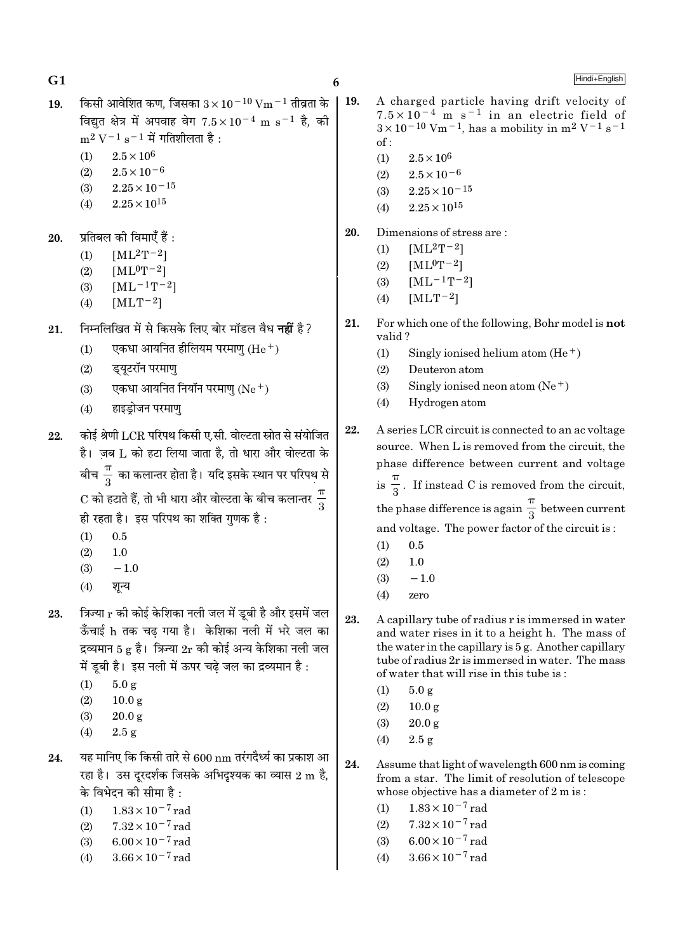$G1$ 

Hindi+English

- किसी आवेशित कण, जिसका  $3 \times 10^{-10}$  Vm  $^{-1}$  तीव्रता के 19. विद्यत क्षेत्र में अपवाह वेग  $7.5 \times 10^{-4}$  m s<sup>-1</sup> है, की  $m^2 V^{-1} s^{-1}$  में गतिशीलता है:
	- $2.5 \times 10^6$  $(1)$
	- $2.5 \times 10^{-6}$  $(2)$
	- $2.25\times10^{-15}$  $(3)$
	- $(4)$  $2.25 \times 10^{15}$
- प्रतिबल की विमाएँ हैं : 20.
	- $[ML^2T^{-2}]$  $(1)$
	- $[ML^0T^{-2}]$  $(2)$
	- $[ML^{-1}T^{-2}]$  $(3)$
	- $[MLT^{-2}]$  $(4)$
- निम्नलिखित में से किसके लिए बोर मॉडल वैध **नहीं** है? 21.
	- एकधा आयनित होलियम परमाण  $(He<sup>+</sup>)$  $(1)$
	- डयटरॉन परमाण  $(2)$
	- एकधा आयनित नियॉन परमाणु  $(Ne<sup>+</sup>)$  $(3)$
	- हाइडोजन परमाण  $(4)$
- कोई श्रेणी LCR परिपथ किसी ए.सी. वोल्टता स्रोत से संयोजित 22. है। जब L को हटा लिया जाता है. तो धारा और वोल्टता के बीच $\frac{\pi}{2}$  का कलान्तर होता है। यदि इसके स्थान पर परिपथ से  $\mathrm{C}$  को हटाते हैं, तो भी धारा और वोल्टता के बीच कलान्तर  $\frac{\pi}{2}$ ही रहता है। इस परिपथ का शक्ति गुणक है :
	- $(1)$  $0.5$
	- $(2)$  $1.0$
	- $(3)$  $-1.0$
	- शून्य  $(4)$
- त्रिज्या r की कोई केशिका नली जल में डूबी है और इसमें जल 23. ऊँचाई h तक चढ गया है। केशिका नली में भरे जल का द्रव्यमान 5 g है। त्रिज्या  $2r$  की कोई अन्य केशिका नली जल में डबी है। इस नली में ऊपर चढे जल का द्रव्यमान है :
	- $5.0 g$  $(1)$
	- $(2)$  $10.0 g$
	- $(3)$  $20.0 g$
	- $(4)$  $2.5g$
- यह मानिए कि किसी तारे से 600 nm तरंगदैर्ध्य का प्रकाश आ 24. रहा है। उस दूरदर्शक जिसके अभिदृश्यक का व्यास 2 m है, के विभेदन की सीमा है :
	- $(1)$  $1.83 \times 10^{-7}$  rad
	- $7.32 \times 10^{-7}$  rad  $(2)$
	- $6.00 \times 10^{-7}$  rad  $(3)$
	- $3.66 \times 10^{-7}$  rad  $(4)$

 $\vert$  19. A charged particle having drift velocity of  $7.5 \times 10^{-4}$  m s<sup>-1</sup> in an electric field of  $3 \times 10^{-10}$  Vm<sup>-1</sup>, has a mobility in m<sup>2</sup> V<sup>-1</sup> s<sup>-1</sup>  $of:$ 

- $(1)$  $2.5 \times 10^6$
- $2.5 \times 10^{-6}$  $(2)$
- $2.25 \times 10^{-15}$  $(3)$
- $2.25 \times 10^{15}$  $(4)$
- 20. Dimensions of stress are:
	- $[ML^2T^{-2}]$  $(1)$
	- $(2)$  $[ML^0T^{-2}]$
	- $[ML^{-1}T^{-2}]$  $(3)$
	- $[MLT-2]$  $(4)$
- 21. For which one of the following, Bohr model is not valid?
	- Singly ionised helium atom  $(He<sup>+</sup>)$  $(1)$
	- $(2)$ Deuteron atom
	- Singly ionised neon atom  $(Ne^+)$  $(3)$
	- $(4)$ Hydrogen atom

22. A series LCR circuit is connected to an ac voltage source. When L is removed from the circuit, the phase difference between current and voltage is  $\frac{\pi}{3}$ . If instead C is removed from the circuit, the phase difference is again  $\frac{\pi}{3}$  between current and voltage. The power factor of the circuit is:

- $(1)$  $0.5$
- $(2)$  $1.0$
- $-1.0$  $(3)$
- $(4)$ zero
- 23. A capillary tube of radius r is immersed in water and water rises in it to a height h. The mass of the water in the capillary is 5 g. Another capillary tube of radius 2r is immersed in water. The mass of water that will rise in this tube is:
	- $(1)$  $5.0 g$
	- $(2)$  $10.0 \text{ g}$
	- $(3)$  $20.0 g$
	- $2.5 g$  $(4)$
- $24.$ Assume that light of wavelength 600 nm is coming from a star. The limit of resolution of telescope whose objective has a diameter of 2 m is:
	- $1.83\times10^{-7}\,\mathrm{rad}$  $(1)$
	- $7.32 \times 10^{-7}$  rad  $(2)$
	- $6.00 \times 10^{-7}$  rad  $(3)$
	- $3.66 \times 10^{-7}$  rad  $(4)$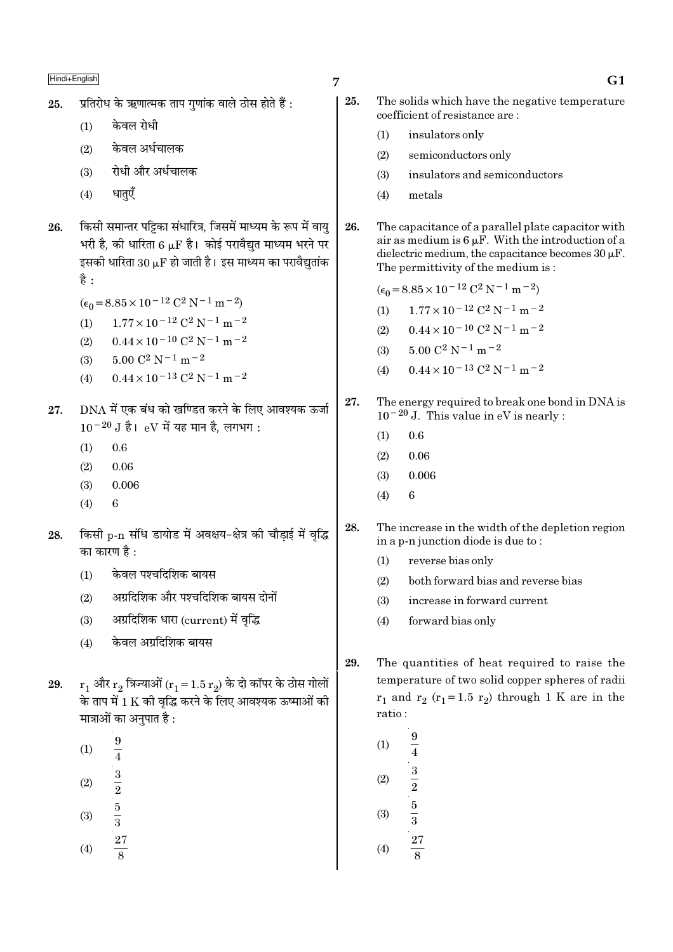- प्रतिरोध के ऋणात्मक ताप गणांक वाले ठोस होते हैं : 25.
	- केवल रोधी  $(1)$
	- केवल अर्धचालक  $(2)$
	- रोधी और अर्धचालक  $(3)$
	- धातएँ  $(4)$
- किसी समान्तर पट्टिका संधारित्र, जिसमें माध्यम के रूप में वाय 26. भरी है. की धारिता 6 LF है। कोई परावैद्यत माध्यम भरने पर इसकी धारिता 30  $\mu$ F हो जाती है। इस माध्यम का परावैद्युतांक है :
	- $(\epsilon_0 = 8.85 \times 10^{-12} \text{ C}^2 \text{ N}^{-1} \text{ m}^{-2})$
	- $1.77 \times 10^{-12}$  C<sup>2</sup> N<sup>-1</sup> m<sup>-2</sup>  $(1)$
	- $0.44 \times 10^{-10}$  C<sup>2</sup> N<sup>-1</sup> m<sup>-2</sup>  $(2)$
	- $5.00 C^2 N^{-1} m^{-2}$  $(3)$
	- $0.44 \times 10^{-13}$  C<sup>2</sup> N<sup>-1</sup> m<sup>-2</sup>  $(4)$
- DNA में एक बंध को खण्डित करने के लिए आवश्यक ऊर्जा 27.  $10^{-20}$  J है। eV में यह मान है. लगभग:
	- $(1)$  $0.6$
	- $(2)$ 0.06
	- $(3)$ 0.006
	- $(4)$  $\overline{6}$
- किसी p-n संधि डायोड में अवक्षय-क्षेत्र की चौड़ाई में वृद्धि 28. का कारण है :
	- केवल पश्चदिशिक बायस  $(1)$
	- अग्रदिशिक और पश्चदिशिक बायस दोनों  $(2)$
	- अग्रदिशिक धारा (current) में वृद्धि  $(3)$
	- केवल अग्रदिशिक बायस  $(4)$
- $r_1$  और  $r_2$  त्रिज्याओं ( $r_1 = 1.5 r_2$ ) के दो कॉपर के ठोस गोलों 29. के ताप में 1 K की वृद्धि करने के लिए आवश्यक ऊष्माओं की मात्राओं का अनपात है :
	- $\boldsymbol{9}$  $(1)$  $(2)$
	- $(3)$
	- $\frac{1}{4}$ <br> $\frac{3}{2}$ <br> $\frac{5}{3}$ <br> $\frac{27}{8}$  $(4)$

7

- 25. The solids which have the negative temperature coefficient of resistance are:  $(1)$ insulators only  $(2)$ semiconductors only  $(3)$ insulators and semiconductors metals  $(4)$ 26. The capacitance of a parallel plate capacitor with air as medium is  $6 \mu$ F. With the introduction of a dielectric medium, the capacitance becomes  $30 \mu$ F. The permittivity of the medium is:  $(\epsilon_0 = 8.85 \times 10^{-12} \text{ C}^2 \text{ N}^{-1} \text{ m}^{-2})$  $1.77 \times 10^{-12}$  C<sup>2</sup> N<sup>-1</sup> m<sup>-2</sup>  $(1)$  $0.44 \times 10^{-10}$  C<sup>2</sup> N<sup>-1</sup> m<sup>-2</sup>  $(2)$  $5.00 \text{ C}^2 \text{ N}^{-1} \text{ m}^{-2}$  $(3)$  $0.44 \times 10^{-13}$  C<sup>2</sup> N<sup>-1</sup> m<sup>-2</sup>  $(4)$ 27. The energy required to break one bond in DNA is  $10^{-20}$  J. This value in eV is nearly:  $(1)$  $0.6\,$  $(2)$ 0.06 0.006  $(3)$  $(4)$  $\mathbf{6}$ 28. The increase in the width of the depletion region in a p-n junction diode is due to:  $(1)$ reverse bias only  $(2)$ both forward bias and reverse bias increase in forward current  $(3)$ forward bias only  $(4)$ 29. The quantities of heat required to raise the temperature of two solid copper spheres of radii  $r_1$  and  $r_2$  ( $r_1$ =1.5  $r_2$ ) through 1 K are in the ratio:  $(1)$ 
	- $\overline{4}$  $\frac{3}{2}$   $\frac{5}{3}$  $(2)$  $(3)$

 $(4)$ 

 $\overline{27}$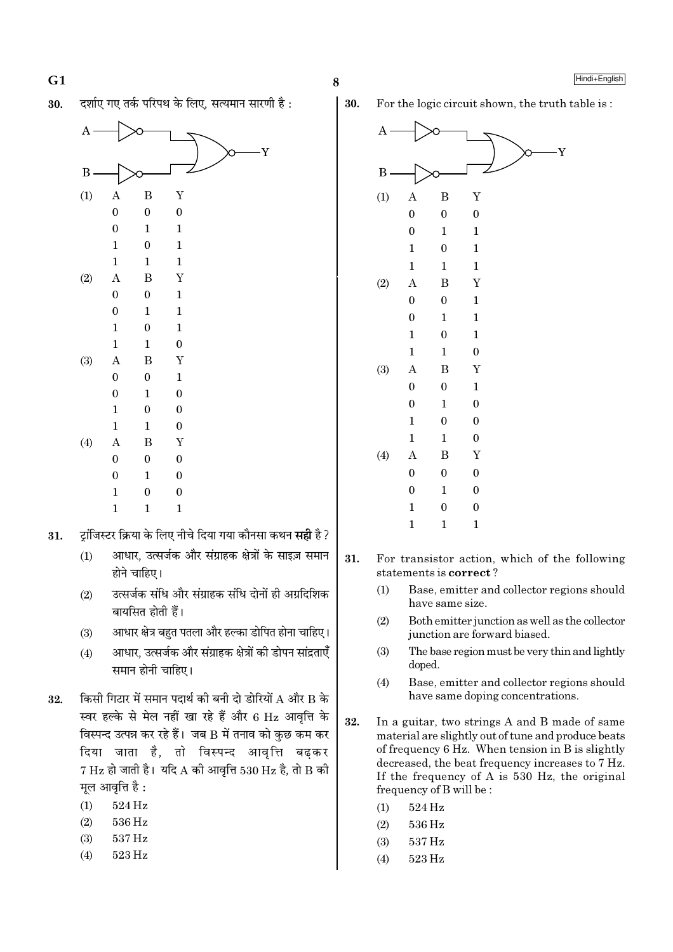दर्शाए गए तर्क परिपथ के लिए. सत्यमान सारणी है : 30.



- ट़ॉजिस्टर क्रिया के लिए नीचे दिया गया कौनसा कथन **सही** है ? 31.
	- आधार, उत्सर्जक और संग्राहक क्षेत्रों के साइज़ समान  $(1)$ होने चाहिए।
	- उत्सर्जक संधि और संग्राहक संधि दोनों ही अग्रदिशिक  $(2)$ बायसित होती हैं।
	- आधार क्षेत्र बहुत पतला और हल्का डोपित होना चाहिए।  $(3)$
	- आधार, उत्सर्जक और संग्राहक क्षेत्रों की डोपन सांद्रताएँ  $(4)$ समान होनी चाहिए।
- किसी गिटार में समान पदार्थ की बनी दो डोरियों  $\rm A$  और  $\rm B$  के 32. स्वर हल्के से मेल नहीं खा रहे हैं और 6 Hz आवृत्ति के विस्पन्द उत्पन्न कर रहे हैं। जब B में तनाव को कुछ कम कर दिया जाता है, तो विस्पन्द आवृत्ति बढ़कर  $7 \text{ Hz}$  हो जाती है। यदि A की आवत्ति 530 Hz है, तो B की मुल आवृत्ति है:
	- $524\,\mathrm{Hz}$  $(1)$
	- $(2)$ 536 Hz
	- 537 Hz  $(3)$
	- $(4)$ 523 Hz

30. For the logic circuit shown, the truth table is:



- 31. For transistor action, which of the following statements is correct?
	- Base, emitter and collector regions should  $(1)$ have same size.
	- Both emitter junction as well as the collector  $(2)$ junction are forward biased.
	- The base region must be very thin and lightly  $(3)$ doped.
	- $(4)$ Base, emitter and collector regions should have same doping concentrations.
- 32. In a guitar, two strings A and B made of same material are slightly out of tune and produce beats of frequency 6 Hz. When tension in B is slightly decreased, the beat frequency increases to 7 Hz. If the frequency of A is  $530$  Hz, the original frequency of B will be:
	- 524 Hz  $(1)$
	- 536 Hz  $(2)$
	- $(3)$ 537 Hz
	- $(4)$ 523 Hz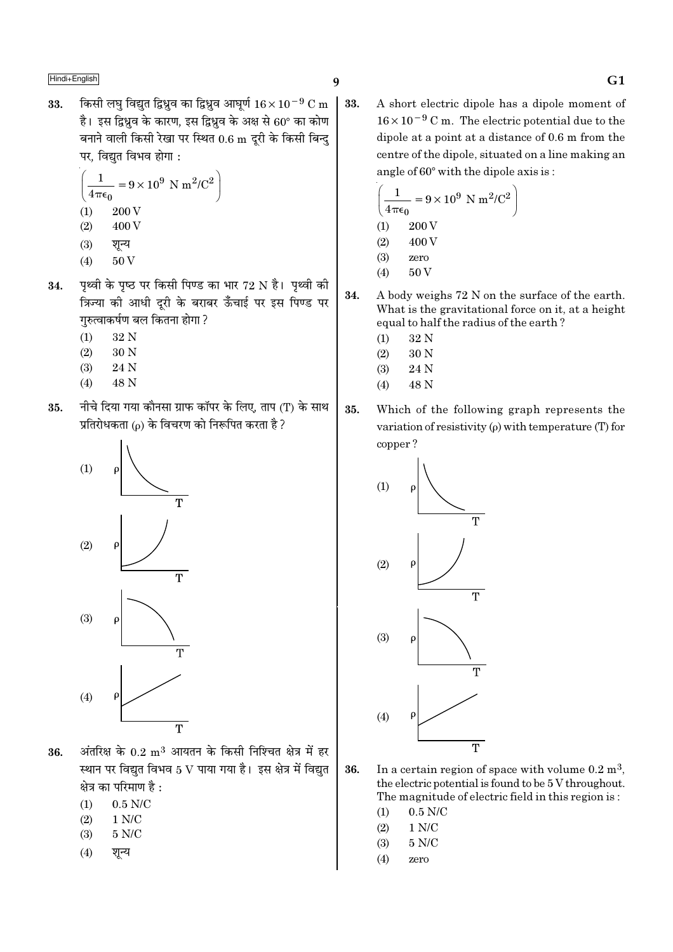किसी लघु विद्युत द्विध्नुव का द्विध्नुव आघुर्ण  $16 \times 10^{-9}$  C m  $\,$  33. 33. है। इस द्विध्रव के कारण, इस द्विध्रव के अक्ष से 60° का कोण बनाने वाली किसी रेखा पर स्थित 0.6 m दूरी के किसी बिन्दु पर, विद्युत विभव होगा :

$$
\left(\frac{1}{4\pi\epsilon_0} = 9 \times 10^9 \text{ N m}^2/\text{C}^2\right)
$$
  
(1) 200 V  
(2) 400 V  
(3)  $\overline{R}$ 

- पृथ्वी के पृष्ठ पर किसी पिण्ड का भार 72 N है। पृथ्वी की 34. गरुत्वाकर्षण बल कितना होगा ?
	- 32 N  $(1)$
	- $(2)$  $30<sub>N</sub>$
	- $(3)$ 24 N
	- 48 N  $(4)$
- नीचे दिया गया कौनसा ग्राफ कॉपर के लिए, ताप (T) के साथ 35. प्रतिरोधकता (o) के विचरण को निरूपित करता है ?



- अंतरिक्ष के  $0.2\; \rm m^3$  आयतन के किसी निश्चित क्षेत्र में हर 36. स्थान पर विद्युत विभव 5 V पाया गया है। इस क्षेत्र में विद्युत क्षेत्र का परिमाण है :
	- $0.5$  N/C  $(1)$
	- $(2)$  $1 N/C$
	- $5$  N/C  $\,$  $(3)$
	- शन्य  $(4)$

A short electric dipole has a dipole moment of  $16 \times 10^{-9}$  C m. The electric potential due to the dipole at a point at a distance of 0.6 m from the centre of the dipole, situated on a line making an angle of 60° with the dipole axis is:

$$
\left(\frac{1}{4\pi\epsilon_0} = 9 \times 10^9 \text{ N m}^2/\text{C}^2\right)
$$
  
(1) 200 V  
(2) 400 V  
(3) zero  
(4) 50 V

- 34. A body weighs 72 N on the surface of the earth. What is the gravitational force on it, at a height equal to half the radius of the earth?
	- $(1)$ 32 N
	- $(2)$ 30 N
	- $(3)$ 24 N
	- $(4)$ 48 N
- 35. Which of the following graph represents the variation of resistivity  $(\rho)$  with temperature (T) for copper?



- In a certain region of space with volume  $0.2 \text{ m}^3$ , 36. the electric potential is found to be 5 V throughout. The magnitude of electric field in this region is:
	- $(1)$  $0.5$  N/C
	- $(2)$  $1 N/C$
	- $5 N/C$  $(3)$
	- $(4)$ zero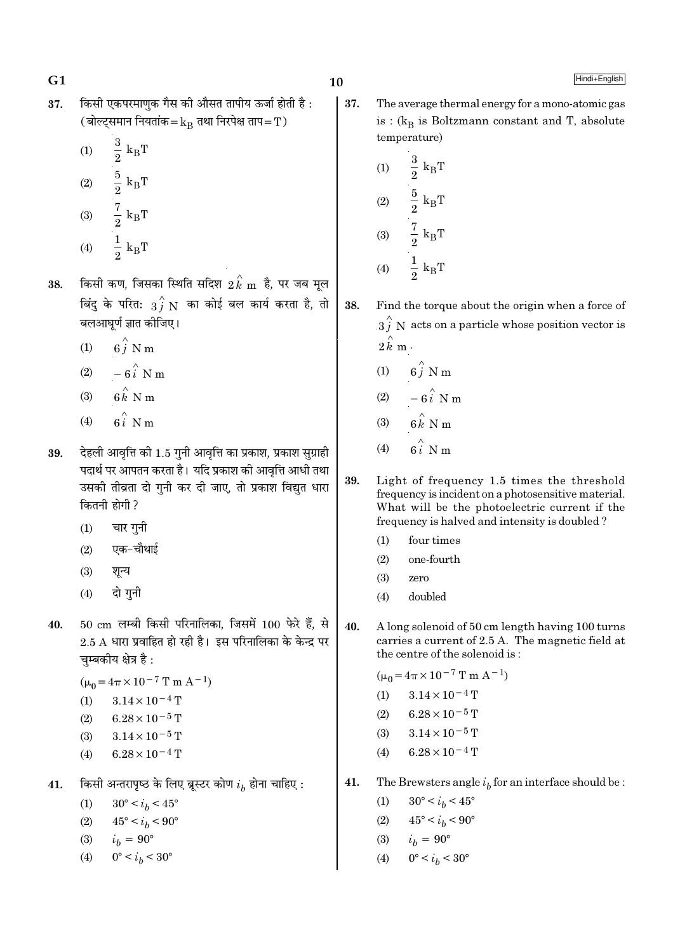किसी एकपरमाणुक गैस की औसत तापीय ऊर्जा होती है: 37. (बोल्ट्समान नियतांक= $k_B$  तथा निरपेक्ष ताप=T)

(1) 
$$
\frac{3}{2} k_{B}T
$$
  
\n(2)  $\frac{5}{2} k_{B}T$   
\n(3)  $\frac{7}{2} k_{B}T$   
\n(4)  $\frac{1}{2} k_{B}T$ 

- किसी कण, जिसका स्थिति सदिश  $2\, {\overset{\wedge}{k}}$  m है, पर जब मूल 38. बिंदु के परित:  $\overrightarrow{3f} \textrm{ N}$  का कोई बल कार्य करता है, तो बलआघर्ण ज्ञात कीजिए।
	- $6\hat{j}$  N m  $(1)$
	- $-6\hat{i}$  N m  $(2)$
	- $6 \overset{\wedge}{k}$  N m  $(3)$
	- $\hat{\mathbf{g}}_i \overset{\wedge}{\sim} \mathbf{N}$  m  $(4)$
- देहली आवत्ति की 1.5 गनी आवत्ति का प्रकाश, प्रकाश सग्राही 39. पदार्थ पर आपतन करता है। यदि प्रकाश की आवृत्ति आधी तथा उसकी तीव्रता दो गुनी कर दी जाए, तो प्रकाश विद्युत धारा कितनी होगी ?
	- चार गुनी  $(1)$
	- एक–चौथाई  $(2)$
	- $(3)$ शून्य
	- दो गुनी  $(4)$
- $50 \text{ cm}$  लम्बी किसी परिनालिका, जिसमें  $100 \text{ }\hat{ }$ रे हैं, से 40.  $2.5$  A धारा प्रवाहित हो रही है। इस परिनालिका के केन्द्र पर चम्बकीय क्षेत्र है:

$$
(\mu_0 = 4\pi \times 10^{-7} \text{ T m A}^{-1})
$$

$$
(1) \qquad 3.14 \times 10^{-4} \,\mathrm{T}
$$

- $6.28 \times 10^{-5}$  T  $(2)$
- $3.14 \times 10^{-5}$  T  $(3)$
- $6.28 \times 10^{-4}$  T  $(4)$
- किसी अन्तरापृष्ठ के लिए ब्रूस्टर कोण  $i_h$  होना चाहिए : 41.

 $30^{\circ} < i_h < 45^{\circ}$  $(1)$ 

- $(2)$  $45^{\circ} < i_h < 90^{\circ}$
- $i_h = 90^{\circ}$  $(3)$
- $0^{\circ} < i_h < 30^{\circ}$  $(4)$

37. The average thermal energy for a mono-atomic gas is :  $(k_R)$  is Boltzmann constant and T, absolute temperature)

(1) 
$$
\frac{3}{2} k_{B}T
$$
  
\n(2)  $\frac{5}{2} k_{B}T$   
\n(3)  $\frac{7}{2} k_{B}T$   
\n(4)  $\frac{1}{2} k_{B}T$ 

- 38. Find the torque about the origin when a force of  $3\hat{j}$  N acts on a particle whose position vector is  $2\hat{k}$  m.
	- $6i$  N m  $(1)$
	- $(2)$
	- $(3)$
	- $(4)$
- 39. Light of frequency 1.5 times the threshold frequency is incident on a photosensitive material. What will be the photoelectric current if the frequency is halved and intensity is doubled?
	- $(1)$ four times
	- $(2)$ one-fourth
	- $(3)$ zero
	- $(4)$ doubled
- $40.$ A long solenoid of 50 cm length having 100 turns carries a current of 2.5 A. The magnetic field at the centre of the solenoid is:

 $(\mu_0 = 4\pi \times 10^{-7} \text{ T m A}^{-1})$  $3.14 \times 10^{-4}$  T  $(1)$ 

- $6.28 \times 10^{-5}$  T  $(2)$
- $(3)$  $3.14 \times 10^{-5}$  T
- $6.28 \times 10^{-4}$  T  $(4)$
- 41. The Brewsters angle  $i_h$  for an interface should be :
	- $(1)$  $30^{\circ} < i_b < 45^{\circ}$
	- $45^{\circ} < i_h < 90^{\circ}$  $(2)$
	- (3)  $i_b = 90^\circ$
	- $0^{\circ} < i_h < 30^{\circ}$  $(4)$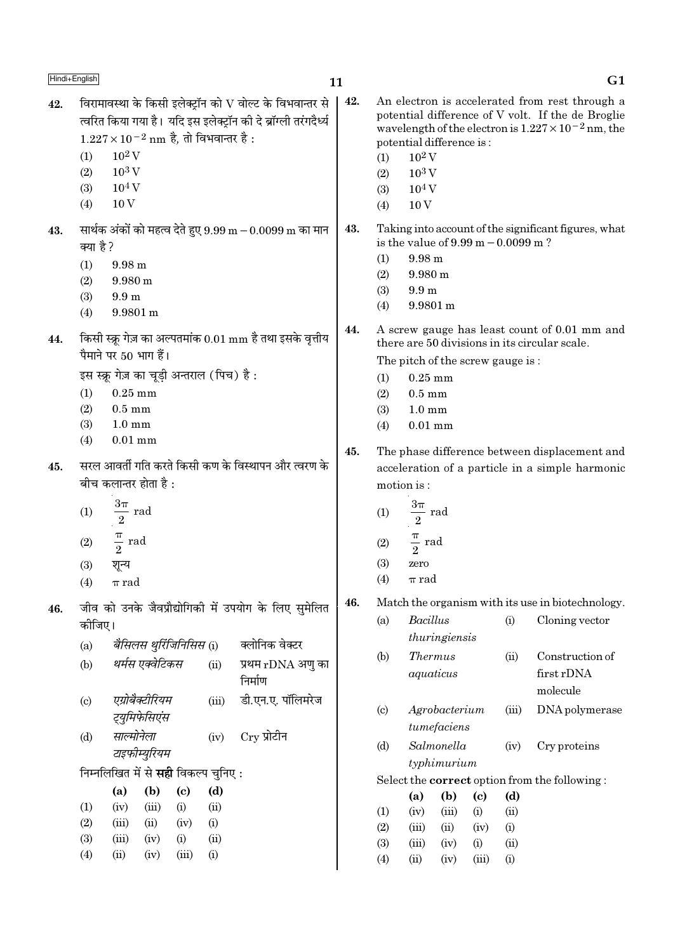42.

 $\vert$  42.

 $G1$ 

An electron is accelerated from rest through a

potential difference of V volt. If the de Broglie

|     | (1)<br>(2)<br>(3)<br>(4)   | $10^2\,\rm{V}$<br>$10^3$ V<br>$10^4$ V<br>10 <sub>V</sub> |                                  |                                    | $1.227 \times 10^{-2}$ nm है, तो विभवान्तर है : | त्वारत किया गया है। याद इस इलक्ट्रान का द ब्राग्ला तरंगदेव्य |     | (1)<br>(2)<br>(3)<br>(4) | potential difference is:<br>$10^2$ V<br>$10^3$ V<br>$10^4$ V<br>10 <sub>V</sub> |               |                             |                                                       | wavelength of the electron is $1.227 \times 10^{-2}$ nm, the                                  |  |
|-----|----------------------------|-----------------------------------------------------------|----------------------------------|------------------------------------|-------------------------------------------------|--------------------------------------------------------------|-----|--------------------------|---------------------------------------------------------------------------------|---------------|-----------------------------|-------------------------------------------------------|-----------------------------------------------------------------------------------------------|--|
| 43. | क्या है ?                  |                                                           |                                  |                                    |                                                 | सार्थक अंकों को महत्व देते हुए 9.99 m $-$ 0.0099 m का मान    | 43. |                          |                                                                                 |               |                             | is the value of $9.99 \text{ m} - 0.0099 \text{ m}$ ? | Taking into account of the significant figures, what                                          |  |
|     | (1)                        | $9.98 \text{ m}$                                          |                                  |                                    |                                                 |                                                              |     | (1)                      | $9.98 \text{ m}$<br>$9.980 \text{ m}$                                           |               |                             |                                                       |                                                                                               |  |
|     | (2)                        | $9.980 \text{ m}$                                         |                                  |                                    |                                                 |                                                              |     | (2)<br>(3)               | 9.9 <sub>m</sub>                                                                |               |                             |                                                       |                                                                                               |  |
|     | (3)                        | 9.9 <sub>m</sub>                                          |                                  |                                    |                                                 |                                                              |     | (4)                      | $9.9801 \text{ m}$                                                              |               |                             |                                                       |                                                                                               |  |
|     | (4)                        | 9.9801 m                                                  |                                  |                                    |                                                 |                                                              |     |                          |                                                                                 |               |                             |                                                       |                                                                                               |  |
| 44. |                            |                                                           | पैमाने पर 50 भाग हैं।            |                                    |                                                 | किसी स्क्रू गेज़ का अल्पतमांक 0.01 mm है तथा इसके वृत्तीय    | 44. |                          |                                                                                 |               |                             |                                                       | A screw gauge has least count of 0.01 mm and<br>there are 50 divisions in its circular scale. |  |
|     |                            |                                                           |                                  |                                    |                                                 |                                                              |     |                          |                                                                                 |               |                             | The pitch of the screw gauge is:                      |                                                                                               |  |
|     |                            |                                                           |                                  |                                    | इस स्क्रू गेज़ का चूड़ी अन्तराल (पिच) है:       |                                                              |     | (1)                      | $0.25$ mm                                                                       |               |                             |                                                       |                                                                                               |  |
|     | (1)                        | $0.25$ mm<br>$0.5 \text{ mm}$                             |                                  |                                    |                                                 |                                                              |     | (2)                      | $0.5 \text{ mm}$                                                                |               |                             |                                                       |                                                                                               |  |
|     | (2)<br>(3)                 | $1.0 \text{ mm}$                                          |                                  |                                    |                                                 |                                                              |     | (3)                      | $1.0 \text{ mm}$<br>$0.01$ mm                                                   |               |                             |                                                       |                                                                                               |  |
|     | (4)                        | $0.01$ mm                                                 |                                  |                                    |                                                 |                                                              |     | (4)                      |                                                                                 |               |                             |                                                       |                                                                                               |  |
|     |                            |                                                           |                                  |                                    |                                                 |                                                              | 45. |                          |                                                                                 |               |                             |                                                       | The phase difference between displacement and                                                 |  |
| 45. |                            |                                                           |                                  |                                    |                                                 | सरल आवर्ती गति करते किसी कण के विस्थापन और त्वरण के          |     |                          |                                                                                 |               |                             |                                                       | acceleration of a particle in a simple harmonic                                               |  |
|     |                            |                                                           | बीच कलान्तर होता है :            |                                    |                                                 |                                                              |     |                          | motion is:                                                                      |               |                             |                                                       |                                                                                               |  |
|     | (1)                        | $\frac{3\pi}{2}$ rad                                      |                                  |                                    |                                                 |                                                              |     | (1)                      | $\frac{3\pi}{2}$ rad                                                            |               |                             |                                                       |                                                                                               |  |
|     | (2)                        | $rac{\pi}{2}$ rad                                         |                                  |                                    |                                                 |                                                              |     | (2)                      | $\frac{\pi}{2}$ rad                                                             |               |                             |                                                       |                                                                                               |  |
|     | (3)                        | शून्य                                                     |                                  |                                    |                                                 |                                                              |     | (3)                      | zero                                                                            |               |                             |                                                       |                                                                                               |  |
|     | (4)                        | $\pi$ rad                                                 |                                  |                                    |                                                 |                                                              |     | (4)                      | $\pi$ rad                                                                       |               |                             |                                                       |                                                                                               |  |
| 46. |                            |                                                           |                                  |                                    |                                                 | जीव को उनके जैवप्रौद्योगिकी में उपयोग के लिए सुमेलित         | 46. |                          |                                                                                 |               |                             |                                                       | Match the organism with its use in biotechnology.                                             |  |
|     | कीजिए।                     |                                                           |                                  |                                    |                                                 |                                                              |     | (a)                      | <b>Bacillus</b>                                                                 |               |                             | (i)                                                   | Cloning vector                                                                                |  |
|     |                            |                                                           |                                  |                                    |                                                 | क्लोनिक वेक्टर                                               |     |                          |                                                                                 | thuringiensis |                             |                                                       |                                                                                               |  |
|     | (a)                        |                                                           | बैसिलस थुर्रिजिनिसिस (i)         |                                    |                                                 |                                                              |     | (b)                      | <b>Thermus</b>                                                                  |               |                             | (ii)                                                  | Construction of                                                                               |  |
|     | (b)                        |                                                           | थर्मस एक्वेटिकस                  |                                    | (ii)                                            | प्रथम rDNA अणु का<br>निर्माण                                 |     |                          |                                                                                 | aquaticus     |                             |                                                       | first rDNA<br>molecule                                                                        |  |
|     | $\left( \mathrm{c}\right)$ |                                                           | एग्रोबैक्टीरियम<br>ट्युमिफेसिएंस |                                    | (iii)                                           | डी.एन.ए. पॉलिमरेज                                            |     | (c)                      |                                                                                 | Agrobacterium |                             | (iii)                                                 | DNA polymerase                                                                                |  |
|     | (d)                        | साल्मोनेला                                                |                                  |                                    | (iv)                                            | $Cry$ प्रोटीन                                                |     |                          |                                                                                 | tumefaciens   |                             |                                                       |                                                                                               |  |
|     |                            |                                                           | टाइफीम्युरियम                    |                                    |                                                 |                                                              |     | (d)                      |                                                                                 | Salmonella    |                             | (iv)                                                  | Cry proteins                                                                                  |  |
|     |                            |                                                           |                                  |                                    | निम्नलिखित में से <b>सही</b> विकल्प चुनिए:      |                                                              |     |                          |                                                                                 | typhimurium   |                             |                                                       |                                                                                               |  |
|     |                            |                                                           |                                  |                                    |                                                 |                                                              |     |                          |                                                                                 |               |                             |                                                       | Select the correct option from the following:                                                 |  |
|     | (1)                        | (a)<br>(iv)                                               | (b)<br>(iii)                     | $\left( \mathbf{c} \right)$<br>(i) | (d)<br>(ii)                                     |                                                              |     |                          | (a)                                                                             | (b)           | $\left( \mathbf{c} \right)$ | (d)                                                   |                                                                                               |  |
|     | (2)                        | (iii)                                                     | (ii)                             | (iv)                               | (i)                                             |                                                              |     | (1)                      | (iv)                                                                            | (iii)         | (i)                         | (ii)                                                  |                                                                                               |  |
|     | (3)                        | (iii)                                                     | (iv)                             | (i)                                | (ii)                                            |                                                              |     | (2)                      | (iii)                                                                           | (ii)          | (iv)                        | (i)                                                   |                                                                                               |  |
|     | (4)                        | (ii)                                                      | (iv)                             | (iii)                              | (i)                                             |                                                              |     | (3)                      | (iii)                                                                           | (iv)          | (i)                         | (ii)                                                  |                                                                                               |  |
|     |                            |                                                           |                                  |                                    |                                                 |                                                              |     | (4)                      | (ii)                                                                            | (iv)          | (iii)                       | (i)                                                   |                                                                                               |  |
|     |                            |                                                           |                                  |                                    |                                                 |                                                              |     |                          |                                                                                 |               |                             |                                                       |                                                                                               |  |

विरामावस्था के किसी इलेक्ट्रॉन को  ${\rm V}$  वोल्ट के विभवान्तर से

त्वरित किया गया है। यदि इस इलेक्ट्रॉन की दे ब्रॉग्ली तरंगदैर्ध्य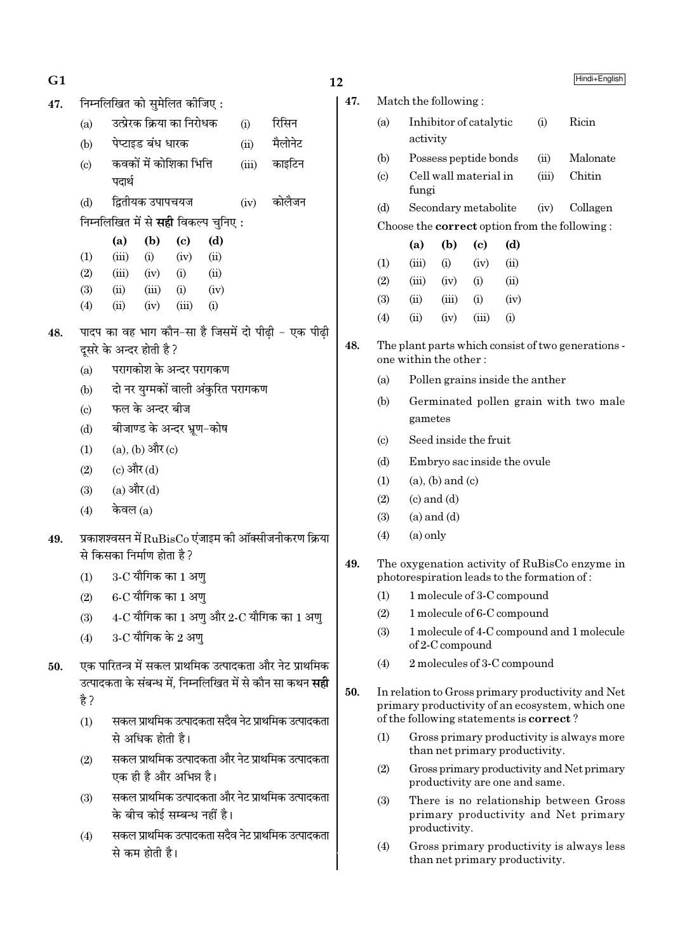| G1  |                            |                                                                        |                   |                             |                                    |       |                                                                                  |  |  |
|-----|----------------------------|------------------------------------------------------------------------|-------------------|-----------------------------|------------------------------------|-------|----------------------------------------------------------------------------------|--|--|
| 47. |                            | निम्नलिखित को सुमेलित कीजिए:                                           |                   |                             |                                    |       |                                                                                  |  |  |
|     | (a)                        |                                                                        |                   | उत्प्रेरक क्रिया का निरोधक  |                                    | (i)   | रिसिन                                                                            |  |  |
|     | (b)                        |                                                                        | पेप्टाइड बंध धारक |                             |                                    | (ii)  | मैलोनेट                                                                          |  |  |
|     | $\left( \mathrm{c}\right)$ |                                                                        |                   | कवकों में कोशिका भित्ति     |                                    | (iii) | काइटिन                                                                           |  |  |
|     |                            | पदार्थ                                                                 |                   |                             |                                    |       |                                                                                  |  |  |
|     | (d)                        |                                                                        | द्वितीयक उपापचयज  |                             |                                    |       | (iv) कोलैजन                                                                      |  |  |
|     |                            | निम्नलिखित में से <b>सही</b> विकल्प चुनिए :                            |                   |                             |                                    |       |                                                                                  |  |  |
|     |                            | (a)                                                                    | (b)               | $\left( \mathrm{c}\right)$  | (d)                                |       |                                                                                  |  |  |
|     | (1)                        |                                                                        |                   | $(iii)$ $(i)$ $(iv)$        | (ii)                               |       |                                                                                  |  |  |
|     | (2)                        | $(iii)$ $(iv)$ $(i)$                                                   |                   |                             | (ii)                               |       |                                                                                  |  |  |
|     | (3)                        | $(ii)$ $(iii)$ $(i)$                                                   |                   |                             | (iv)                               |       |                                                                                  |  |  |
|     | (4)                        | (ii)                                                                   | (iv)              | (iii)                       | (i)                                |       |                                                                                  |  |  |
| 48. |                            |                                                                        |                   |                             |                                    |       | पादप का वह भाग कौन-सा है जिसमें दो पीढ़ी – एक पीढ़ी                              |  |  |
|     |                            | दूसरे के अन्दर होती है ?                                               |                   |                             |                                    |       |                                                                                  |  |  |
|     | (a)                        |                                                                        |                   | परागकोश के अन्दर परागकण     |                                    |       |                                                                                  |  |  |
|     | (b)                        |                                                                        |                   |                             | दो नर युग्मकों वाली अंकुरित परागकण |       |                                                                                  |  |  |
|     | $\left( \mathrm{c}\right)$ |                                                                        | फल के अन्दर बीज   |                             |                                    |       |                                                                                  |  |  |
|     | (d)                        |                                                                        |                   | बीजाण्ड के अन्दर भ्रूण-कोष  |                                    |       |                                                                                  |  |  |
|     |                            | $(1)$ (a), (b) और (c)                                                  |                   |                             |                                    |       |                                                                                  |  |  |
|     |                            | (2) (c) और (d)                                                         |                   |                             |                                    |       |                                                                                  |  |  |
|     |                            | (3) (a) और (d)                                                         |                   |                             |                                    |       |                                                                                  |  |  |
|     | (4)                        | केवल $(a)$                                                             |                   |                             |                                    |       |                                                                                  |  |  |
| 49. |                            |                                                                        |                   |                             |                                    |       | प्रकाशश्वसन में $\mathrm{RuBisCo}$ एंजाइम की ऑक्सीजनीकरण क्रिया                  |  |  |
|     |                            | से किसका निर्माण होता है ?                                             |                   |                             |                                    |       |                                                                                  |  |  |
|     | (1)                        |                                                                        |                   | 3-C यौगिक का 1 अण्          |                                    |       |                                                                                  |  |  |
|     | (2)                        |                                                                        |                   | 6-C यौगिक का 1 अणु          |                                    |       |                                                                                  |  |  |
|     | (3)                        |                                                                        |                   |                             |                                    |       | $4\text{-}\mathrm{C}$ यौगिक का $1$ अणु और $2\text{-}\mathrm{C}$ यौगिक का $1$ अणु |  |  |
|     | (4)                        |                                                                        |                   | 3-C यौगिक के 2 अण्          |                                    |       |                                                                                  |  |  |
| 50. |                            |                                                                        |                   |                             |                                    |       | एक पारितन्त्र में सकल प्राथमिक उत्पादकता और नेट प्राथमिक                         |  |  |
|     |                            |                                                                        |                   |                             |                                    |       | उत्पादकता के संबन्ध में, निम्नलिखित में से कौन सा कथन <b>सही</b>                 |  |  |
|     | है ?                       |                                                                        |                   |                             |                                    |       |                                                                                  |  |  |
|     | (1)                        |                                                                        |                   |                             |                                    |       |                                                                                  |  |  |
|     |                            | सकल प्राथमिक उत्पादकता सदैव नेट प्राथमिक उत्पादकता<br>से अधिक होती है। |                   |                             |                                    |       |                                                                                  |  |  |
|     | (2)                        | सकल प्राथमिक उत्पादकता और नेट प्राथमिक उत्पादकता                       |                   |                             |                                    |       |                                                                                  |  |  |
|     |                            |                                                                        |                   | एक ही है और अभिन्न है।      |                                    |       |                                                                                  |  |  |
|     | (3)                        |                                                                        |                   |                             |                                    |       | सकल प्राथमिक उत्पादकता और नेट प्राथमिक उत्पादकता                                 |  |  |
|     |                            |                                                                        |                   | के बीच कोई सम्बन्ध नहीं है। |                                    |       |                                                                                  |  |  |
|     | (4)                        |                                                                        |                   |                             |                                    |       | सकल प्राथमिक उत्पादकता सदैव नेट प्राथमिक उत्पादकता                               |  |  |
|     |                            |                                                                        |                   |                             | से कम होती है।                     |       |                                                                                  |  |  |

|                             |                                                    |                         |       |                                                 |       | Hindi+English                                                                                        |  |  |
|-----------------------------|----------------------------------------------------|-------------------------|-------|-------------------------------------------------|-------|------------------------------------------------------------------------------------------------------|--|--|
|                             | Match the following:                               |                         |       |                                                 |       |                                                                                                      |  |  |
| (a)                         | Ricin<br>Inhibitor of catalytic<br>(i)<br>activity |                         |       |                                                 |       |                                                                                                      |  |  |
| (b)                         |                                                    | Possess peptide bonds   |       |                                                 | (ii)  | Malonate                                                                                             |  |  |
| $\left( \mathrm{c} \right)$ | fungi                                              | Cell wall material in   |       |                                                 | (iii) | Chitin                                                                                               |  |  |
| (d)                         |                                                    | Secondary metabolite    |       |                                                 | (iv)  | Collagen                                                                                             |  |  |
|                             |                                                    |                         |       |                                                 |       | Choose the <b>correct</b> option from the following:                                                 |  |  |
|                             | (a)                                                | (b)                     | (c)   | (d)                                             |       |                                                                                                      |  |  |
| (1)                         | (iii)                                              | (i)                     | (iv)  | (ii)                                            |       |                                                                                                      |  |  |
| (2)                         | (iii)                                              | (iv)                    | (i)   | (ii)                                            |       |                                                                                                      |  |  |
| (3)                         | (ii)                                               | (iii)                   | (i)   | (iv)                                            |       |                                                                                                      |  |  |
| (4)                         | (ii)                                               | (iv)                    | (iii) | (i)                                             |       |                                                                                                      |  |  |
|                             |                                                    | one within the other:   |       |                                                 |       | The plant parts which consist of two generations -                                                   |  |  |
| (a)                         |                                                    |                         |       | Pollen grains inside the anther                 |       |                                                                                                      |  |  |
| (b)                         |                                                    |                         |       |                                                 |       | Germinated pollen grain with two male                                                                |  |  |
|                             | gametes                                            |                         |       |                                                 |       |                                                                                                      |  |  |
| $\left( \circ \right)$      | Seed inside the fruit                              |                         |       |                                                 |       |                                                                                                      |  |  |
| (d)                         |                                                    |                         |       | Embryo sac inside the ovule                     |       |                                                                                                      |  |  |
| (1)                         |                                                    | $(a)$ , $(b)$ and $(c)$ |       |                                                 |       |                                                                                                      |  |  |
| (2)                         | $(c)$ and $(d)$                                    |                         |       |                                                 |       |                                                                                                      |  |  |
| (3)                         | $(a)$ and $(d)$                                    |                         |       |                                                 |       |                                                                                                      |  |  |
| (4)                         | $(a)$ only                                         |                         |       |                                                 |       |                                                                                                      |  |  |
|                             |                                                    |                         |       |                                                 |       | The oxygenation activity of RuBisCo enzyme in<br>photorespiration leads to the formation of:         |  |  |
| (1)                         |                                                    |                         |       | 1 molecule of 3-C compound                      |       |                                                                                                      |  |  |
| (2)                         |                                                    |                         |       | 1 molecule of 6-C compound                      |       |                                                                                                      |  |  |
| (3)                         |                                                    | of 2-C compound         |       |                                                 |       | 1 molecule of 4-C compound and 1 molecule                                                            |  |  |
| (4)                         |                                                    |                         |       | 2 molecules of 3-C compound                     |       |                                                                                                      |  |  |
|                             |                                                    |                         |       | of the following statements is <b>correct</b> ? |       | In relation to Gross primary productivity and Net<br>primary productivity of an ecosystem, which one |  |  |
| $\left(1\right)$            |                                                    |                         |       | than net primary productivity.                  |       | Gross primary productivity is always more                                                            |  |  |
| (2)                         |                                                    |                         |       | productivity are one and same.                  |       | Gross primary productivity and Net primary                                                           |  |  |
| (3)                         |                                                    | productivity.           |       |                                                 |       | There is no relationship between Gross<br>primary productivity and Net primary                       |  |  |

 $12$ 

47.

48.

49.

50.

Gross primary productivity is always less<br>than net primary productivity.  $(4)$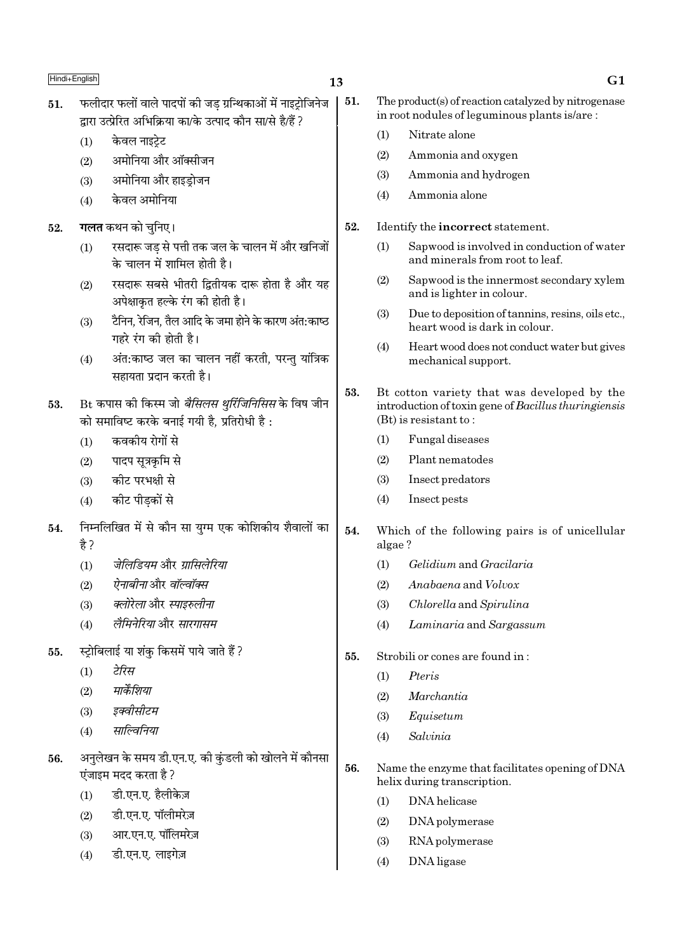- फलीदार फलों वाले पादपों की जड ग्रन्थिकाओं में नाइटोजिनेज 51. द्रारा उत्प्रेरित अभिक्रिया का/के उत्पाद कौन सा/से है/हैं ?
	- केवल नाइटेट  $(1)$
	- अमोनिया और ऑक्सीजन  $(2)$
	- अमोनिया और हाइडोजन  $(3)$
	- केवल अमोनिया  $(4)$

#### **गलत** कथन को चनिए। 52.

- रसदारू जड से पत्ती तक जल के चालन में और खनिजों  $(1)$ के चालन में शामिल होती है।
- रसदारू सबसे भीतरी द्वितीयक दारू होता है और यह  $(2)$ अपेक्षाकृत हल्के रंग की होती है।
- टैनिन, रेजिन, तैल आदि के जमा होने के कारण अंत:काष्ठ  $(3)$ गहरे रंग की होती है।
- अंत:काष्ठ जल का चालन नहीं करती, परन्तु यांत्रिक  $(4)$ सहायता प्रदान करती है।

- कवकीय रोगों से  $(1)$
- पादप सूत्रकृमि से  $(2)$
- कीट परभक्षी से  $(3)$
- $(4)$ कीट पीड़कों से
- निम्नलिखित में से कौन सा युग्म एक कोशिकीय शैवालों का  $54.$ हे ?
	- जेलिडियम और ग्रासिलेरिया  $(1)$
	- ऐनाबीना और वॉल्वॉक्स  $(2)$
	- क्लोरेला और स्पाइरुलीना  $(3)$
	- लैमिनेरिया और सारगासम  $(4)$
- स्ट्रोबिलाई या शंकु किसमें पाये जाते हैं? 55.
	- टेरिस  $(1)$
	- मार्केशिया  $(2)$
	- इक्वीसीटम  $(3)$
	- साल्विनिया  $(4)$
- अनलेखन के समय डी.एन.ए. की कुंडली को खोलने में कौनसा 56. एंजाइम मदद करता है ?
	- डी.एन.ए. हैलीकेज़  $(1)$
	- डी.एन.ए. पॉलीमरेज़  $(2)$
	- आर.एन.ए. पॉलिमरेज़  $(3)$
	- डी.एन.ए. लाइगेज़  $(4)$
- The product(s) of reaction catalyzed by nitrogenase in root nodules of leguminous plants is/are:
	- $(1)$ Nitrate alone
	- $(2)$ Ammonia and oxygen
	- Ammonia and hydrogen  $(3)$
	- Ammonia alone  $(4)$
- Identify the incorrect statement. 52.
	- Sapwood is involved in conduction of water  $(1)$ and minerals from root to leaf.
	- $(2)$ Sapwood is the innermost secondary xylem and is lighter in colour.
	- $(3)$ Due to deposition of tannins, resins, oils etc., heart wood is dark in colour.
	- $(4)$ Heart wood does not conduct water but gives mechanical support.
- 53. Bt cotton variety that was developed by the introduction of toxin gene of Bacillus thuringiensis  $(Bt)$  is resistant to:
	- Fungal diseases  $(1)$
	- Plant nematodes  $(2)$
	- $(3)$ Insect predators
	- $(4)$ Insect pests
- $54.$ Which of the following pairs is of unicellular algae?
	- Gelidium and Gracilaria  $(1)$
	- $(2)$ Anabaena and Volvox
	- Chlorella and Spirulina  $(3)$
	- Laminaria and Sargassum  $(4)$
- 55. Strobili or cones are found in:
	- Pteris  $(1)$
	- $(2)$ Marchantia
	- $(3)$ Equisetum
	- Salvinia  $(4)$
- 56. Name the enzyme that facilitates opening of DNA helix during transcription.
	- DNA helicase  $(1)$
	- $(2)$ DNA polymerase
	- $(3)$ RNA polymerase
	- DNA ligase  $(4)$

51.

Bt कपास की किस्म जो *बैसिलस थुर्रिजिनिसिस* के विष जीन 53. को समाविष्ट करके बनाई गयी है. प्रतिरोधी है: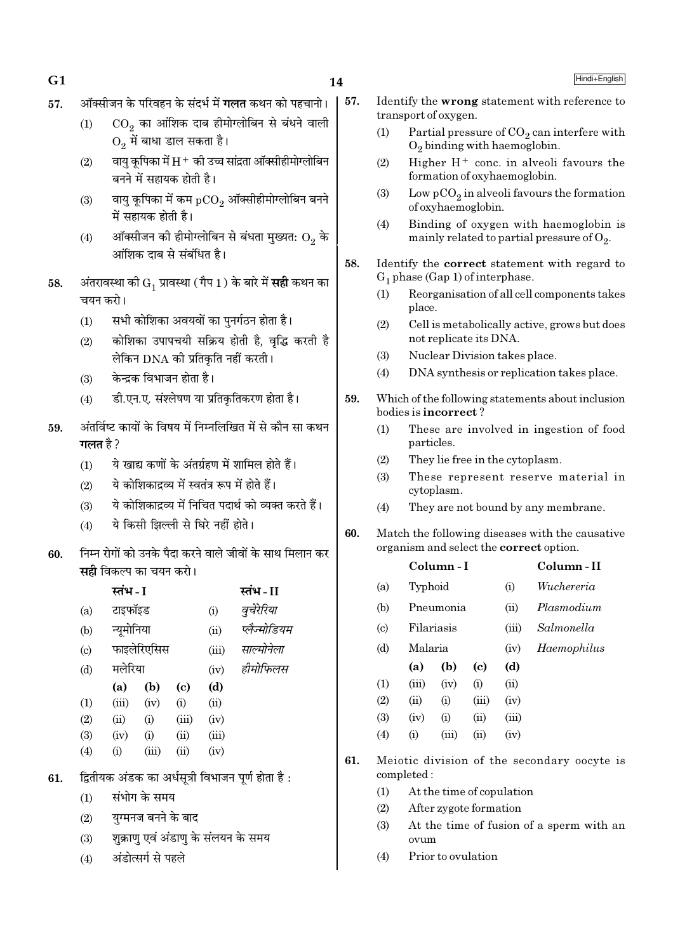| ۰. |  |
|----|--|
|    |  |

- 57. ऑक्सीजन के परिवहन के संदर्भ में **गलत** कथन को पहचानो।
	- $(1) \hspace{1em} \rm{CO}_2$  का आंशिक दाब हीमोग्लोबिन से बंधने वाली  $\mathrm{O}_2^{\phantom{\dag}}$ में बाधा डाल सकता है।
	- (2) वायु कृपिका में  $\rm H^+$  की उच्च सांद्रता ऑक्सीहीमोग्लोबिन बनने में सहायक होती है।
	- (3)  $^{-}$  वायु कूपिका में कम  $_{\rm pCO_2}$  ऑक्सीहीमोग्लोबिन बनने में सहायक होती है।
	- (4) ऑक्सीजन की हीमोग्लोबिन से बंधता मुख्यत:  $\mathrm{O}_2$  के <u>आंशिक दाब से संबंधित है।</u>
- ${\bf 58.} \quad$  अंतरावस्था की  ${\rm G}^{}_1$  प्रावस्था ( गैप  $1$  ) के बारे में **सही** कथन का चयन करो।
	- $(1)$  सभी कोशिका अवयवों का पुनर्गठन होता है।
	- (2) ∑ कोशिका उपापचयी सक्रिय होती है, वद्भि करती है लेकिन DNA की प्रतिकति नहीं करती ।
	- $(3)$  केन्द्रक विभाजन होता है।
	- (4) ही.एन.ए. संश्लेषण या प्रतिकृतिकरण होता है।
- $59.$  अंतर्विष्ट कायों के विषय में निम्नलिखित में से कौन सा कथन **गलत** है ?
	- $(1)$  ये खाद्य कणों के अंतर्ग्रहण में शामिल होते हैं।
	- $(2)$  ये कोशिकाद्रव्य में स्वतंत्र रूप में होते हैं।
	- (3) ≥ ये कोशिकादव्य में निचित पदार्थ को व्यक्त करते हैं।
	- (4) ये किसी झिल्ली से घिरे नहीं होते।
- $60$   $\,$  निम्न रोगों को उनके पैदा करने वाले जीवों के साथ मिलान कर **सही** विकल्प का चयन करो।

|                           | स्तंभ - I  |             |                            |       | स्तंभ - II   |
|---------------------------|------------|-------------|----------------------------|-------|--------------|
| (a)                       | टाइफॉइड    |             |                            | (i)   | वुचेरेरिया   |
| (b)                       | न्यूमोनिया |             |                            | (ii)  | प्लैज्मोडियम |
| $\left( \text{c} \right)$ |            | फाइलेरिएसिस |                            | (iii) | साल्मोनेला   |
| (d)                       | मलेरिया    |             |                            | (iv)  | हीमोफिलस     |
|                           | (a)        | (b)         | $\left( \mathrm{e}\right)$ | (d)   |              |
| (1)                       | (iii)      | (iv)        | (i)                        | (ii)  |              |
| (2)                       | (ii)       | (i)         | (iii)                      | (iv)  |              |
| (3)                       | (iv)       | (i)         | (ii)                       | (iii) |              |
| (4)                       | (i)        | (iii)       | (ii)                       | (iv)  |              |
|                           |            |             |                            |       |              |

- 61. द्वितीयक अंडक का अर्धसत्री विभाजन पर्ण होता है:
	- $(1)$  संभोग के समय
	- $(2)$  युग्मनज बनने के बाद
	- $(3)$  शुक्राण एवं अंडाण के संलयन के समय
	- (4) अंडोत्सर्ग से पहले
- 57. Identify the wrong statement with reference to transport of oxygen.
	- (1) Partial pressure of  $CO_2$  can interfere with  $O_2$  binding with haemoglobin.
	- (2) Higher  $H^+$  conc. in alveoli favours the formation of oxyhaemoglobin.
	- (3) Low  $pCO_2$  in alveoli favours the formation of oxyhaemoglobin.
	- (4) Binding of oxygen with haemoglobin is mainly related to partial pressure of  $\mathrm{O}_2$ .
- 58. Identify the correct statement with regard to  $G_1$  phase (Gap 1) of interphase.
	- (1) Reorganisation of all cell components takes place.
	- (2) Cell is metabolically active, grows but does not replicate its DNA.
	- (3) Nuclear Division takes place.
	- (4) DNA synthesis or replication takes place.
- 59. Which of the following statements about inclusion bodies is incorrect ?
	- (1) These are involved in ingestion of food particles.
	- (2) They lie free in the cytoplasm.
	- (3) These represent reserve material in cytoplasm.
	- (4) They are not bound by any membrane.
- 60. Match the following diseases with the causative organism and select the correct option.

|                             |                    | Column - I |       |       | Column-II   |
|-----------------------------|--------------------|------------|-------|-------|-------------|
| (a)                         | Typhoid            |            |       | (i)   | Wuchereria  |
| (b)                         |                    | Pneumonia  |       | (ii)  | Plasmodium  |
| $\left( \mathrm{c} \right)$ | Filariasis         |            |       | (iii) | Salmonella  |
| (d)                         | Malaria            |            |       | (iv)  | Haemophilus |
|                             | (a)                | (b)        | (c)   | (d)   |             |
| $\rm(1)$                    | (iii)              | (iv)       | (i)   | (ii)  |             |
| (2)                         | $\dot{\mathbf{u}}$ | (i)        | (iii) | (iv)  |             |
|                             |                    |            |       |       |             |

- (3) (iv) (i) (ii) (iii)
- (4) (i) (iii) (ii) (iv)
- 61. Meiotic division of the secondary oocyte is completed :
	- (1) At the time of copulation
	- (2) After zygote formation
	- (3) At the time of fusion of a sperm with an ovum
	- (4) Prior to ovulation

## $\bf G1$  Hindi+English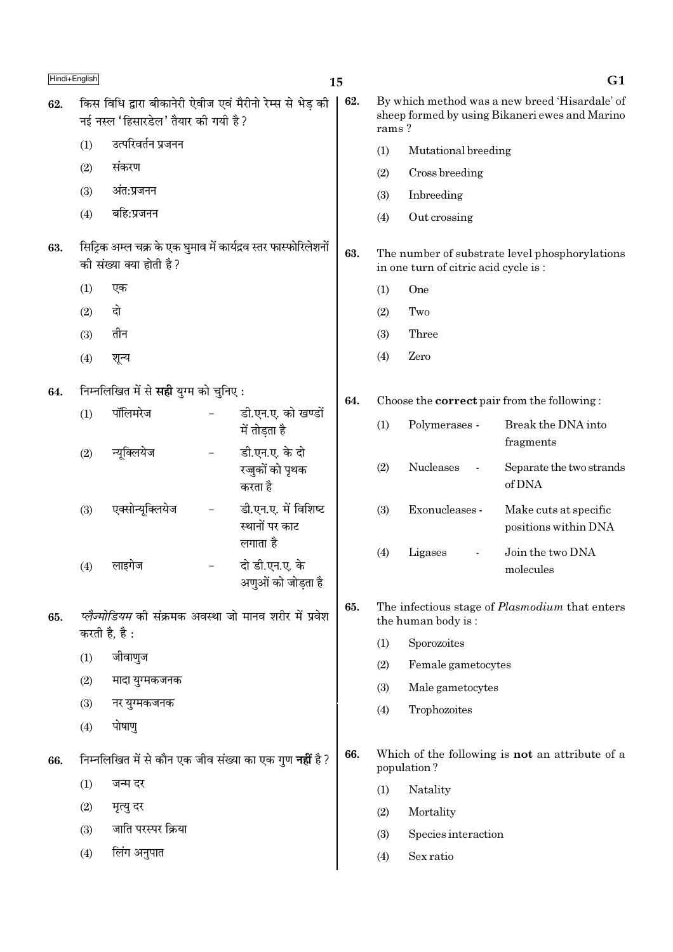| Hindi+English |     |                                               |                          |                                                                 | 15  |       |                                      | G1                                                                                               |  |
|---------------|-----|-----------------------------------------------|--------------------------|-----------------------------------------------------------------|-----|-------|--------------------------------------|--------------------------------------------------------------------------------------------------|--|
| 62.           |     | नई नस्ल 'हिसारडेल' तैयार की गयी है?           |                          | किस विधि द्वारा बीकानेरी ऐवीज एवं मैरीनो रेम्स से भेड़ की       | 62. | rams? |                                      | By which method was a new breed 'Hisardale' of<br>sheep formed by using Bikaneri ewes and Marino |  |
|               | (1) | उत्परिवर्तन प्रजनन                            |                          |                                                                 |     |       | (1)<br>Mutational breeding           |                                                                                                  |  |
|               | (2) | संकरण                                         |                          |                                                                 |     | (2)   | Cross breeding                       |                                                                                                  |  |
|               | (3) | अंत:प्रजनन                                    |                          |                                                                 |     | (3)   | Inbreeding                           |                                                                                                  |  |
|               | (4) | बहि:प्रजनन                                    |                          |                                                                 |     | (4)   | Out crossing                         |                                                                                                  |  |
| 63.           |     | की संख्या क्या होती है?                       |                          | सिट्रिक अम्ल चक्र के एक घुमाव में कार्यद्रव स्तर फास्फोरिलेशनों | 63. |       | in one turn of citric acid cycle is: | The number of substrate level phosphorylations                                                   |  |
|               | (1) | एक                                            |                          |                                                                 |     | (1)   | One                                  |                                                                                                  |  |
|               | (2) | दो                                            |                          |                                                                 |     | (2)   | Two                                  |                                                                                                  |  |
|               | (3) | तीन                                           |                          |                                                                 |     | (3)   | Three                                |                                                                                                  |  |
|               | (4) | शून्य                                         |                          |                                                                 |     | (4)   | Zero                                 |                                                                                                  |  |
| 64.           |     | निम्नलिखित में से <b>सही</b> युग्म को चुनिए : |                          |                                                                 |     |       |                                      | Choose the <b>correct</b> pair from the following:                                               |  |
|               | (1) | पॉलिमरेज                                      |                          | डी.एन.ए. को खण्डों<br>में तोड़ता है                             |     | (1)   | Polymerases -                        | Break the DNA into<br>fragments                                                                  |  |
|               | (2) | न्यूक्लियेज                                   | $\overline{\phantom{a}}$ | डी.एन.ए. के दो<br>रज्जुकों को पृथक<br>करता है                   |     | (2)   | Nucleases                            | Separate the two strands<br>of DNA                                                               |  |
|               | (3) | एक्सोन्यूक्लियेज                              | $\overline{\phantom{0}}$ | डी.एन.ए. में विशिष्ट<br>स्थानों पर काट<br>लगाता है              |     | (3)   | Exonucleases -                       | Make cuts at specific<br>positions within DNA                                                    |  |
|               | (4) | लाइगेज                                        |                          | दो डी.एन.ए. के<br>अणुओं को जोड़ता है                            |     | (4)   | Ligases                              | Join the two DNA<br>molecules                                                                    |  |
| 65.           |     |                                               |                          | प्लैज्मोडियम की संक्रमक अवस्था जो मानव शरीर में प्रवेश          | 65. |       | the human body is:                   | The infectious stage of <i>Plasmodium</i> that enters                                            |  |
|               |     | करती है, है:                                  |                          |                                                                 |     | (1)   | Sporozoites                          |                                                                                                  |  |
|               | (1) | जीवाणुज                                       |                          |                                                                 |     | (2)   | Female gametocytes                   |                                                                                                  |  |
|               | (2) | मादा युग्मकजनक                                |                          |                                                                 |     | (3)   | Male gametocytes                     |                                                                                                  |  |
|               | (3) | नर युग्मकजनक                                  |                          |                                                                 |     | (4)   | Trophozoites                         |                                                                                                  |  |
|               | (4) | पोषाणु                                        |                          |                                                                 |     |       |                                      |                                                                                                  |  |
| 66.           |     |                                               |                          | निम्नलिखित में से कौन एक जीव संख्या का एक गुण <b>नहीं</b> है ?  | 66. |       | population?                          | Which of the following is not an attribute of a                                                  |  |
|               | (1) | जन्म दर                                       |                          |                                                                 |     | (1)   | Natality                             |                                                                                                  |  |
|               | (2) | मृत्यु दर                                     |                          |                                                                 |     | (2)   | Mortality                            |                                                                                                  |  |
|               | (3) | जाति परस्पर क्रिया                            |                          |                                                                 |     | (3)   | Species interaction                  |                                                                                                  |  |
|               | (4) | लिंग अनुपात                                   |                          |                                                                 |     | (4)   | Sex ratio                            |                                                                                                  |  |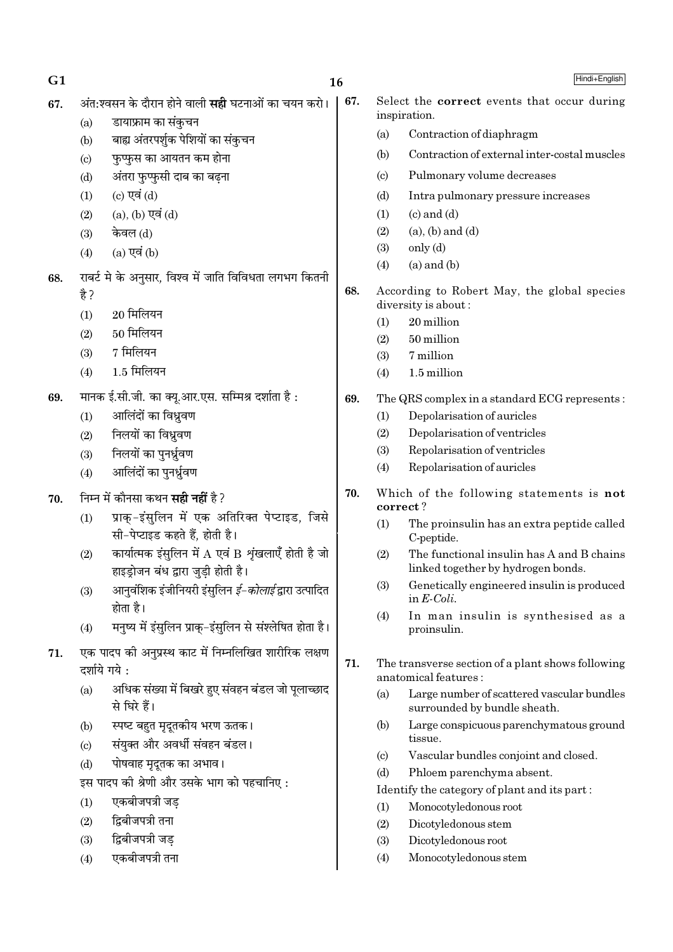$G1$ 

67.

Hindi+English

- अंत:श्वसन के दौरान होने वाली **सही** घटनाओं का चयन करो। 67.
	- डायाफ्राम का संकचन  $(a)$
	- बाह्य अंतरपर्शुक पेशियों का संकुचन  $(b)$
	- फुप्फुस का आयतन कम होना  $\left( \mathrm{c}\right)$
	- अंतरा फुप्फुसी दाब का बढना  $(d)$
	- (c) एवं (d)  $(1)$
	- $(a)$ ,  $(b)$  एवं  $(d)$  $(2)$
	- केवल (d)  $(3)$
	- $(a)$  एवं  $(b)$  $(4)$
- राबर्ट मे के अनुसार, विश्व में जाति विविधता लगभग कितनी 68. हे ?
	- $(1)$  $20$  मिलियन
	- 50 मिलियन  $(2)$
	- $(3)$ 7 मिलियन
	- 1.5 मिलियन  $(4)$
- मानक ई.सी.जी. का क्यू.आर.एस. सम्मिश्र दर्शाता है: 69.
	- आलिंदों का विध्रवण  $(1)$
	- निलयों का विध्रवण  $(2)$
	- निलयों का पनर्ध्रवण  $(3)$
	- आलिंदों का पनर्ध्रवण  $(4)$
- निम्न में कौनसा कथन **सही नहीं** है ? 70.
	- प्राक-इंसलिन में एक अतिरिक्त पेप्टाइड. जिसे  $(1)$ सी-पेप्टाइड कहते हैं. होती है।
	- कार्यात्मक इंसुलिन में  $A$  एवं  $B$  शृंखलाएँ होती है जो  $(2)$ हाइडोजन बंध द्वारा जडी होती है।
	- आनवंशिक इंजीनियरी इंसलिन *ई-कोलाई* द्वारा उत्पादित  $(3)$ होता है।
	- मनृष्य में इंसुलिन प्राकु-इंसुलिन से संश्लेषित होता है।  $(4)$
- एक पादप की अनुप्रस्थ काट में निम्नलिखित शारीरिक लक्षण  $71.$ दर्शाये गये:
	- अधिक संख्या में बिखरे हुए संवहन बंडल जो पलाच्छाद  $(a)$ से घिरे हैं।
	- स्पष्ट बहुत मृदूतकीय भरण ऊतक।  $(b)$
	- संयुक्त और अवर्धी संवहन बंडल।  $(c)$
	- पोषवाह मृदुतक का अभाव।  $(d)$
	- इस पादप की श्रेणी और उसके भाग को पहचानिए:
	- एकबीजपत्री जड  $(1)$
	- द्विबीजपत्री तना  $(2)$
	- द्विबीजपत्री जड  $(3)$
	- एकबीजपत्री तना  $(4)$
- Select the correct events that occur during inspiration.
	- Contraction of diaphragm  $(a)$
	- Contraction of external inter-costal muscles  $(b)$
	- Pulmonary volume decreases  $(c)$
	- $(d)$ Intra pulmonary pressure increases
	- $(1)$  $(c)$  and  $(d)$
	- $(a)$ ,  $(b)$  and  $(d)$  $(2)$
	- $(3)$  $only (d)$
	- $(4)$  $(a)$  and  $(b)$
- 68. According to Robert May, the global species diversity is about:
	- $(1)$ 20 million
	- $(2)$ 50 million
	- 7 million  $(3)$
	- $(4)$ 1.5 million
- 69. The QRS complex in a standard ECG represents:
	- $(1)$ Depolarisation of auricles
	- $(2)$ Depolarisation of ventricles
	- $(3)$ Repolarisation of ventricles
	- Repolarisation of auricles  $(4)$
- 70 Which of the following statements is not correct?
	- $(1)$ The proinsulin has an extra peptide called C-peptide.
	- $(2)$ The functional insulin has A and B chains linked together by hydrogen bonds.
	- Genetically engineered insulin is produced  $(3)$ in  $E\text{-}Coli$ .
	- $(4)$ In man insulin is synthesised as a proinsulin.
- 71. The transverse section of a plant shows following anatomical features :
	- Large number of scattered vascular bundles  $(a)$ surrounded by bundle sheath.
	- $(b)$ Large conspicuous parenchymatous ground tissue.
	- Vascular bundles conjoint and closed.  $\left( \text{c} \right)$
	- Phloem parenchyma absent.  $(d)$
	- Identify the category of plant and its part:
	- Monocotyledonous root  $(1)$
	- $(2)$ Dicotyledonous stem
	- $(3)$ Dicotyledonous root
	- $(4)$ Monocotyledonous stem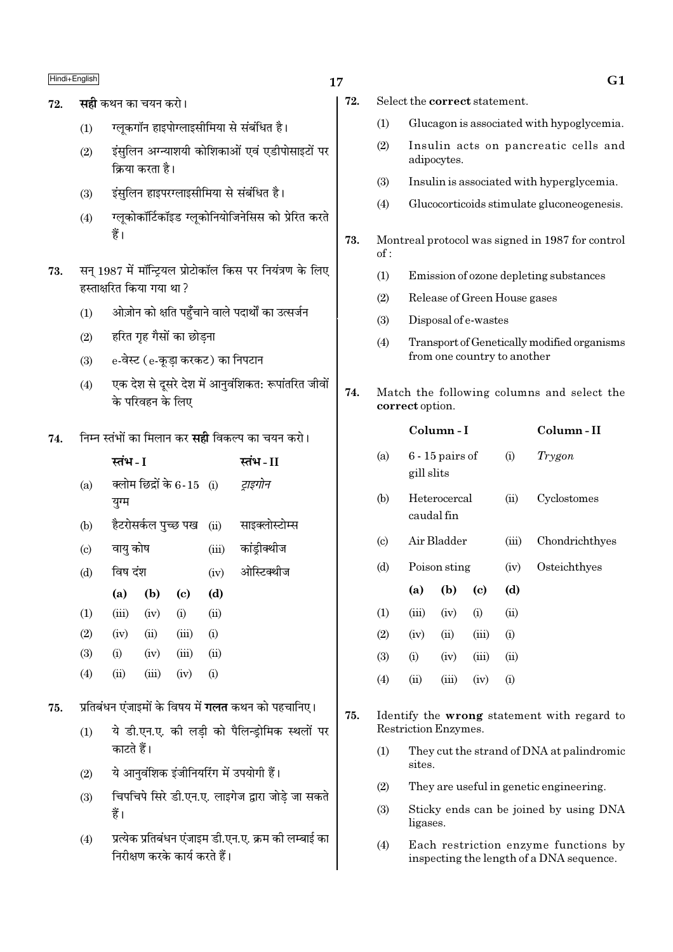## $\frac{\text{Hindi} + \text{English}}{\text{G1}}$

- 72. **सही** कथन का चयन करो।
	- (1) रलुकगॉन हाइपोग्लाइसीमिया से संबंधित है।
	- (2) इंसुलिन अग्न्याशयी कोशिकाओं एवं एडीपोसाइटों पर <u>किया करता है।</u>
	- (3) इंसलिन हाइपरग्लाइसीमिया से संबंधित है।
	- (4) ग्लूकोकॉर्टिकॉइड ग्लूकोनियोजिनेसिस को प्रेरित करते हैं।
- 73. सन् 1987 में मॉन्ट्रियल प्रोटोकॉल किस पर नियंत्रण के लिए हस्ताक्षरित किया गया था?
	- (1) ओज़ोन को क्षति पहुँचाने वाले पदार्थों का उत्सर्जन
	- $(2)$  हरित गृह गैसों का छोडना
	- $(3)$  e-वेस्ट  $(e-$ कुडा करकट) का निपटान
	- (4) एक देश से दूसरे देश में आनुवंशिकत: रूपांतरित जीवों के परिवहन के लिए
- 74. Éनम्न स्तंभों का मिलान कर **सही** विकल्प का चयन करो।

|     | स्तंभ - I |                           |                            |       | स्तंभ - II                              |
|-----|-----------|---------------------------|----------------------------|-------|-----------------------------------------|
| (a) | युग्म     | क्लोम छिद्रों के 6-15 (i) |                            |       | ट्राइगोन                                |
| (b) |           |                           |                            |       | हैटरोसर्कल पुच्छ पख (ii) साइक्लोस्टोम्स |
| (c) | वायु कोष  |                           |                            | (iii) | कांड्रीक्थीज                            |
| (d) | विष दंश   |                           |                            | (iv)  | ओस्टिक्थीज                              |
|     | (a)       | (b)                       | $\left( \mathrm{e}\right)$ | (d)   |                                         |
| (1) | (iii)     | (iv)                      | (i)                        | (ii)  |                                         |
| (2) | (iv)      | (ii)                      | (iii)                      | (i)   |                                         |
| (3) | (i)       | (iv)                      | (iii)                      | (ii)  |                                         |
| (4) | (ii)      | (iii)                     | (iv)                       | (i)   |                                         |
|     |           |                           |                            |       |                                         |

- 75. प्रतिबंधन एंजाइमों के विषय में **गलत** कथन को पहचानिए।
	- (1) ये डी.एन.ए. की लडी को पैलिन्डोमिक स्थलों पर काटते हैं।
	- (2) ये आनुवंशिक इंजीनियरिंग में उपयोगी हैं।
	- (3) fिचपचिपे सिरे डी.एन.ए. लाइगेज द्वारा जोडे जा सकते हैं।
	- (4) प्रत्येक प्रतिबंधन एंजाइम डी.एन.ए. क्रम की लम्बाई का निरीक्षण करके कार्य करते हैं।
- 72. Select the correct statement.
	- (1) Glucagon is associated with hypoglycemia.
	- (2) Insulin acts on pancreatic cells and adipocytes.
	- (3) Insulin is associated with hyperglycemia.
	- (4) Glucocorticoids stimulate gluconeogenesis.
- 73. Montreal protocol was signed in 1987 for control of :
	- (1) Emission of ozone depleting substances
	- (2) Release of Green House gases
	- (3) Disposal of e-wastes
	- (4) Transport of Genetically modified organisms from one country to another

## 74. Match the following columns and select the correct option.

|                             |            | Column - I        |                            |       | Column - II    |
|-----------------------------|------------|-------------------|----------------------------|-------|----------------|
| (a)                         | gill slits | $6 - 15$ pairs of |                            | (i)   | Trygon         |
| (b)                         | caudal fin | Heterocercal      |                            | (ii)  | Cyclostomes    |
| $\left( \mathrm{c} \right)$ |            | Air Bladder       |                            | (iii) | Chondrichthyes |
| (d)                         |            | Poison sting      |                            | (iv)  | Osteichthyes   |
|                             | (a)        | (b)               | $\left( \mathrm{c}\right)$ | (d)   |                |
| (1)                         | (iii)      | (iv)              | (i)                        | (ii)  |                |
| (2)                         | (iv)       | (ii)              | (iii)                      | (i)   |                |
| (3)                         | (i)        | (iv)              | (iii)                      | (ii)  |                |
| (4)                         | (ii)       | (iii)             | (iv)                       | (i)   |                |
|                             |            |                   |                            |       |                |

- 75. Identify the wrong statement with regard to Restriction Enzymes.
	- (1) They cut the strand of DNA at palindromic sites.
	- (2) They are useful in genetic engineering.
	- (3) Sticky ends can be joined by using DNA ligases.
	- (4) Each restriction enzyme functions by inspecting the length of a DNA sequence.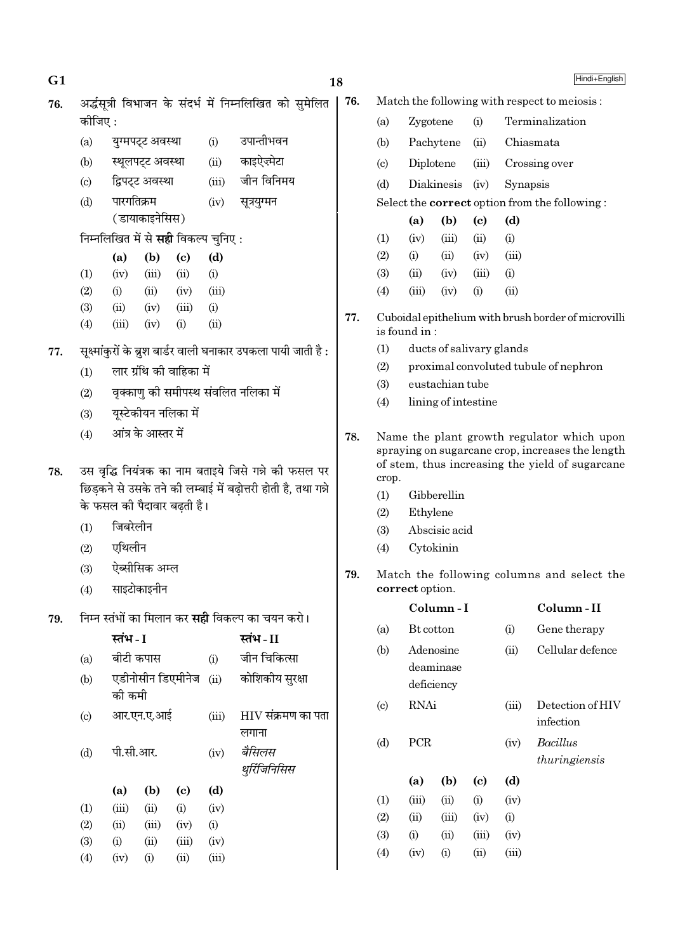| G <sub>1</sub>              |                                             |                          |                    |                                             |               |                                                                 | 18  |                                                               |                 |                          |                            |             | Hindi+English                                                                                  |
|-----------------------------|---------------------------------------------|--------------------------|--------------------|---------------------------------------------|---------------|-----------------------------------------------------------------|-----|---------------------------------------------------------------|-----------------|--------------------------|----------------------------|-------------|------------------------------------------------------------------------------------------------|
| 76.                         |                                             |                          |                    |                                             |               | अर्द्धसूत्री विभाजन के संदर्भ में निम्नलिखित को सुमेलित         | 76. |                                                               |                 |                          |                            |             | Match the following with respect to meiosis:                                                   |
|                             | कोजिए :                                     |                          |                    |                                             |               |                                                                 |     | (a)                                                           | Zygotene        |                          | (i)                        |             | Terminalization                                                                                |
|                             | (a)                                         |                          | युग्मपट्ट अवस्था   |                                             | (i)           | उपान्तीभवन                                                      |     | (b)                                                           |                 | Pachytene                | (ii)                       |             | Chiasmata                                                                                      |
|                             | (b)                                         |                          | स्थूलपट्ट अवस्था   |                                             | (ii)          | काइऐज़्मेटा                                                     |     | $\left( \text{c} \right)$                                     | Diplotene       |                          | (iii)                      |             | Crossing over                                                                                  |
|                             | $\left( \mathrm{c}\right)$                  |                          | द्विपट्ट अवस्था    |                                             | (iii)         | जीन विनिमय                                                      |     | (d)                                                           |                 | Diakinesis               | (iv)                       | Synapsis    |                                                                                                |
|                             | (d)                                         | पारगतिक्रम               |                    |                                             | (iv)          | सूत्रयुग्मन                                                     |     |                                                               |                 |                          |                            |             | Select the <b>correct</b> option from the following:                                           |
|                             |                                             |                          | (डायाकाइनेसिस)     |                                             |               |                                                                 |     |                                                               | (a)             | (b)                      | $\left( \mathrm{c}\right)$ | (d)         |                                                                                                |
|                             |                                             |                          |                    | निम्नलिखित में से <b>सही</b> विकल्प चुनिए : |               |                                                                 |     | (1)                                                           | (iv)            | (iii)                    | (ii)                       | (i)         |                                                                                                |
|                             |                                             | (a)                      | (b)                | $\left( \mathbf{c} \right)$                 | (d)           |                                                                 |     | (2)                                                           | (i)             | (ii)                     | (iv)                       | (iii)       |                                                                                                |
|                             | (1)                                         | (iv)                     | (iii)              | (ii)                                        | (i)           |                                                                 |     | (3)                                                           | (ii)            | (iv)                     | (iii)                      | (i)         |                                                                                                |
|                             | (2)                                         | (i)                      | (ii)               | (iv)                                        | (iii)         |                                                                 |     | (4)                                                           | (iii)           | (iv)                     | (i)                        | (ii)        |                                                                                                |
|                             | (3)                                         | (ii)                     | (iv)               | (iii)                                       | (i)           |                                                                 | 77. |                                                               |                 |                          |                            |             | Cuboidal epithelium with brush border of microvilli                                            |
|                             | (4)                                         | (iii)                    | (iv)               | (i)                                         | (ii)          |                                                                 |     |                                                               | is found in:    |                          |                            |             |                                                                                                |
| 77.                         |                                             |                          |                    |                                             |               | सूक्ष्मांकुरों के ब्रुश बार्डर वाली घनाकार उपकला पायी जाती है : |     | (1)                                                           |                 | ducts of salivary glands |                            |             |                                                                                                |
|                             | (1)                                         | लार ग्रंथि की वाहिका में |                    |                                             |               |                                                                 |     |                                                               |                 |                          |                            |             | proximal convoluted tubule of nephron                                                          |
|                             | वृक्काणु की समीपस्थ संवलित नलिका में<br>(2) |                          |                    |                                             |               |                                                                 | (3) |                                                               | eustachian tube |                          |                            |             |                                                                                                |
| यूस्टेकीयन नलिका में<br>(3) |                                             |                          |                    |                                             |               | (4)                                                             |     | lining of intestine                                           |                 |                          |                            |             |                                                                                                |
|                             | (4)                                         |                          | आंत्र के आस्तर में |                                             |               |                                                                 | 78. |                                                               |                 |                          |                            |             |                                                                                                |
|                             |                                             |                          |                    |                                             |               |                                                                 |     |                                                               |                 |                          |                            |             | Name the plant growth regulator which upon<br>spraying on sugarcane crop, increases the length |
| 78.                         |                                             |                          |                    |                                             |               | उस वृद्धि नियंत्रक का नाम बताइये जिसे गन्ने की फसल पर           |     |                                                               |                 |                          |                            |             | of stem, thus increasing the yield of sugarcane                                                |
|                             |                                             |                          |                    |                                             |               | छिड़कने से उसके तने की लम्बाई में बढ़ोत्तरी होती है, तथा गन्ने  |     | crop.                                                         |                 |                          |                            |             |                                                                                                |
|                             | के फसल की पैदावार बढ़ती है।                 |                          |                    |                                             |               |                                                                 |     | (1)<br>(2)                                                    | Ethylene        | Gibberellin              |                            |             |                                                                                                |
|                             | (1)                                         | जिबरेलीन                 |                    |                                             |               |                                                                 |     | Abscisic acid<br>(3)                                          |                 |                          |                            |             |                                                                                                |
|                             | (2)                                         | एथिलीन                   |                    |                                             |               |                                                                 |     | Cytokinin<br>(4)                                              |                 |                          |                            |             |                                                                                                |
|                             | (3)                                         |                          | ऐब्सीसिक अम्ल      |                                             |               |                                                                 |     | Match the following columns and select the<br>correct option. |                 |                          |                            |             |                                                                                                |
|                             | (4)                                         |                          | साइटोकाइनीन        |                                             |               |                                                                 | 79. |                                                               |                 |                          |                            |             |                                                                                                |
|                             |                                             |                          |                    |                                             |               |                                                                 |     | Column-I                                                      |                 |                          |                            | Column-II   |                                                                                                |
| 79.                         |                                             |                          |                    |                                             |               | निम्न स्तंभों का मिलान कर <b>सही</b> विकल्प का चयन करो।         |     |                                                               |                 |                          |                            |             |                                                                                                |
|                             |                                             | स्तंभ - I                |                    |                                             |               | स्तंभ - II                                                      |     | (a)                                                           | Bt cotton       |                          |                            | (i)         | Gene therapy                                                                                   |
|                             | (a)                                         | बीटी कपास                |                    |                                             | (i)           | जीन चिकित्सा                                                    |     | (b)                                                           |                 | Adenosine<br>deaminase   |                            | (ii)        | Cellular defence                                                                               |
|                             | (b)                                         |                          |                    | एडीनोसीन डिएमीनेज                           | (ii)          | कोशिकीय सुरक्षा                                                 |     |                                                               |                 | deficiency               |                            |             |                                                                                                |
|                             |                                             | की कमी                   |                    |                                             |               |                                                                 |     | (c)                                                           | <b>RNAi</b>     |                          |                            | (iii)       | Detection of HIV                                                                               |
|                             | (c)                                         |                          | आर.एन.ए.आई         |                                             | (iii)         | $HIV$ संक्रमण का पता                                            |     |                                                               |                 |                          |                            |             | infection                                                                                      |
|                             |                                             |                          |                    |                                             |               | लगाना                                                           |     | (d)                                                           | PCR             |                          |                            | (iv)        | Bacillus                                                                                       |
|                             | (d)                                         | पी.सी.आर.                |                    |                                             | (iv)          | बैसिलस                                                          |     |                                                               |                 |                          |                            |             | thuringiensis                                                                                  |
|                             |                                             |                          |                    |                                             |               | थुरिंजिनिसिस                                                    |     |                                                               |                 | (b)                      |                            |             |                                                                                                |
|                             |                                             | (a)                      | (b)                | $\left( \mathbf{c} \right)$                 | (d)           |                                                                 |     | (1)                                                           | (a)<br>(iii)    | (ii)                     | (c)<br>(i)                 | (d)<br>(iv) |                                                                                                |
|                             | (1)                                         | (iii)                    | (ii)               | (i)                                         | (iv)          |                                                                 |     | (2)                                                           | (ii)            | (iii)                    | (iv)                       | (i)         |                                                                                                |
|                             | (2)                                         | (ii)                     | (iii)              | (iv)                                        | (i)           |                                                                 |     | (3)                                                           | (i)             | (ii)                     | (iii)                      | (iv)        |                                                                                                |
|                             | (3)                                         | (i)                      | (ii)               | (iii)                                       | (iv)<br>(iii) |                                                                 |     | (4)                                                           | (iv)            | (i)                      | (ii)                       | (iii)       |                                                                                                |
|                             | (4)                                         | (iv)                     | (i)                | (ii)                                        |               |                                                                 |     |                                                               |                 |                          |                            |             |                                                                                                |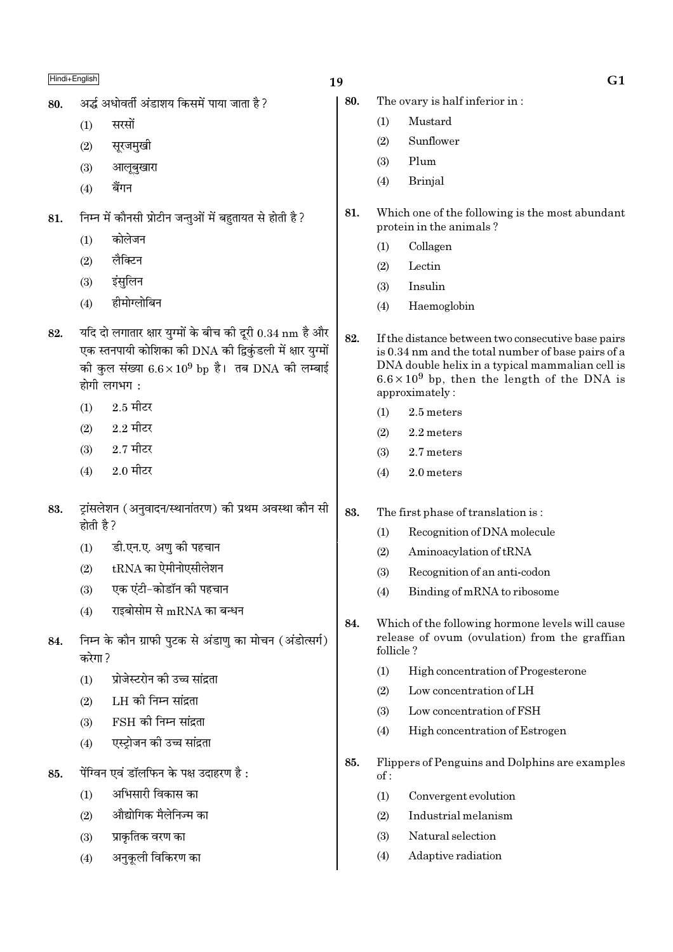| 80. |                                                                                                                                                                                                | अर्द्ध अधोवर्ती अंडाशय किसमें पाया जाता है ?             |  |  |  |  |  |  |
|-----|------------------------------------------------------------------------------------------------------------------------------------------------------------------------------------------------|----------------------------------------------------------|--|--|--|--|--|--|
|     | (1)                                                                                                                                                                                            | सरसों                                                    |  |  |  |  |  |  |
|     | (2)                                                                                                                                                                                            | सूरजमुखी                                                 |  |  |  |  |  |  |
|     |                                                                                                                                                                                                | (3) आलूबुखारा                                            |  |  |  |  |  |  |
|     | (4)                                                                                                                                                                                            | बैंगन                                                    |  |  |  |  |  |  |
| 81. |                                                                                                                                                                                                | निम्न में कौनसी प्रोटीन जन्तुओं में बहुतायत से होती है ? |  |  |  |  |  |  |
|     | (1)                                                                                                                                                                                            | कोलेजन                                                   |  |  |  |  |  |  |
|     |                                                                                                                                                                                                | $(2)$ लैक्टिन                                            |  |  |  |  |  |  |
|     |                                                                                                                                                                                                | (3) इंसुलिन                                              |  |  |  |  |  |  |
|     | (4)                                                                                                                                                                                            | हीमोग्लोबिन                                              |  |  |  |  |  |  |
| 82. | यदि दो लगातार क्षार युग्मों के बीच की दूरी 0.34 nm है और<br>एक स्तनपायी कोशिका की DNA की द्विकुंडली में क्षार युग्मों<br>की कुल संख्या $6.6 \times 10^9$ bp है। तब DNA की लम्बाई<br>होगी लगभग: |                                                          |  |  |  |  |  |  |
|     | (1)                                                                                                                                                                                            | $2.5$ मीटर                                               |  |  |  |  |  |  |
|     |                                                                                                                                                                                                | $(2)$ 2.2 मीटर                                           |  |  |  |  |  |  |
|     |                                                                                                                                                                                                | $(3)$ 2.7 मीटर                                           |  |  |  |  |  |  |
|     |                                                                                                                                                                                                |                                                          |  |  |  |  |  |  |

- $2.0$  मीटर  $(4)$
- ट्रांसलेशन (अनुवादन/स्थानांतरण) की प्रथम अवस्था कौन सी 83. होती है ?
	- डी.एन.ए. अण की पहचान  $(1)$
	- $t\mathrm{RNA}$  का ऐमीनोएसीलेशन  $(2)$
	- एक एंटी-कोडॉन की पहचान  $(3)$
	- राइबोसोम से mRNA का बन्धन  $(4)$
- निम्न के कौन ग्राफी पटक से अंडाण का मोचन (अंडोत्सर्ग) 84. करेगा ?
	- प्रोजेस्टरोन की उच्च सांदता  $(1)$
	- LH की निम्न सांदता  $(2)$
	- FSH की निम्न सांद्रता  $(3)$
	- एस्ट्रोजन की उच्च सांद्रता  $(4)$
- पेंग्विन एवं डॉलफिन के पक्ष उदाहरण है: 85.
	- अभिसारी विकास का  $(1)$
	- औद्योगिक मैलेनिज्म का  $(2)$
	- प्राकृतिक वरण का  $(3)$
	- अनुकूली विकिरण का  $(4)$

19

- 80. The ovary is half inferior in:
	- Mustard  $(1)$
	- Sunflower  $(2)$
	- $(3)$ Plum
	- $(4)$ **Brinial**
- 81. Which one of the following is the most abundant protein in the animals?
	- $(1)$ Collagen
	- Lectin  $(2)$
	- $(3)$ Insulin
	- $(4)$ Haemoglobin
- 82. If the distance between two consecutive base pairs is 0.34 nm and the total number of base pairs of a DNA double helix in a typical mammalian cell is  $6.6 \times 10^9$  bp, then the length of the DNA is approximately:
	- $(1)$ 2.5 meters
	- $(2)$ 2.2 meters
	- 2.7 meters  $(3)$
	- 2.0 meters  $(4)$
- 83. The first phase of translation is:
	- Recognition of DNA molecule  $(1)$
	- Aminoacylation of tRNA  $(2)$
	- $(3)$ Recognition of an anti-codon
	- $(4)$ Binding of mRNA to ribosome
- 84. Which of the following hormone levels will cause release of ovum (ovulation) from the graffian follicle?
	- High concentration of Progesterone  $(1)$
	- $(2)$ Low concentration of LH
	- $(3)$ Low concentration of FSH
	- High concentration of Estrogen  $(4)$
- Flippers of Penguins and Dolphins are examples 85.  $of:$ 
	- $(1)$ Convergent evolution
	- Industrial melanism  $(2)$
	- Natural selection  $(3)$
	- $(4)$ Adaptive radiation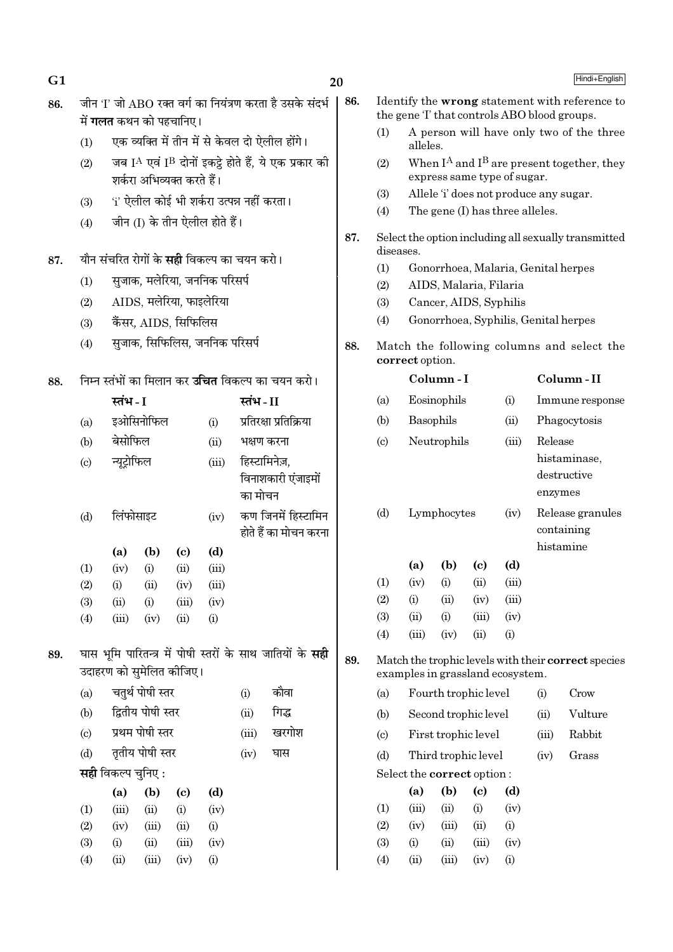| G <sub>1</sub> |                                                          |                                                                     |                            |                                              |                                           |       |                                                                  | 20          |                                                                          |                                  |                                             |                                        |              |                                            | Hindi+English                                       |
|----------------|----------------------------------------------------------|---------------------------------------------------------------------|----------------------------|----------------------------------------------|-------------------------------------------|-------|------------------------------------------------------------------|-------------|--------------------------------------------------------------------------|----------------------------------|---------------------------------------------|----------------------------------------|--------------|--------------------------------------------|-----------------------------------------------------|
| 86.            |                                                          |                                                                     |                            |                                              |                                           |       | जीन 'I' जो ABO रक्त वर्ग का नियंत्रण करता है उसके संदर्भ         | 86.         |                                                                          |                                  |                                             |                                        |              |                                            | Identify the wrong statement with reference to      |
|                |                                                          | में <b>गलत</b> कथन को पहचानिए।                                      |                            |                                              |                                           |       |                                                                  |             |                                                                          |                                  |                                             |                                        |              |                                            | the gene T that controls ABO blood groups.          |
|                | (1)                                                      |                                                                     |                            |                                              |                                           |       | एक व्यक्ति में तीन में से केवल दो ऐलील होंगे।                    |             | (1)                                                                      | alleles.                         |                                             |                                        |              |                                            | A person will have only two of the three            |
|                | (2)                                                      |                                                                     | शर्करा अभिव्यक्त करते हैं। |                                              |                                           |       | जब IA एवं IB दोनों इकट्ठे होते हैं, ये एक प्रकार की              |             | (2)                                                                      |                                  |                                             | express same type of sugar.            |              |                                            | When $I^A$ and $I^B$ are present together, they     |
|                | (3)                                                      |                                                                     |                            |                                              | 'i' ऐलील कोई भी शर्करा उत्पन्न नहीं करता। |       |                                                                  |             | (3)                                                                      |                                  |                                             | Allele 'i' does not produce any sugar. |              |                                            |                                                     |
|                |                                                          |                                                                     |                            |                                              | जीन (I) के तीन ऐलील होते हैं।             |       |                                                                  |             | (4)                                                                      | The gene (I) has three alleles.  |                                             |                                        |              |                                            |                                                     |
|                | (4)                                                      |                                                                     |                            |                                              |                                           |       |                                                                  |             | 87.<br>Select the option including all sexually transmitted<br>diseases. |                                  |                                             |                                        |              |                                            |                                                     |
| 87.            | यौन संचरित रोगों के <b>सही</b> विकल्प का चयन करो।        |                                                                     |                            |                                              |                                           | (1)   |                                                                  |             |                                                                          |                                  |                                             | Gonorrhoea, Malaria, Genital herpes    |              |                                            |                                                     |
|                | (1)                                                      |                                                                     |                            |                                              | सुजाक, मलेरिया, जननिक परिसर्प             |       |                                                                  |             | (2)                                                                      |                                  |                                             | AIDS, Malaria, Filaria                 |              |                                            |                                                     |
|                | AIDS, मलेरिया, फाइलेरिया<br>(2)                          |                                                                     |                            |                                              |                                           | (3)   |                                                                  |             | Cancer, AIDS, Syphilis                                                   |                                  |                                             |                                        |              |                                            |                                                     |
|                | (3)                                                      |                                                                     | कैंसर, AIDS, सिफिलिस       |                                              |                                           |       |                                                                  |             | (4)                                                                      |                                  |                                             |                                        |              |                                            | Gonorrhoea, Syphilis, Genital herpes                |
|                | (4)                                                      | सुजाक, सिफिलिस, जननिक परिसर्प                                       |                            |                                              |                                           |       | 88.                                                              |             | correct option.                                                          |                                  |                                             |                                        |              | Match the following columns and select the |                                                     |
| 88.            | निम्न स्तंभों का मिलान कर <b>उचित</b> विकल्प का चयन करो। |                                                                     |                            |                                              |                                           |       |                                                                  | Column-I    |                                                                          |                                  |                                             | Column-II                              |              |                                            |                                                     |
|                |                                                          | स्तंभ - I<br>स्तंभ-II<br>इओसिनोफिल<br>प्रतिरक्षा प्रतिक्रिया<br>(i) |                            |                                              | (a)                                       |       | Eosinophils<br>(i)                                               |             |                                                                          |                                  | Immune response                             |                                        |              |                                            |                                                     |
|                | (a)                                                      |                                                                     |                            |                                              | (b)                                       |       | Basophils                                                        |             | (ii)                                                                     |                                  | Phagocytosis                                |                                        |              |                                            |                                                     |
|                | (b)                                                      | बेसोफिल                                                             |                            |                                              | (ii)                                      |       | भक्षण करना                                                       |             | (c)                                                                      |                                  | Neutrophils                                 |                                        | (iii)        | Release                                    |                                                     |
|                | $\left( \mathrm{c}\right)$                               | हिस्टामिनेज़,<br>न्यूट्रोफिल<br>(iii)                               |                            |                                              |                                           |       |                                                                  |             |                                                                          |                                  | histaminase,                                |                                        |              |                                            |                                                     |
|                | विनाशकारी एंजाइमों<br>का मोचन                            |                                                                     |                            |                                              |                                           |       |                                                                  |             | enzymes                                                                  | destructive                      |                                             |                                        |              |                                            |                                                     |
|                | (d)                                                      | लिंफोसाइट<br>(iv)                                                   |                            | कण जिनमें हिस्टामिन<br>होते हैं का मोचन करना |                                           |       | (d)                                                              | Lymphocytes |                                                                          | (iv)                             | Release granules<br>containing<br>histamine |                                        |              |                                            |                                                     |
|                |                                                          | (a)                                                                 | (b)                        | $\left( \mathrm{c} \right)$                  | (d)                                       |       |                                                                  |             |                                                                          |                                  |                                             |                                        |              |                                            |                                                     |
|                | (1)                                                      | (iv)                                                                | (i)                        | (ii)                                         | (iii)                                     |       |                                                                  |             | (1)                                                                      | (a)<br>(iv)                      | (b)<br>(i)                                  | $\left( \mathrm{c}\right)$<br>(ii)     | (d)<br>(iii) |                                            |                                                     |
|                | (2)<br>(3)                                               | (i)<br>(ii)                                                         | (ii)<br>(i)                | (iv)<br>(iii)                                | (iii)<br>(iv)                             |       |                                                                  |             | (2)                                                                      | (i)                              | (ii)                                        | (iv)                                   | (iii)        |                                            |                                                     |
|                | (4)                                                      | (iii)                                                               | (iv)                       | (ii)                                         | (i)                                       |       |                                                                  |             | (3)                                                                      | (ii)                             | (i)                                         | (iii)                                  | (iv)         |                                            |                                                     |
|                |                                                          |                                                                     |                            |                                              |                                           |       |                                                                  |             | (4)                                                                      | (iii)                            | (iv)                                        | (ii)                                   | (i)          |                                            |                                                     |
| 89.            |                                                          | उदाहरण को सुमेलित कीजिए।                                            |                            |                                              |                                           |       | घास भूमि पारितन्त्र में पोषी स्तरों के साथ जातियों के <b>सही</b> | 89.         |                                                                          | examples in grassland ecosystem. |                                             |                                        |              |                                            | Match the trophic levels with their correct species |
|                | (a)                                                      |                                                                     | चतुर्थ पोषी स्तर           |                                              |                                           | (i)   | कौवा                                                             |             | (a)                                                                      |                                  |                                             | Fourth trophic level                   |              | (i)                                        | Crow                                                |
|                | (b)                                                      |                                                                     | द्वितीय पोषी स्तर          |                                              |                                           | (ii)  | गिद्ध                                                            |             | (b)                                                                      |                                  |                                             | Second trophic level                   |              | (ii)                                       | Vulture                                             |
|                | (c)                                                      |                                                                     | प्रथम पोषी स्तर            |                                              |                                           | (iii) | खरगोश                                                            |             | (c)                                                                      |                                  |                                             | First trophic level                    |              | (iii)                                      | Rabbit                                              |
|                | (d)                                                      |                                                                     | तृतीय पोषी स्तर            |                                              |                                           | (iv)  | घास                                                              |             | (d)                                                                      |                                  |                                             | Third trophic level                    |              | (iv)                                       | Grass                                               |
|                |                                                          | <b>सही</b> विकल्प चुनिए :                                           |                            |                                              |                                           |       |                                                                  |             |                                                                          | Select the correct option:       |                                             |                                        |              |                                            |                                                     |
|                |                                                          | (a)                                                                 | (b)                        | $\left( \mathrm{c}\right)$                   | (d)                                       |       |                                                                  |             |                                                                          | (a)                              | (b)                                         | $\left( \mathrm{c}\right)$             | (d)          |                                            |                                                     |
|                | (1)                                                      | (iii)                                                               | (ii)                       | (i)                                          | (iv)                                      |       |                                                                  |             | (1)                                                                      | (iii)                            | (ii)                                        | (i)                                    | (iv)         |                                            |                                                     |
|                | (2)                                                      | (iv)                                                                | (iii)                      | (ii)                                         | (i)                                       |       |                                                                  |             | (2)                                                                      | (iv)                             | (iii)                                       | (ii)                                   | (i)          |                                            |                                                     |
|                | (3)                                                      | (i)                                                                 | (ii)                       | (iii)                                        | (iv)                                      |       |                                                                  |             | (3)                                                                      | (i)                              | (ii)                                        | (iii)                                  | (iv)         |                                            |                                                     |
|                | (4)                                                      | (ii)                                                                | (iii)                      | (iv)                                         | (i)                                       |       |                                                                  |             | (4)                                                                      | (ii)                             | (iii)                                       | (iv)                                   | (i)          |                                            |                                                     |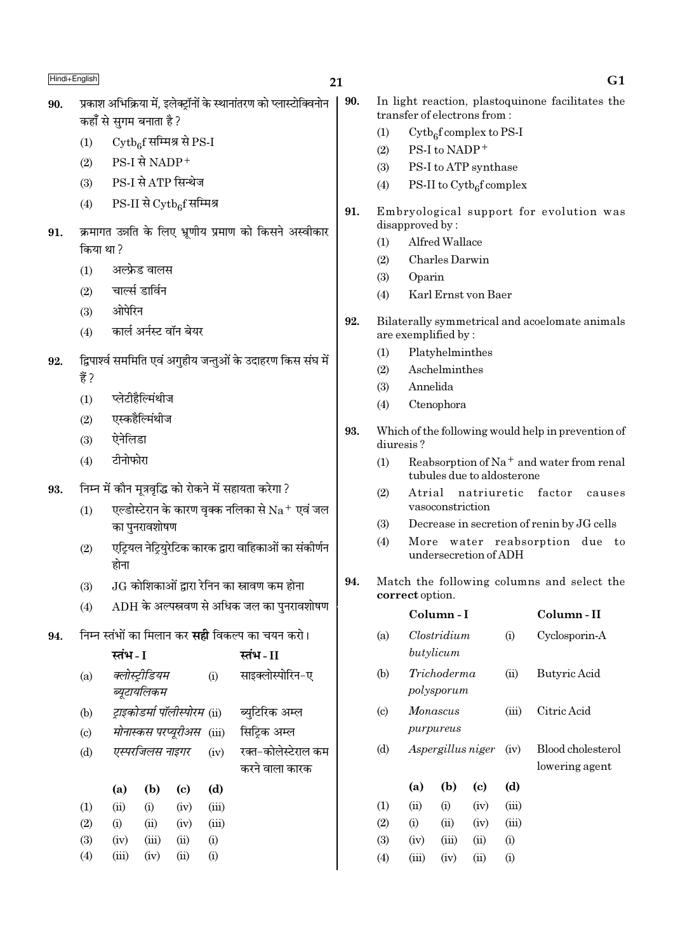## $21$

- प्रकाश अभिक्रिया में. इलेक्टॉनों के स्थानांतरण को प्लास्टोक्विनोन 90. कहाँ से सगम बनाता है ?
	- $\mathrm{Cytb}_{6}$ f सम्मिश्र से PS-I  $(1)$
	- PS-I से NADP<sup>+</sup>  $(2)$
	- PS-I से ATP सिन्थेज  $(3)$
	- PS-II से Cytbef सम्मिश्र  $(4)$
- क्रमागत उन्नति के लिए भ्रणीय प्रमाण को किसने अस्वीकार 91. किया था?
	- अल्फ्रेड वालस  $(1)$
	- चार्ल्स डार्विन  $(2)$
	- ओपेरिन  $(3)$
	- कार्ल अर्नस्ट वॉन बेयर  $(4)$
- द्विपार्श्व सममिति एवं अगुहीय जन्तुओं के उदाहरण किस संघ में 92. 붕?
	- प्लेटीहैल्मिंथीज  $(1)$
	- एस्कहैल्मिंथीज  $(2)$
	- ऐनेलिडा  $(3)$
	- टीनोफोरा  $(4)$
- निम्न में कौन मत्रवद्धि को रोकने में सहायता करेगा ? 93.
	- एल्डोस्टेरान के कारण वक्क नलिका से  $\rm Na^+$  एवं जल  $(1)$ का पनरावशोषण
	- एट्रियल नेट्रियुरेटिक कारक द्वारा वाहिकाओं का संकीर्णन  $(2)$ होना
	- $JG$  कोशिकाओं द्वारा रेनिन का स्रावण कम होना  $(3)$
	- $ADH$  के अल्पस्रवण से अधिक जल का पुनरावशोषण  $(4)$
- निम्न स्तंभों का मिलान कर **सही** विकल्प का चयन करो। 94.

|                           | स्तंभ - I |                              |      |           | स्तंभ - II          |
|---------------------------|-----------|------------------------------|------|-----------|---------------------|
| (a)                       |           | क्लोस्ट्रीडियम               |      | (i)       | साइक्लोस्पोरिन-ए    |
|                           |           | ब्यूटायलिकम                  |      |           |                     |
| (b)                       |           | ट्राइकोडर्मा पॉलीस्पोरम (ii) |      |           | ब्युटिरिक अम्ल      |
| $\left( \text{c} \right)$ |           | मोनास्कस परप्यूरीअस          |      | (iii)     | सिट्रिक अम्ल        |
| (d)                       |           | एस्परजिलस नाइगर              |      | (iv)      | रक्त-कोलेस्टेराल कम |
|                           |           |                              |      |           | करने वाला कारक      |
|                           | (a)       | (b)                          | (c)  | (d)       |                     |
| (1)                       | (ii)      | (i)                          | (iv) | (iii)     |                     |
| (2)                       | (i)       | (ii)                         | (iv) | (iii)     |                     |
| (3)                       | (iv)      | (iii)                        | (ii) | (i)       |                     |
| (4)                       | (iii)     | (iv)                         | (ii) | $\rm (i)$ |                     |

- 90. In light reaction, plastoquinone facilitates the transfer of electrons from:
	- $Cytb<sub>6</sub>f$  complex to PS-I  $(1)$
	- PS-I to NADP<sup>+</sup>  $(2)$
	- PS-I to ATP synthase  $(3)$
	- PS-II to  $\mathrm{Cytb}_{\alpha}$ f complex  $(4)$
- 91. Embryological support for evolution was disapproved by:
	- $(1)$ Alfred Wallace
	- Charles Darwin  $(2)$
	- $(3)$ Oparin
	- Karl Ernst von Baer  $(4)$
- 92. Bilaterally symmetrical and acoelomate animals are exemplified by:
	- $(1)$ Platyhelminthes
	- Aschelminthes  $(2)$
	- Annelida  $(3)$
	- Ctenophora  $(4)$
- 93. Which of the following would help in prevention of diuresis?
	- $(1)$ Reabsorption of Na<sup>+</sup> and water from renal tubules due to aldosterone
	- Atrial natriuretic factor causes  $(2)$ vasoconstriction
	- $(3)$ Decrease in secretion of renin by JG cells
	- More water reabsorption due to  $(4)$ undersecretion of ADH
- 94. Match the following columns and select the correct option.

|                           |       | Column - I                |                   |       | Column - II                         |
|---------------------------|-------|---------------------------|-------------------|-------|-------------------------------------|
| (a)                       |       | Clostridium<br>butylicum  |                   | (i)   | Cyclosporin-A                       |
| (b)                       |       | Trichoderma<br>polysporum |                   | (ii)  | Butyric Acid                        |
| $\left( \text{c} \right)$ |       | Monascus<br>purpureus     |                   | (iii) | Citric Acid                         |
| (d)                       |       |                           | Aspergillus niger | (iv)  | Blood cholesterol<br>lowering agent |
|                           | (a)   | (b)                       | (c)               | (d)   |                                     |
| (1)                       | (ii)  | (i)                       | (iv)              | (iii) |                                     |
| (2)                       | (i)   | (ii)                      | (iv)              | (iii) |                                     |
| (3)                       | (iv)  | (iii)                     | (ii)              | (i)   |                                     |
| (4)                       | (iii) | (iv)                      | (ii)              | (i)   |                                     |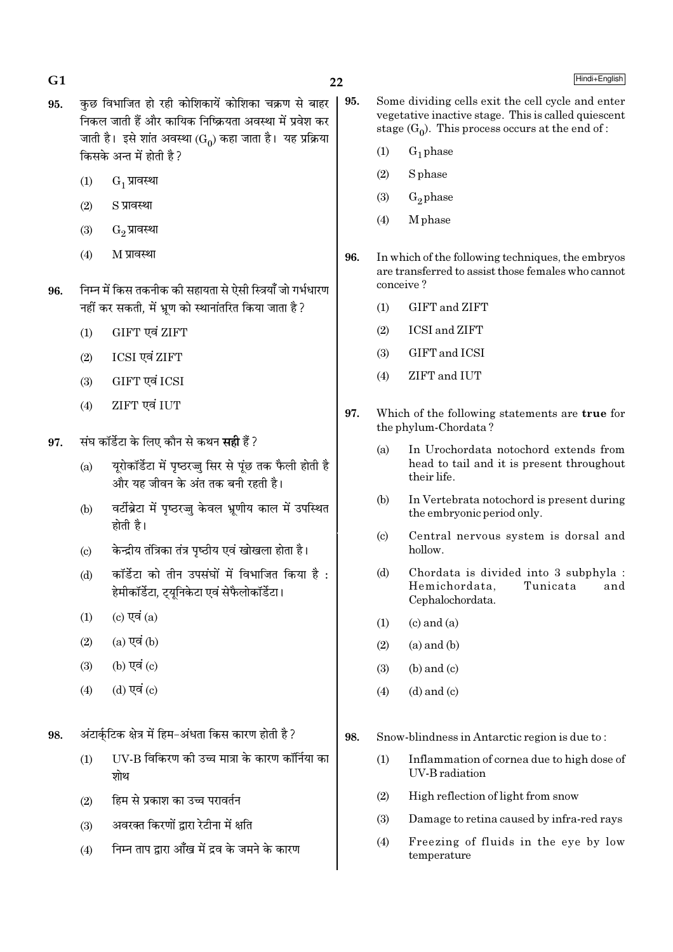- 
- 95. कछ विभाजित हो रही कोशिकायें कोशिका चक्रण से बाहर निकल जाती हैं और कायिक निष्क्रियता अवस्था में प्रवेश कर जाती है। इसे शांत अवस्था ( $\mathrm{G}_0$ ) कहा जाता है। यह प्रक्रिया किसके अन्त में होती है?
	- $(1)$   $G_1$  प्रावस्था
	- $(2)$   $S$  प्रावस्था
	- $(3)$   $G<sub>2</sub>$  प्रावस्था
	- $(4)$  M प्रावस्था
- 96. निम्न में किस तकनीक की सहायता से ऐसी स्त्रियाँ जो गर्भधारण नहीं कर सकती, में भ्रूण को स्थानांतरित किया जाता है ?
	- $(1)$  GIFT एवं ZIFT
	- (2) ICSI एवं ZIFT
	- (3) GIFT एवं ICSI
	- (4) ZIFT एवं IUT
- 97. संघ कॉर्डेटा के लिए कौन से कथन **सही** हैं ?
	- (a)  $\bar{u}$ यरोकॉर्डेटा में पष्ठरज्ज सिर से पंछ तक फैली होती है और यह जीवन के अंत तक बनी रहती है।
	- (b) वर्टीब्रेटा में पृष्ठरज्जु केवल भ्रूणीय काल में उपस्थित होती है।
	- (c) हेिक्ट्रीय तंत्रिका तंत्र पृष्ठीय एवं खोखला होता है।
	- (d) कॉर्डेटा को तीन उपसंघों में विभाजित किया है : हेमीकॉर्डेटा, ट्यूनिकेटा एवं सेफैलोकॉर्डेटा।
	- $(1)$   $(c)$   $\nabla \vec{a}$   $(a)$
	- $(2)$   $(a)$  एवं  $(b)$
	- $(3)$   $(b)$   $\nabla \vec{a}$   $(c)$
	- $(4)$   $(d)$   $\nabla \overrightarrow{q}$   $(c)$

98. • अंटार्कुटिक क्षेत्र में हिम−अंधता किस कारण होती है ?

- $(1)$  UV-B विकिरण की उच्च मात्रा के कारण कॉर्निया का घोध
- $(2)$  हिम से प्रकाश का उच्च परावर्तन
- $(3)$  अवरक्त किरणों द्वारा रेटीना में क्षति
- $(4)$  निम्न ताप द्वारा आँख में द्रव के जमने के कारण
- 95. Some dividing cells exit the cell cycle and enter vegetative inactive stage. This is called quiescent stage  $(G_0)$ . This process occurs at the end of :
	- $(1)$   $G_1$  phase
	- (2) S phase
	- (3)  $G_2$  phase
	- (4) M phase
- 96. In which of the following techniques, the embryos are transferred to assist those females who cannot conceive ?
	- (1) GIFT and ZIFT
	- (2) ICSI and ZIFT
	- (3) GIFT and ICSI
	- (4) ZIFT and IUT
- 97. Which of the following statements are true for the phylum-Chordata ?
	- (a) In Urochordata notochord extends from head to tail and it is present throughout their life.
	- (b) In Vertebrata notochord is present during the embryonic period only.
	- (c) Central nervous system is dorsal and hollow.
	- (d) Chordata is divided into 3 subphyla : Hemichordata, Tunicata and Cephalochordata.
	- $(1)$   $(c)$  and  $(a)$
	- $(2)$   $(a)$  and  $(b)$
	- $(3)$  (b) and  $(c)$
	- $(4)$   $(d)$  and  $(c)$

98. Snow-blindness in Antarctic region is due to :

- (1) Inflammation of cornea due to high dose of UV-B radiation
- (2) High reflection of light from snow
- (3) Damage to retina caused by infra-red rays
- (4) Freezing of fluids in the eye by low temperature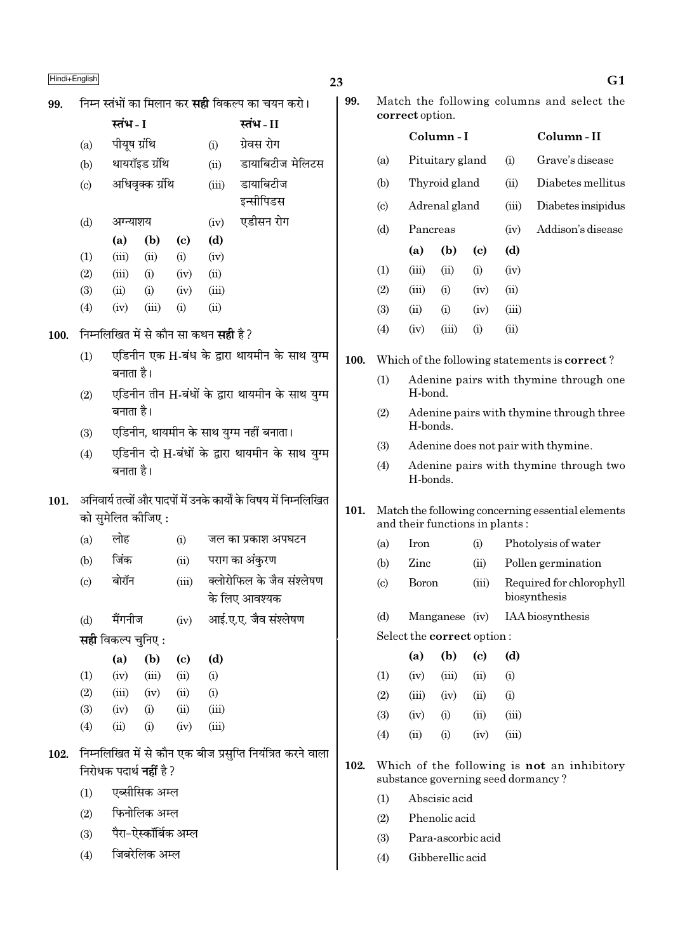| Hindi+English |                                                                     |                                                                                                                       |                 |                             |             |                                                            | 23       |                                |                                                   |                  |                                        |                                                   | G <sub>1</sub>                                                                    |
|---------------|---------------------------------------------------------------------|-----------------------------------------------------------------------------------------------------------------------|-----------------|-----------------------------|-------------|------------------------------------------------------------|----------|--------------------------------|---------------------------------------------------|------------------|----------------------------------------|---------------------------------------------------|-----------------------------------------------------------------------------------|
| 99.           |                                                                     |                                                                                                                       |                 |                             |             | निम्न स्तंभों का मिलान कर <b>सही</b> विकल्प का चयन करो।    | 99.      |                                |                                                   |                  |                                        |                                                   | Match the following columns and select the                                        |
|               |                                                                     | स्तंभ - I                                                                                                             |                 |                             |             | स्तंभ-II                                                   |          |                                | correct option.                                   | Column-I         |                                        |                                                   | Column-II                                                                         |
|               | (a)                                                                 | पीयूष ग्रंथि                                                                                                          |                 |                             | (i)         | ग्रेवस रोग                                                 |          |                                |                                                   |                  |                                        |                                                   |                                                                                   |
|               | (b)                                                                 |                                                                                                                       | थायरॉइड ग्रंथि  |                             | (ii)        | डायाबिटीज मेलिटस                                           |          | (a)                            |                                                   | Pituitary gland  |                                        | (i)                                               | Grave's disease                                                                   |
|               | $\left( \mathrm{c}\right)$                                          |                                                                                                                       | अधिवृक्क ग्रंथि |                             | (iii)       | डायाबिटीज                                                  |          | (b)                            |                                                   | Thyroid gland    |                                        | (ii)                                              | Diabetes mellitus                                                                 |
|               |                                                                     |                                                                                                                       |                 |                             |             | इन्सीपिडस<br>एडीसन रोग                                     |          | $\left( \mathrm{c}\right)$     |                                                   | Adrenal gland    |                                        | (iii)                                             | Diabetes insipidus                                                                |
|               | (d)                                                                 | अग्न्याशय<br>(a)                                                                                                      | (b)             | $\left( \mathbf{c} \right)$ | (iv)<br>(d) |                                                            |          | (d)                            | Pancreas                                          |                  |                                        | (iv)                                              | Addison's disease                                                                 |
|               | (1)                                                                 | (iii)                                                                                                                 | (ii)            | (i)                         | (iv)        |                                                            |          |                                | (a)                                               | (b)              | $\left( \mathrm{e}\right)$             | (d)                                               |                                                                                   |
|               | (2)                                                                 | (iii)                                                                                                                 | (i)             | (iv)                        | (ii)        |                                                            |          | (1)                            | (iii)                                             | (ii)             | (i)                                    | (iv)                                              |                                                                                   |
|               | (3)                                                                 | (ii)                                                                                                                  | (i)             | (iv)                        | (iii)       |                                                            |          | (2)                            | (iii)                                             | (i)              | (iv)                                   | (ii)                                              |                                                                                   |
|               | (4)                                                                 | (iv)                                                                                                                  | (iii)           | (i)                         | (ii)        |                                                            |          | (3)                            | (ii)                                              | (i)              | (iv)                                   | (iii)                                             |                                                                                   |
| 100.          |                                                                     | निम्नलिखित में से कौन सा कथन <b>सही</b> है?                                                                           |                 |                             |             |                                                            |          | (4)                            | (iv)                                              | (iii)            | (i)                                    | (ii)                                              |                                                                                   |
|               | (1)                                                                 | एडिनीन एक H-बंध के द्वारा थायमीन के साथ युग्म                                                                         |                 |                             |             |                                                            |          |                                |                                                   |                  |                                        |                                                   | Which of the following statements is <b>correct</b> ?                             |
|               | (2)                                                                 | बनाता है।<br>एडिनीन तीन H-बंधों के द्वारा थायमीन के साथ युग्म<br>बनाता है।<br>एडिनीन, थायमीन के साथ युग्म नहीं बनाता। |                 |                             |             |                                                            |          | (1)                            | Adenine pairs with thymine through one<br>H-bond. |                  |                                        |                                                   |                                                                                   |
|               | (3)                                                                 |                                                                                                                       |                 |                             |             |                                                            |          | (2)                            | H-bonds.                                          |                  |                                        |                                                   | Adenine pairs with thymine through three                                          |
|               |                                                                     |                                                                                                                       |                 |                             |             |                                                            |          | (3)                            |                                                   |                  |                                        |                                                   | Adenine does not pair with thymine.                                               |
|               | एडिनीन दो H-बंधों के द्वारा थायमीन के साथ युग्म<br>(4)<br>बनाता है। |                                                                                                                       |                 |                             |             | (4)                                                        | H-bonds. |                                |                                                   |                  | Adenine pairs with thymine through two |                                                   |                                                                                   |
| 101.          |                                                                     | अनिवार्य तत्वों और पादपों में उनके कार्यों के विषय में निम्नलिखित<br>को सुमेलित कीजिए:                                |                 |                             |             | 101.                                                       |          | and their functions in plants: |                                                   |                  |                                        | Match the following concerning essential elements |                                                                                   |
|               | (a)                                                                 | लोह                                                                                                                   |                 | (i)                         |             | जल का प्रकाश अपघटन                                         |          | (a)                            | Iron                                              |                  |                                        |                                                   | Photolysis of water                                                               |
|               | (b)                                                                 | जिंक                                                                                                                  |                 | (ii)                        |             | पराग का अंकुरण                                             |          | (b)                            | Zinc                                              |                  | (ii)                                   |                                                   | Pollen germination                                                                |
|               | $\left( \mathrm{c} \right)$                                         | बोरॉन                                                                                                                 |                 | (iii)                       |             | क्लोरोफिल के जैव संश्लेषण<br>के लिए आवश्यक                 |          | (c)                            | Boron                                             |                  | (iii)                                  |                                                   | Required for chlorophyll<br>biosynthesis                                          |
|               | (d)                                                                 | मैंगनीज                                                                                                               |                 | (iv)                        |             | आई.ए.ए. जैव संश्लेषण                                       |          | (d)                            |                                                   | Manganese (iv)   |                                        |                                                   | IAA biosynthesis                                                                  |
|               |                                                                     | <b>सही</b> विकल्प चुनिए :                                                                                             |                 |                             |             |                                                            |          |                                | Select the correct option:                        |                  |                                        |                                                   |                                                                                   |
|               |                                                                     | (a)                                                                                                                   | (b)             | $\left( \mathbf{c} \right)$ | (d)         |                                                            |          |                                | (a)                                               | (b)              | $\left( \mathrm{e}\right)$             | (d)                                               |                                                                                   |
|               | (1)                                                                 | (iv)                                                                                                                  | (iii)           | (ii)                        | (i)         |                                                            |          | (1)                            | (iv)                                              | (iii)            | (ii)                                   | (i)                                               |                                                                                   |
|               | (2)                                                                 | (iii)                                                                                                                 | (iv)            | (ii)                        | (i)         |                                                            |          | (2)                            | (iii)                                             | (iv)             | (ii)                                   | (i)                                               |                                                                                   |
|               | (3)                                                                 | (iv)                                                                                                                  | (i)             | (ii)                        | (iii)       |                                                            |          | (3)                            | (iv)                                              | (i)              | (ii)                                   | (iii)                                             |                                                                                   |
|               | (4)                                                                 | (ii)                                                                                                                  | (i)             | (iv)                        | (iii)       |                                                            |          | (4)                            | (ii)                                              | (i)              | (iv)                                   | (iii)                                             |                                                                                   |
| 102.          |                                                                     | निरोधक पदार्थ <b>नहीं</b> है ?                                                                                        |                 |                             |             | निम्नलिखित में से कौन एक बीज प्रसुप्ति नियंत्रित करने वाला | 102.     |                                |                                                   |                  |                                        |                                                   | Which of the following is not an inhibitory<br>substance governing seed dormancy? |
|               | (1)                                                                 |                                                                                                                       | एब्सीसिक अम्ल   |                             |             |                                                            |          | (1)                            |                                                   | Abscisic acid    |                                        |                                                   |                                                                                   |
|               | (2)                                                                 |                                                                                                                       | फिनोलिक अम्ल    |                             |             |                                                            |          | (2)                            |                                                   |                  |                                        |                                                   |                                                                                   |
|               | (3)                                                                 |                                                                                                                       |                 | पैरा–ऐस्कॉर्बिक अम्ल        |             |                                                            |          | (3)                            | Phenolic acid<br>Para-ascorbic acid               |                  |                                        |                                                   |                                                                                   |
|               | (4)                                                                 |                                                                                                                       | जिबरेलिक अम्ल   |                             |             |                                                            |          | (4)                            |                                                   | Gibberellic acid |                                        |                                                   |                                                                                   |
|               |                                                                     |                                                                                                                       |                 |                             |             |                                                            |          |                                |                                                   |                  |                                        |                                                   |                                                                                   |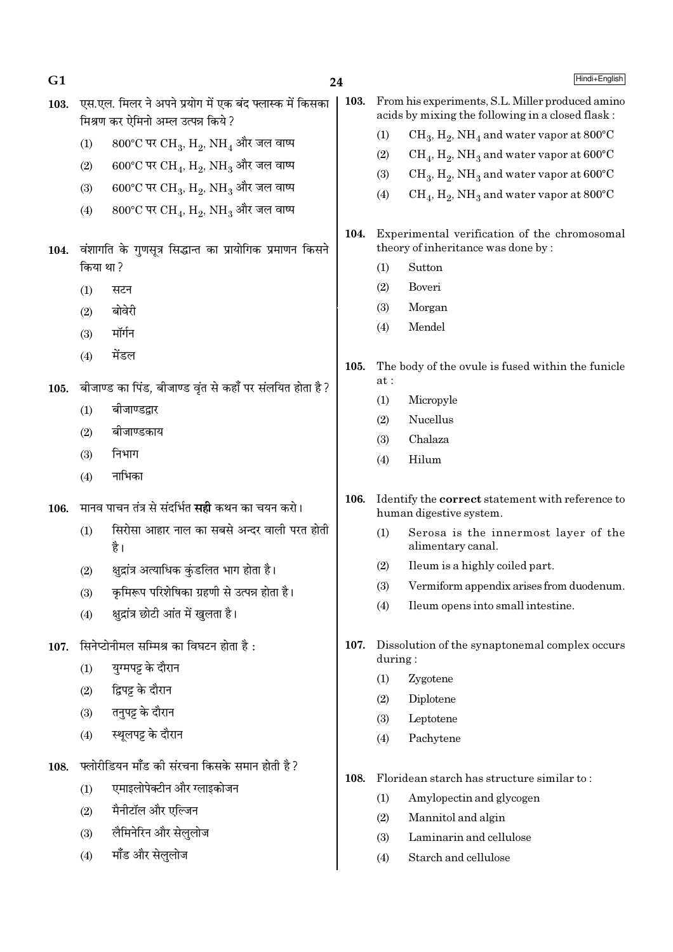| G <sub>1</sub> |          |                                                                                                | 24   |                                                                                    | Hindi+English                                                                                        |  |
|----------------|----------|------------------------------------------------------------------------------------------------|------|------------------------------------------------------------------------------------|------------------------------------------------------------------------------------------------------|--|
| 103.           |          | एस.एल. मिलर ने अपने प्रयोग में एक बंद फ्लास्क में किसका<br>मिश्रण कर ऐमिनो अम्ल उत्पन्न किये ? | 103. |                                                                                    | From his experiments, S.L. Miller produced amino<br>acids by mixing the following in a closed flask: |  |
|                | (1)      | $800^{\circ}$ C पर CH <sub>3</sub> , H <sub>2</sub> , NH <sub>4</sub> और जल वाष्प              |      | (1)                                                                                | $CH_3, H_2, NH_4$ and water vapor at 800°C                                                           |  |
|                | (2)      | 600°C पर CH <sub>4</sub> , H <sub>2</sub> , NH <sub>3</sub> और जल वाष्प                        |      | (2)                                                                                | $CH_4$ , $H_2$ , NH <sub>3</sub> and water vapor at 600°C                                            |  |
|                |          |                                                                                                |      | (3)                                                                                | $CH_3$ , $H_2$ , NH <sub>3</sub> and water vapor at 600°C                                            |  |
|                | (3)      | 600°C पर CH <sub>3</sub> , H <sub>2</sub> , NH <sub>3</sub> और जल वाष्प                        |      | (4)                                                                                | $CH_4$ , $H_2$ , NH <sub>3</sub> and water vapor at 800°C                                            |  |
|                | (4)      | 800°C पर CH <sub>4</sub> , H <sub>2</sub> , NH <sub>3</sub> और जल वाष्प                        |      |                                                                                    |                                                                                                      |  |
| 104.           |          | वंशागति के गुणसूत्र सिद्धान्त का प्रायोगिक प्रमाणन किसने                                       | 104. |                                                                                    | Experimental verification of the chromosomal<br>theory of inheritance was done by:                   |  |
|                | किया था? |                                                                                                |      | (1)                                                                                | Sutton                                                                                               |  |
|                | (1)      | सटन                                                                                            |      | (2)                                                                                | Boveri                                                                                               |  |
|                | (2)      | बोवेरी                                                                                         |      | (3)                                                                                | Morgan<br>Mendel                                                                                     |  |
|                | (3)      | मॉर्गन                                                                                         |      | (4)                                                                                |                                                                                                      |  |
|                | (4)      | मेंडल                                                                                          | 105. | at:                                                                                | The body of the ovule is fused within the funicle                                                    |  |
| 105.           |          | बीजाण्ड का पिंड, बीजाण्ड वृंत से कहाँ पर संलयित होता है?                                       |      | (1)                                                                                | Micropyle                                                                                            |  |
|                | (1)      | बीजाण्डद्वार                                                                                   |      | (2)                                                                                | Nucellus                                                                                             |  |
|                | (2)      | बीजाण्डकाय                                                                                     |      | (3)                                                                                | Chalaza                                                                                              |  |
|                | (3)      | निभाग                                                                                          |      | (4)                                                                                | Hilum                                                                                                |  |
|                | (4)      | नाभिका                                                                                         |      |                                                                                    |                                                                                                      |  |
| 106.           |          | मानव पाचन तंत्र से संदर्भित <b>सही</b> कथन का चयन करो।                                         | 106. | Identify the <b>correct</b> statement with reference to<br>human digestive system. |                                                                                                      |  |
|                | (1)      | सिरोसा आहार नाल का सबसे अन्दर वाली परत होती<br>है।                                             |      | (1)                                                                                | Serosa is the innermost layer of the<br>alimentary canal.                                            |  |
|                | (2)      | क्षुद्रांत्र अत्याधिक कुंडलित भाग होता है।                                                     |      | (2)                                                                                | Ileum is a highly coiled part.                                                                       |  |
|                | (3)      | कृमिरूप परिशेषिका ग्रहणी से उत्पन्न होता है।                                                   |      | (3)                                                                                | Vermiform appendix arises from duodenum.                                                             |  |
|                | (4)      | क्षुद्रांत्र छोटी आंत में खुलता है।                                                            |      | (4)                                                                                | Ileum opens into small intestine.                                                                    |  |
| 107.           |          | सिनेप्टोनीमल सम्मिश्र का विघटन होता है:                                                        | 107. | during:                                                                            | Dissolution of the synaptonemal complex occurs                                                       |  |
|                | (1)      | युग्मपट्ट के दौरान                                                                             |      | (1)                                                                                | Zygotene                                                                                             |  |
|                | (2)      | द्विपट्ट के दौरान                                                                              |      | (2)                                                                                | Diplotene                                                                                            |  |
|                | (3)      | तनुपट्ट के दौरान                                                                               |      | (3)                                                                                | Leptotene                                                                                            |  |
|                | (4)      | स्थूलपट्ट के दौरान                                                                             |      | (4)                                                                                | Pachytene                                                                                            |  |
| 108.           |          | फ्लोरीडियन मॉॅंड की संरचना किसके समान होती है?                                                 | 108. |                                                                                    | Floridean starch has structure similar to:                                                           |  |
|                | (1)      | एमाइलोपेक्टीन और ग्लाइकोजन                                                                     |      | (1)                                                                                | Amylopectin and glycogen                                                                             |  |
|                | (2)      | मैनीटॉल और एल्जिन                                                                              |      | (2)                                                                                | Mannitol and algin                                                                                   |  |
|                | (3)      | लैमिनेरिन और सेलुलोज                                                                           |      | (3)                                                                                | Laminarin and cellulose                                                                              |  |
|                | (4)      | मॉंड और सेलुलोज                                                                                |      | (4)                                                                                | Starch and cellulose                                                                                 |  |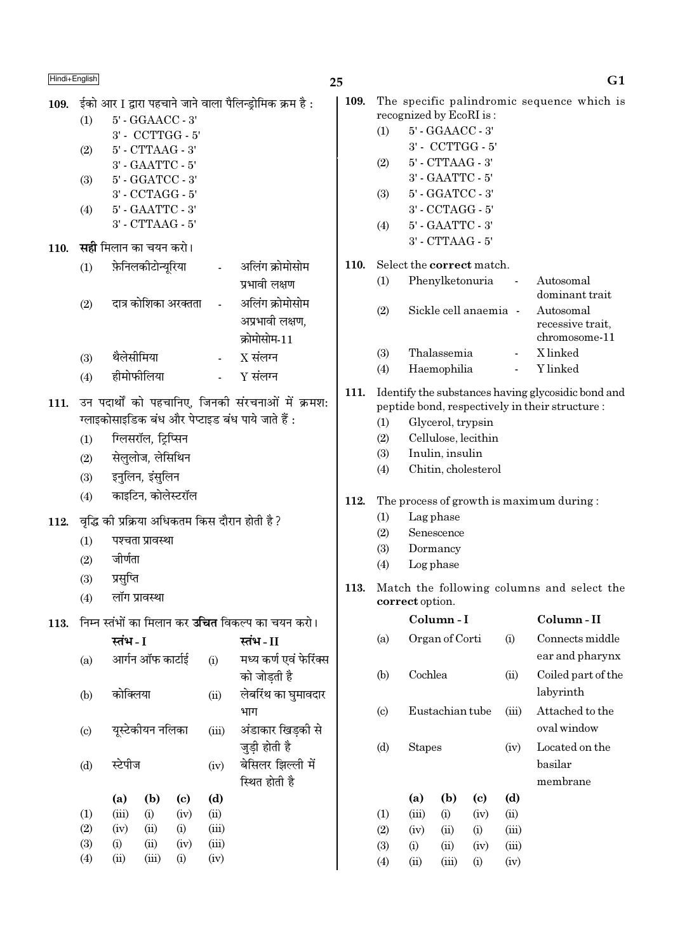## 25

| 109. | (1)<br>(2)<br>(3)<br>(4)   | ईको आर I द्वारा पहचाने जाने वाला पैलिन्ड्रोमिक क्रम है :<br>5' - GGAACC - 3'<br>3' - CCTTGG - 5'<br>$5'$ - $CTTAAG$ - $3'$<br>3' - GAATTC - 5'<br>5' - GGATCC - 3'<br>3' - CCTAGG - 5'<br>5' - GAATTC - 3'<br>3' - CTTAAG - 5' |                    |                      |            |                                                          |  |  |  |
|------|----------------------------|--------------------------------------------------------------------------------------------------------------------------------------------------------------------------------------------------------------------------------|--------------------|----------------------|------------|----------------------------------------------------------|--|--|--|
| 110. |                            | <b>सही</b> मिलान का चयन करो।                                                                                                                                                                                                   |                    |                      |            |                                                          |  |  |  |
|      | (1)                        |                                                                                                                                                                                                                                | फ़ेनिलकीटोन्यूरिया |                      |            | अलिंग क्रोमोसोम<br>प्रभावी लक्षण                         |  |  |  |
|      | (2)                        |                                                                                                                                                                                                                                |                    | दात्र कोशिका अरक्तता | $\sim 100$ | अलिंग क्रोमोसोम<br>अप्रभावी लक्षण,<br>क्रोमोसोम-11       |  |  |  |
|      | (3)                        | थैलेसीमिया                                                                                                                                                                                                                     |                    |                      |            | $X$ संलग्न                                               |  |  |  |
|      | (4)                        | हीमोफीलिया                                                                                                                                                                                                                     |                    |                      | $Y$ संलग्न |                                                          |  |  |  |
| 111. | (1)<br>(2)<br>(3)<br>(4)   | उन पदार्थों को पहचानिए, जिनकी संरचनाओं में क्रमश:<br>ग्लाइकोसाइडिक बंध और पेप्टाइड बंध पाये जाते हैं :<br>ग्लिसरॉल, ट्रिप्सिन<br>सेलुलोज, लेसिथिन<br>इनुलिन, इंसुलिन<br>काइटिन, कोलेस्टरॉल                                     |                    |                      |            |                                                          |  |  |  |
|      |                            |                                                                                                                                                                                                                                |                    |                      |            | 112. वृद्धि की प्रक्रिया अधिकतम किस दौरान होती है ?      |  |  |  |
|      | (1)<br>(2)<br>(3)<br>(4)   | जीर्णता<br>प्रसुप्ति<br>लॉग प्रावस्था                                                                                                                                                                                          | पश्चता प्रावस्था   |                      |            |                                                          |  |  |  |
| 113. |                            |                                                                                                                                                                                                                                |                    |                      |            | निम्न स्तंभों का मिलान कर <b>उचित</b> विकल्प का चयन करो। |  |  |  |
|      |                            | स्तंभ - I                                                                                                                                                                                                                      |                    |                      |            | स्तंभ - II                                               |  |  |  |
|      | (a)                        |                                                                                                                                                                                                                                | आर्गन ऑफ कार्टाई   |                      | (i)        | मध्य कर्ण एवं फेरिंक्स<br>को जोडती है                    |  |  |  |
|      | (b)                        | कोक्लिया                                                                                                                                                                                                                       |                    |                      | (ii)       | लेबरिंथ का घुमावदार<br>भाग                               |  |  |  |
|      | $\left( \mathrm{c}\right)$ |                                                                                                                                                                                                                                | यूस्टेकीयन नलिका   |                      | (iii)      | अंडाकार खिड़की से<br>जुड़ी होती है                       |  |  |  |
|      | (d)                        | स्टेपीज                                                                                                                                                                                                                        |                    |                      | (iv)       | बेसिलर झिल्ली में<br>स्थित होती है                       |  |  |  |
|      |                            | (a)                                                                                                                                                                                                                            | (b)                | (c)                  | (d)        |                                                          |  |  |  |
|      | (1)                        | (iii)                                                                                                                                                                                                                          | (i)                | (iv)                 | (ii)       |                                                          |  |  |  |
|      | (2)                        | (iv)                                                                                                                                                                                                                           | (ii)               | (i)                  | (iii)      |                                                          |  |  |  |
|      | (3)                        | (i)                                                                                                                                                                                                                            | (ii)               | (iv)                 | (iii)      |                                                          |  |  |  |
|      | (4)                        | (ii)                                                                                                                                                                                                                           | (iii)              | (i)                  | (iv)       |                                                          |  |  |  |

| ,    |     |                                                                                                       | σı                                             |
|------|-----|-------------------------------------------------------------------------------------------------------|------------------------------------------------|
| 109. |     | The specific palindromic sequence which is<br>recognized by EcoRI is:                                 |                                                |
|      | (1) | 5' - GGAACC - 3'                                                                                      |                                                |
|      |     | 3' - CCTTGG - 5'                                                                                      |                                                |
|      | (2) | 5' - CTTAAG - 3'                                                                                      |                                                |
|      |     | 3' - GAATTC - 5'                                                                                      |                                                |
|      | (3) | 5' - GGATCC - 3'                                                                                      |                                                |
|      |     | 3' - CCTAGG - 5'                                                                                      |                                                |
|      | (4) | $5'$ - $\text{GAATTC}$ - $3'$                                                                         |                                                |
|      |     | 3' - CTTAAG - 5'                                                                                      |                                                |
| 110. |     | Select the <b>correct</b> match.                                                                      |                                                |
|      | (1) | Phenylketonuria                                                                                       | Autosomal<br>dominant trait                    |
|      | (2) | Sickle cell anaemia -                                                                                 | Autosomal<br>recessive trait,<br>chromosome-11 |
|      | (3) | Thalassemia                                                                                           | X linked                                       |
|      | (4) | Haemophilia                                                                                           | Y linked                                       |
| 111. |     | Identify the substances having glycosidic bond and<br>peptide bond, respectively in their structure : |                                                |
|      | (1) | Glycerol, trypsin                                                                                     |                                                |
|      | (2) | Cellulose, lecithin                                                                                   |                                                |
|      | (3) | Inulin, insulin                                                                                       |                                                |
|      | (4) | Chitin, cholesterol                                                                                   |                                                |
|      |     |                                                                                                       |                                                |

## 112. The process of growth is maximum during:

- $(1)$ Lag phase
- $(2)$ Senescence
- $(3)$ Dormancy
- Log phase  $(4)$
- 113. Match the following columns and select the correct option.

|                             |         | Column - I      |      |       | Column - II        |
|-----------------------------|---------|-----------------|------|-------|--------------------|
| (a)                         |         | Organ of Corti  |      | (i)   | Connects middle    |
|                             |         |                 |      |       | ear and pharynx    |
| (b)                         | Cochlea |                 |      | (ii)  | Coiled part of the |
|                             |         |                 |      |       | labyrinth          |
| $\left( \mathrm{c} \right)$ |         | Eustachian tube |      | (iii) | Attached to the    |
|                             |         |                 |      |       | oval window        |
| (d)                         | Stapes  |                 |      | (iv)  | Located on the     |
|                             |         |                 |      |       | basilar            |
|                             |         |                 |      |       | membrane           |
|                             | (a)     | (b)             | (c)  | (d)   |                    |
| (1)                         | (iii)   | (i)             | (iv) | (ii)  |                    |
| (2)                         | (iv)    | (ii)            | (i)  | (iii) |                    |
| (3)                         | (i)     | (ii)            | (iv) | (iii) |                    |
| $\left( 4\right)$           | (ii)    | (iii)           | (i)  | (iv)  |                    |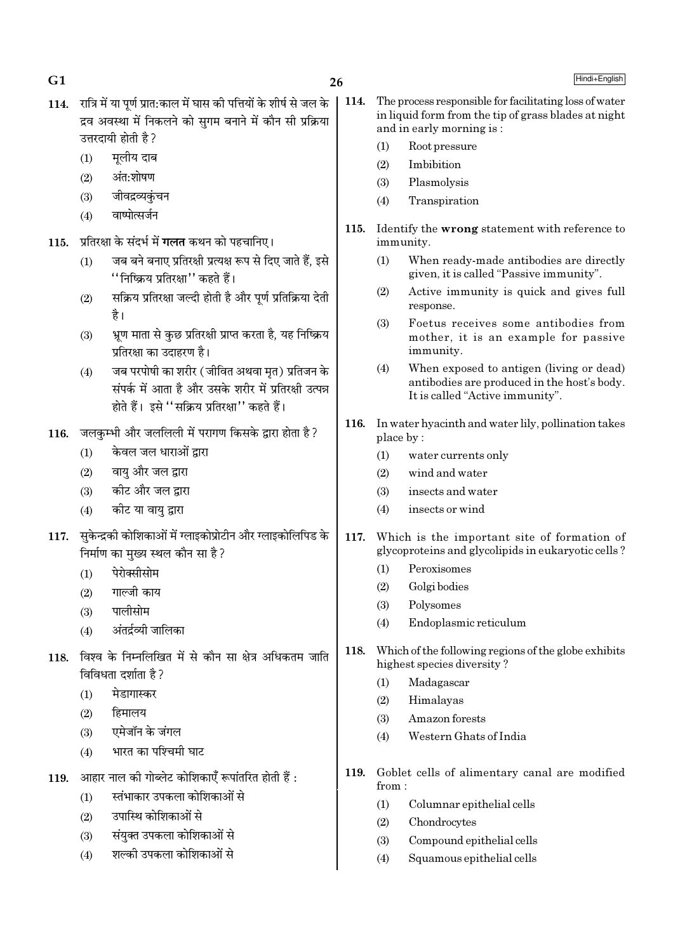26

- 114. रात्रि में या पर्ण प्रात:काल में घास की पत्तियों के शीर्ष से जल के द्रव अवस्था में निकलने को सगम बनाने में कौन सी प्रक्रिया उत्तरदायी होती है ?
	- मलीय दाब  $(1)$

 $G1$ 

- अंत:शोषण  $(2)$
- जीवद्रव्यकंचन  $(3)$
- वाष्पोत्सर्जन  $(4)$
- 115. प्रतिरक्षा के संदर्भ में गलत कथन को पहचानिए।
	- जब बने बनाए प्रतिरक्षी प्रत्यक्ष रूप से दिए जाते हैं, इसे  $(1)$ ''निष्क्रिय प्रतिरक्षा'' कहते हैं।
	- सक्रिय प्रतिरक्षा जल्दी होती है और पूर्ण प्रतिक्रिया देती  $(2)$ है।
	- भ्रण माता से कछ प्रतिरक्षी प्राप्त करता है. यह निष्क्रिय  $(3)$ प्रतिरक्षा का उदाहरण है।
	- जब परपोषी का शरीर (जीवित अथवा मृत) प्रतिजन के  $(4)$ संपर्क में आता है और उसके शरीर में प्रतिरक्षी उत्पन्न होते हैं। इसे ''सक्रिय प्रतिरक्षा'' कहते हैं।
- 116. जलकम्भी और जललिली में परागण किसके द्वारा होता है ?
	- केवल जल धाराओं द्वारा  $(1)$
	- वायु और जल द्वारा  $(2)$
	- कीट और जल द्रारा  $(3)$
	- कीट या वायु द्वारा  $(4)$
- 117. सुकेन्द्रकी कोशिकाओं में ग्लाइकोप्रोटीन और ग्लाइकोलिपिड के निर्माण का मुख्य स्थल कौन सा है?
	- पेरोक्सीसोम  $(1)$
	- गाल्जी काय  $(2)$
	- पालीसोम  $(3)$
	- अंतर्द्रव्यी जालिका  $(4)$
- 118. विश्व के निम्नलिखित में से कौन सा क्षेत्र अधिकतम जाति विविधता दर्शाता है ?
	- मेडागास्कर  $(1)$
	- हिमालय  $(2)$
	- एमेजॉन के जंगल  $(3)$
	- भारत का पश्चिमी घाट  $(4)$
- आहार नाल की गोब्लेट कोशिकाएँ रूपांतरित होती हैं : 119.
	- स्तंभाकार उपकला कोशिकाओं से  $(1)$
	- उपास्थि कोशिकाओं से  $(2)$
	- संयक्त उपकला कोशिकाओं से  $(3)$
	- शल्की उपकला कोशिकाओं से  $(4)$
- 114. The process responsible for facilitating loss of water in liquid form from the tip of grass blades at night and in early morning is:
	- Root pressure  $(1)$
	- $(2)$ Imbibition
	- $(3)$ Plasmolysis
	- Transpiration  $(4)$
- 115. Identify the wrong statement with reference to immunity.
	- $(1)$ When ready-made antibodies are directly given, it is called "Passive immunity".
	- Active immunity is quick and gives full  $(2)$ response.
	- Foetus receives some antibodies from  $(3)$ mother, it is an example for passive immunity.
	- $(4)$ When exposed to antigen (living or dead) antibodies are produced in the host's body. It is called "Active immunity".
- 116. In water hyacinth and water lily, pollination takes place by:
	- $(1)$ water currents only
	- wind and water  $(2)$
	- insects and water  $(3)$
	- insects or wind  $(4)$
- $117.$ Which is the important site of formation of glycoproteins and glycolipids in eukaryotic cells?
	- $(1)$ Peroxisomes
	- Golgi bodies  $(2)$
	- $(3)$ Polysomes
	- $(4)$ Endoplasmic reticulum
- 118. Which of the following regions of the globe exhibits highest species diversity?
	- Madagascar  $(1)$
	- Himalayas  $(2)$
	- $(3)$ Amazon forests
	- Western Ghats of India  $(4)$
- 119. Goblet cells of alimentary canal are modified from:
	- $(1)$ Columnar epithelial cells
	- $(2)$ Chondrocytes
	- $(3)$ Compound epithelial cells
	- $(4)$ Squamous epithelial cells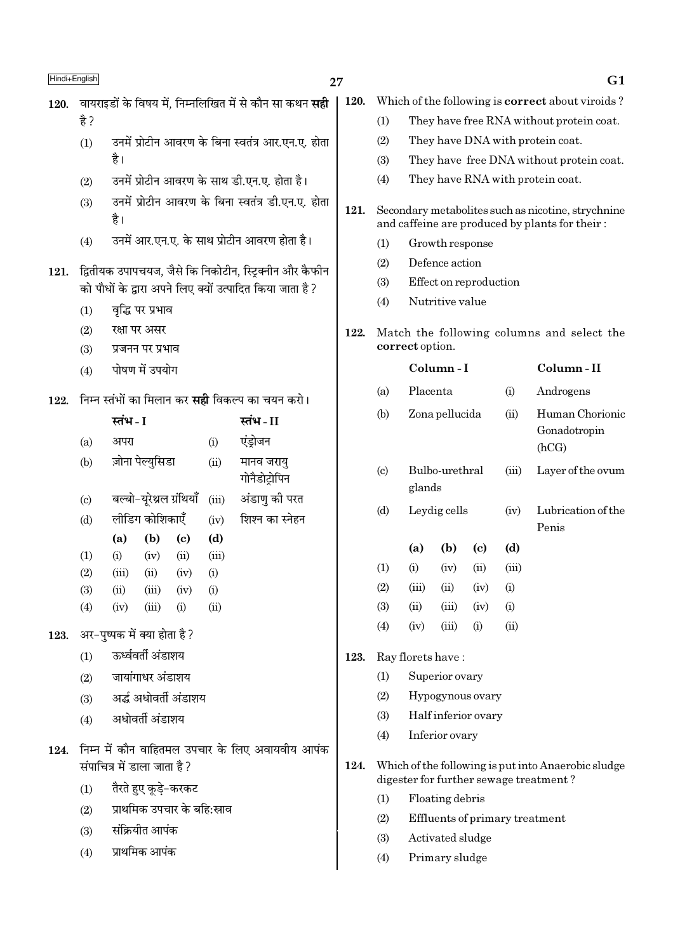## 27

- 120. वायराइडों के विषय में. निम्नलिखित में से कौन सा कथन सद्दी  $\frac{4}{5}$ 
	- उनमें प्रोटीन आवरण के बिना स्वतंत्र आर.एन.ए. होता  $(1)$ है।
	- उनमें प्रोटीन आवरण के साथ डी.एन.ए. होता है।  $(2)$
	- उनमें प्रोटीन आवरण के बिना स्वतंत्र डी.एन.ए. होता  $(3)$ है।
	- उनमें आर.एन.ए. के साथ प्रोटीन आवरण होता है।  $(4)$

## 121. द्वितीयक उपापचयज, जैसे कि निकोटीन, स्टिक्नीन और कैफीन को पौधों के द्वारा अपने लिए क्यों उत्पादित किया जाता है?

- वृद्धि पर प्रभाव  $(1)$
- रक्षा पर असर  $(2)$
- $(3)$ प्रजनन पर प्रभाव
- पोषण में उपयोग  $(4)$
- निम्न स्तंभों का मिलान कर **सही** विकल्प का चयन करो। 122.

|                             | स्तंभ - I                    |                          |                        |       | स्तंभ - II                  |
|-----------------------------|------------------------------|--------------------------|------------------------|-------|-----------------------------|
| (a)                         | अपरा                         |                          |                        | (i)   | एंड़ोजन                     |
| (b)                         |                              | ज़ोना पेल्युसिडा         |                        | (ii)  | मानव जरायु<br>गोनैडोट्रोपिन |
| $\left( \mathrm{c} \right)$ |                              | बल्बो-यूरेथ्रल ग्रंथियाँ |                        | (iii) | अंडाणु की परत               |
| (d)                         |                              | लीडिग कोशिकाएँ           |                        | (iv)  | शिश्न का स्नेहन             |
|                             | (a)                          | (b)                      | (c)                    | (d)   |                             |
| $\left(1\right)$            | (i)                          | (iv)                     | (ii)                   | (iii) |                             |
| (2)                         | (iii)                        | (ii)                     | (iv)                   | (i)   |                             |
| (3)                         | (ii)                         | $(iii)$ $(iv)$           |                        | (i)   |                             |
| (4)                         | (iv)                         | (iii)                    | (i)                    | (ii)  |                             |
|                             | अर–पुष्पक में क्या होता है ? |                          |                        |       |                             |
| (1)                         |                              | ऊर्ध्ववर्ती अंडाशय       |                        |       |                             |
| (2)                         |                              | जायांगाधर अंडाशय         |                        |       |                             |
| (3)                         |                              |                          | अर्द्ध अधोवर्ती अंडाशय |       |                             |
| (4)                         |                              | अधोवर्ती अंडाशय          |                        |       |                             |
|                             |                              |                          |                        |       |                             |

- 124. निम्न में कौन वाहितमल उपचार के लिए अवायवीय आपंक संपाचित्र में डाला जाता है?
	- तैरते हुए कुडे-करकट  $(1)$
	- प्राथमिक उपचार के बहि:स्राव  $(2)$
	- संक्रियीत आपंक  $(3)$

123.

प्राथमिक आपंक  $(4)$ 

- 120. Which of the following is **correct** about viroids?
	- $(1)$ They have free RNA without protein coat.
	- They have DNA with protein coat.  $(2)$
	- They have free DNA without protein coat.  $(3)$
	- They have RNA with protein coat.  $(4)$
- 121. Secondary metabolites such as nicotine, strychnine and caffeine are produced by plants for their:
	- Growth response  $(1)$
	- $(2)$ Defence action
	- $(3)$ Effect on reproduction
	- $(4)$ Nutritive value
- 122. Match the following columns and select the correct option.

|                            |          | Column - I     |                    |            | Column - II                              |
|----------------------------|----------|----------------|--------------------|------------|------------------------------------------|
| (a)                        | Placenta |                |                    | (i)        | Androgens                                |
| (b)                        |          | Zona pellucida |                    | (ii)       | Human Chorionic<br>Gonadotropin<br>(hCG) |
| $\left( \mathrm{c}\right)$ | glands   | Bulbo-urethral |                    | (iii)      | Layer of the ovum                        |
| (d)                        |          | Leydig cells   |                    | (iv)       | Lubrication of the<br>Penis              |
|                            | (a)      | (b)            | (c)                | (d)        |                                          |
| (1)                        | (i)      | (iv)           | (ii)               | (iii)      |                                          |
| (2)                        | (iii)    | (ii)           | (iv)               | (i)        |                                          |
| (3)                        | (ii)     | (iii)          | (iv)               | (i)        |                                          |
| (4)                        | (iv)     | (iii)          | $\rm \textbf{(i)}$ | $\rm (ii)$ |                                          |

#### 123. Ray florets have:

- $(1)$ Superior ovary
- $(2)$ Hypogynous ovary
- $(3)$ Half inferior ovary
- $(4)$ Inferior ovary
- 124. Which of the following is put into Anaerobic sludge digester for further sewage treatment?
	- $(1)$ Floating debris
	- $(2)$ Effluents of primary treatment
	- $(3)$ Activated sludge
	- $(4)$ Primary sludge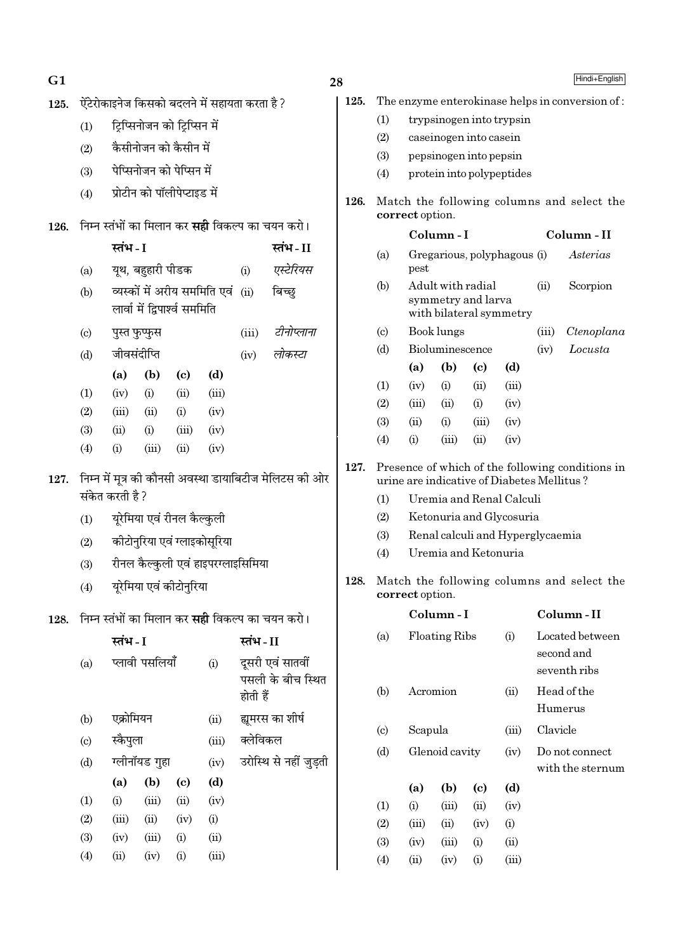| G1   |                                                                           |                                     |                   |                               |       |                                               |                                                                                                                            | 28                                                            |                            |                                                                     |                                                                    |                             |                             |          | Hindi+English                              |
|------|---------------------------------------------------------------------------|-------------------------------------|-------------------|-------------------------------|-------|-----------------------------------------------|----------------------------------------------------------------------------------------------------------------------------|---------------------------------------------------------------|----------------------------|---------------------------------------------------------------------|--------------------------------------------------------------------|-----------------------------|-----------------------------|----------|--------------------------------------------|
| 125. | ऐंटेरोकाइनेज किसको बदलने में सहायता करता है ?                             |                                     |                   |                               |       |                                               |                                                                                                                            | 125.                                                          |                            | The enzyme enterokinase helps in conversion of:                     |                                                                    |                             |                             |          |                                            |
|      | ट्रिप्सिनोजन को ट्रिप्सिन में<br>(1)                                      |                                     |                   |                               |       |                                               |                                                                                                                            | (1)                                                           | trypsinogen into trypsin   |                                                                     |                                                                    |                             |                             |          |                                            |
|      | (2)                                                                       | कैसीनोजन को कैसीन में               |                   |                               |       |                                               |                                                                                                                            |                                                               | (2)                        | caseinogen into casein                                              |                                                                    |                             |                             |          |                                            |
|      |                                                                           | पेप्सिनोजन को पेप्सिन में           |                   |                               |       |                                               |                                                                                                                            |                                                               | (3)                        |                                                                     |                                                                    | pepsinogen into pepsin      |                             |          |                                            |
|      | (3)                                                                       |                                     |                   |                               |       |                                               |                                                                                                                            |                                                               | (4)                        |                                                                     |                                                                    |                             | protein into polypeptides   |          |                                            |
|      | (4)                                                                       |                                     |                   | प्रोटीन को पॉलीपेप्टाइड में   |       |                                               |                                                                                                                            | 126.                                                          |                            | correct option.                                                     |                                                                    |                             |                             |          | Match the following columns and select the |
| 126. | निम्न स्तंभों का मिलान कर <b>सही</b> विकल्प का चयन करो।                   |                                     |                   |                               |       |                                               |                                                                                                                            |                                                               | Column-I                   |                                                                     |                                                                    |                             | Column - II                 |          |                                            |
|      |                                                                           | स्तंभ - I                           | यूथ, बहुहारी पीडक |                               |       |                                               | स्तंभ-II<br>एस्टेरियस                                                                                                      |                                                               | (a)                        | pest                                                                |                                                                    |                             | Gregarious, polyphagous (i) |          | Asterias                                   |
|      | (a)                                                                       |                                     |                   |                               |       | (i)                                           |                                                                                                                            |                                                               | (b)                        |                                                                     |                                                                    |                             |                             | (ii)     | Scorpion                                   |
|      | (b)                                                                       |                                     |                   | लार्वा में द्विपार्श्व सममिति |       | व्यस्कों में अरीय सममिति एवं<br>बिच्छ<br>(ii) |                                                                                                                            |                                                               |                            |                                                                     | Adult with radial<br>symmetry and larva<br>with bilateral symmetry |                             |                             |          |                                            |
|      | $\left( \mathrm{c} \right)$                                               |                                     | पुस्त फुप्फुस     |                               |       | (iii)                                         | टीनोप्लाना                                                                                                                 |                                                               | $\left( \circ \right)$     |                                                                     | Book lungs                                                         |                             |                             | (iii)    | Ctenoplana                                 |
|      | (d)                                                                       |                                     | जीवसंदीप्ति       |                               |       | (iv)                                          | लोकस्टा                                                                                                                    |                                                               | (d)                        |                                                                     | Bioluminescence                                                    |                             |                             | (iv)     | Locusta                                    |
|      |                                                                           | (a)                                 | (b)               | $\left( \mathbf{c} \right)$   | (d)   |                                               |                                                                                                                            |                                                               |                            | (a)                                                                 | (b)                                                                | (c)                         | (d)                         |          |                                            |
|      | (1)                                                                       | (iv)                                | (i)               | (ii)                          | (iii) |                                               |                                                                                                                            |                                                               | (1)                        | (iv)                                                                | (i)                                                                | (ii)                        | (iii)                       |          |                                            |
|      | (2)                                                                       | (iii)                               | (ii)              | (i)                           | (iv)  |                                               |                                                                                                                            |                                                               | (2)<br>(3)                 | (iii)<br>(ii)                                                       | (ii)<br>(i)                                                        | (i)<br>(iii)                | (iv)<br>(iv)                |          |                                            |
|      | (3)                                                                       | (ii)                                | (i)               | (iii)                         | (iv)  |                                               |                                                                                                                            |                                                               | (4)                        | (i)                                                                 | (iii)                                                              | (ii)                        | (iv)                        |          |                                            |
|      | (4)                                                                       | (i)                                 | (iii)             | (ii)                          | (iv)  |                                               |                                                                                                                            |                                                               |                            |                                                                     |                                                                    |                             |                             |          |                                            |
| 127. | निम्न में मूत्र की कौनसी अवस्था डायाबिटीज मेलिटस की ओर<br>संकेत करती है ? |                                     |                   |                               |       | 127.                                          | Presence of which of the following conditions in<br>urine are indicative of Diabetes Mellitus?<br>Uremia and Renal Calculi |                                                               |                            |                                                                     |                                                                    |                             |                             |          |                                            |
|      |                                                                           |                                     |                   |                               |       |                                               |                                                                                                                            | (1)                                                           |                            |                                                                     |                                                                    |                             |                             |          |                                            |
|      |                                                                           | यूरेमिया एवं रीनल कैल्कुली<br>(1)   |                   |                               |       |                                               |                                                                                                                            |                                                               | (2)                        | Ketonuria and Glycosuria<br>Renal calculi and Hyperglycaemia<br>(3) |                                                                    |                             |                             |          |                                            |
|      |                                                                           | कीटोनुरिया एवं ग्लाइकोसूरिया<br>(2) |                   |                               |       |                                               |                                                                                                                            |                                                               |                            | Uremia and Ketonuria<br>(4)                                         |                                                                    |                             |                             |          |                                            |
|      | (3)                                                                       | रीनल कैल्कुली एवं हाइपरग्लाइसिमिया  |                   |                               |       |                                               |                                                                                                                            |                                                               |                            |                                                                     |                                                                    |                             |                             |          |                                            |
|      | (4)                                                                       | यूरेमिया एवं कीटोनुरिया             |                   |                               |       |                                               | 128.                                                                                                                       | Match the following columns and select the<br>correct option. |                            |                                                                     |                                                                    |                             |                             |          |                                            |
| 128. |                                                                           |                                     |                   |                               |       |                                               | निम्न स्तंभों का मिलान कर <b>सही</b> विकल्प का चयन करो।                                                                    |                                                               |                            |                                                                     | Column-I                                                           |                             |                             |          | Column-II                                  |
|      |                                                                           | स्तंभ - I                           |                   |                               |       | स्तंभ - II                                    |                                                                                                                            |                                                               | (a)                        |                                                                     | <b>Floating Ribs</b>                                               |                             | (i)                         |          | Located between                            |
|      | (a)                                                                       |                                     | प्लावी पसलियाँ    |                               | (i)   |                                               | दूसरी एवं सातवीं<br>पसली के बीच स्थित                                                                                      |                                                               |                            |                                                                     |                                                                    |                             |                             |          | second and<br>seventh ribs                 |
|      |                                                                           |                                     |                   |                               |       | होती हैं                                      |                                                                                                                            |                                                               | (b)                        | Acromion                                                            |                                                                    |                             | (ii)                        |          | Head of the                                |
|      | (b)                                                                       | एक्रोमियन                           |                   |                               | (ii)  |                                               | ह्यमरस का शीर्ष                                                                                                            |                                                               |                            | Scapula                                                             |                                                                    |                             | (iii)                       | Clavicle | Humerus                                    |
|      | $\left( \mathrm{c}\right)$                                                | स्कैपुला                            |                   |                               | (iii) | क्लेविकल                                      |                                                                                                                            |                                                               | $\left( \mathrm{c}\right)$ |                                                                     |                                                                    |                             |                             |          |                                            |
|      | (d)                                                                       |                                     | ग्लीनॉयड गुहा     |                               | (iv)  |                                               | उरोस्थि से नहीं जुड़ती                                                                                                     |                                                               | (d)                        |                                                                     | Glenoid cavity                                                     |                             | (iv)                        |          | Do not connect<br>with the sternum         |
|      |                                                                           | (a)                                 | (b)               | $\left( \mathbf{c} \right)$   | (d)   |                                               |                                                                                                                            |                                                               |                            | (a)                                                                 | (b)                                                                | $\left( \mathbf{c} \right)$ | (d)                         |          |                                            |
|      | (1)                                                                       | (i)                                 | (iii)             | (ii)                          | (iv)  |                                               |                                                                                                                            |                                                               | (1)                        | (i)                                                                 | (iii)                                                              | (ii)                        | (iv)                        |          |                                            |
|      | (2)                                                                       | (iii)                               | (ii)              | (iv)                          | (i)   |                                               |                                                                                                                            |                                                               | (2)                        | (iii)                                                               | (ii)                                                               | (iv)                        | (i)                         |          |                                            |
|      | (3)                                                                       | (iv)                                | (iii)             | (i)                           | (ii)  |                                               |                                                                                                                            |                                                               | (3)                        | (iv)                                                                | (iii)                                                              | (i)                         | (ii)                        |          |                                            |
|      | (4)                                                                       | (ii)                                | (iv)              | (i)                           | (iii) |                                               |                                                                                                                            |                                                               | (4)                        | (ii)                                                                | (iv)                                                               | (i)                         | (iii)                       |          |                                            |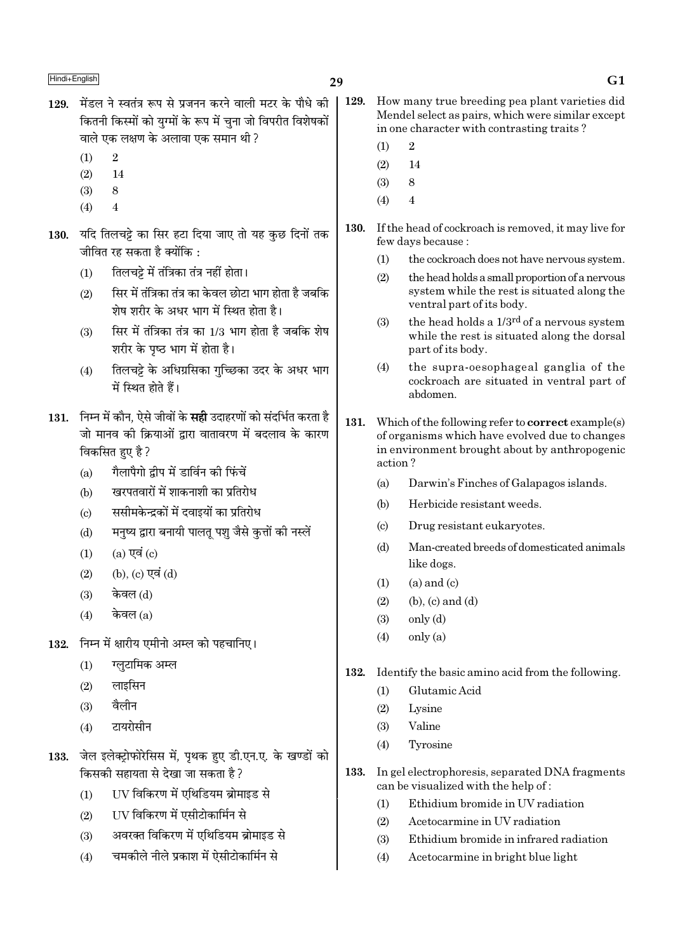- 129. मेंडल ने स्वतंत्र रूप से प्रजनन करने वाली मटर के पौधे की कितनी किस्मों को यग्मों के रूप में चना जो विपरीत विशेषकों वाले एक लक्षण के अलावा एक समान थी ?
	- $(1)$  $\overline{2}$
	- $(2)$ 14
	- $(3)$ 8
	- $(4)$  $\overline{4}$
- 130. यदि तिलचट्टे का सिर हटा दिया जाए तो यह कुछ दिनों तक जीवित रह सकता है क्योंकि :
	- तिलचट्टे में तंत्रिका तंत्र नहीं होता।  $(1)$
	- सिर में तंत्रिका तंत्र का केवल छोटा भाग होता है जबकि  $(2)$ .<br>शेष शरीर के अधर भाग में स्थित होता है।
	- सिर में तंत्रिका तंत्र का 1/3 भाग होता है जबकि शेष  $(3)$ शरीर के पष्ठ भाग में होता है।
	- तिलचट्टे के अधिग्रसिका गुच्छिका उदर के अधर भाग  $(4)$ में स्थित होते हैं।
- 131. निम्न में कौन. ऐसे जीवों के सही उदाहरणों को संदर्भित करता है जो मानव की क्रियाओं द्वारा वातावरण में बदलाव के कारण विकसित हुए है ?
	- गैलापैगो द्वीप में डार्विन की फिंचें  $(a)$
	- खरपतवारों में शाकनाशी का प्रतिरोध  $(b)$
	- ससीमकेन्द्रकों में दवाइयों का प्रतिरोध  $(c)$
	- मनुष्य द्वारा बनायी पालतू पशु जैसे कृतों की नस्लें  $(d)$
	- $(a)$  एवं  $(c)$  $(1)$
	- (b),  $(c)$  एवं  $(d)$  $(2)$
	- केवल (ते)  $(3)$
	- केवल  $(a)$  $(4)$
- निम्न में क्षारीय एमीनो अम्ल को पहचानिए। 132.
	- ग्लुटामिक अम्ल  $(1)$
	- $(2)$ लाइसिन
	- वैलीन  $(3)$
	- $(4)$ टायरोसीन
- 133. जेल इलेक्ट्रोफोरेसिस में, पृथक हुए डी.एन.ए. के खण्डों को किसकी सहायता से देखा जा सकता है ?
	- UV विकिरण में एथिडियम ब्रोमाइड से  $(1)$
	- UV विकिरण में एसीटोकार्मिन से  $(2)$
	- अवरक्त विकिरण में एथिडियम ब्रोमाइड से  $(3)$
	- चमकीले नीले प्रकाश में ऐसीटोकार्मिन से  $(4)$
- 129. How many true breeding pea plant varieties did Mendel select as pairs, which were similar except in one character with contrasting traits?
	- $\overline{2}$  $(1)$
	- $(2)$ 14
	- $(3)$ 8
	- $(4)$  $\overline{4}$
- 130. If the head of cockroach is removed, it may live for few days because:
	- the cockroach does not have nervous system.  $(1)$
	- $(2)$ the head holds a small proportion of a nervous system while the rest is situated along the ventral part of its body.
	- $(3)$ the head holds a 1/3<sup>rd</sup> of a nervous system while the rest is situated along the dorsal part of its body.
	- the supra-oesophageal ganglia of the  $(4)$ cockroach are situated in ventral part of ahdomen
- 131. Which of the following refer to **correct** example(s) of organisms which have evolved due to changes in environment brought about by anthropogenic action?
	- $(a)$ Darwin's Finches of Galapagos islands.
	- $(b)$ Herbicide resistant weeds.
	- Drug resistant eukaryotes.  $\left( \text{c} \right)$
	- Man-created breeds of domesticated animals  $(d)$ like dogs.
	- $(a)$  and  $(c)$  $(1)$
	- $(2)$  $(b)$ ,  $(c)$  and  $(d)$
	- $(3)$ only (d)
	- $only (a)$  $(4)$
- 132. Identify the basic amino acid from the following.
	- Glutamic Acid  $(1)$
	- $(2)$ Lysine
	- Valine  $(3)$
	- Tyrosine  $(4)$
- 133. In gel electrophoresis, separated DNA fragments can be visualized with the help of:
	- Ethidium bromide in UV radiation  $(1)$
	- $(2)$ Acetocarmine in UV radiation
	- $(3)$ Ethidium bromide in infrared radiation
	- Acetocarmine in bright blue light  $(4)$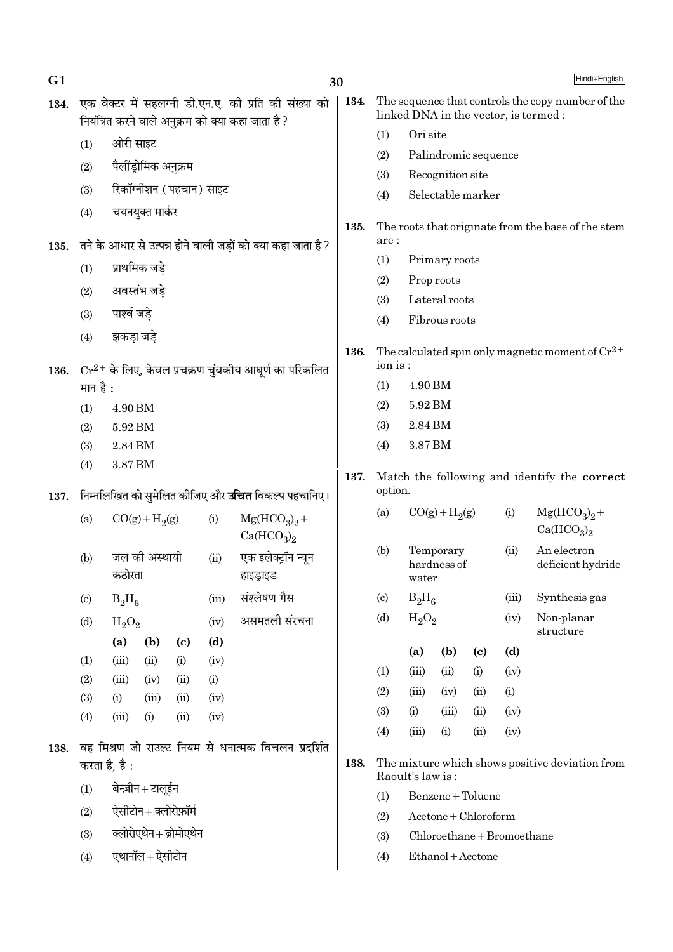| G <sub>1</sub> |                                                            | 30                                                                            |                            |                      |                                                              |                                                         |                                   |                                                                                            |                          |                            | Hindi+English                      |                                                       |  |
|----------------|------------------------------------------------------------|-------------------------------------------------------------------------------|----------------------------|----------------------|--------------------------------------------------------------|---------------------------------------------------------|-----------------------------------|--------------------------------------------------------------------------------------------|--------------------------|----------------------------|------------------------------------|-------------------------------------------------------|--|
| 134.           |                                                            | नियंत्रित करने वाले अनुक्रम को क्या कहा जाता है ?                             |                            |                      | एक वेक्टर में सहलग्नी डी.एन.ए. की प्रति की संख्या को         | 134.                                                    |                                   | The sequence that controls the copy number of the<br>linked DNA in the vector, is termed : |                          |                            |                                    |                                                       |  |
|                | (1)                                                        | ओरी साइट                                                                      |                            |                      |                                                              |                                                         | (1)                               | Ori site                                                                                   |                          |                            |                                    |                                                       |  |
|                | (2)                                                        | पैलींड्रोमिक अनुक्रम                                                          |                            |                      |                                                              |                                                         | (2)                               | Palindromic sequence                                                                       |                          |                            |                                    |                                                       |  |
|                | (3)                                                        | रिकॉग्नीशन (पहचान) साइट                                                       |                            |                      |                                                              |                                                         | (3)                               |                                                                                            | Recognition site         |                            |                                    |                                                       |  |
|                |                                                            |                                                                               |                            |                      |                                                              |                                                         | (4)                               |                                                                                            | Selectable marker        |                            |                                    |                                                       |  |
| 135.           | (4)                                                        | चयनयुक्त मार्कर                                                               |                            |                      | तने के आधार से उत्पन्न होने वाली जड़ों को क्या कहा जाता है ? | 135.                                                    | are:                              | The roots that originate from the base of the stem                                         |                          |                            |                                    |                                                       |  |
|                |                                                            |                                                                               |                            | (1)<br>Primary roots |                                                              |                                                         |                                   |                                                                                            |                          |                            |                                    |                                                       |  |
|                | (1)                                                        | प्राथमिक जड़े                                                                 |                            |                      |                                                              |                                                         | (2)                               |                                                                                            | Prop roots               |                            |                                    |                                                       |  |
|                | (2)                                                        | अवस्तंभ जड़े                                                                  |                            |                      |                                                              |                                                         | (3)                               |                                                                                            | Lateral roots            |                            |                                    |                                                       |  |
|                | (3)                                                        | पार्श्व जड़े                                                                  |                            |                      |                                                              |                                                         | (4)                               |                                                                                            | Fibrous roots            |                            |                                    |                                                       |  |
|                | (4)                                                        | झकड़ा जड़े                                                                    |                            |                      |                                                              | 136.                                                    |                                   |                                                                                            |                          |                            |                                    | The calculated spin only magnetic moment of $Cr^{2+}$ |  |
| 136.           |                                                            |                                                                               |                            |                      | $Cr^{2+}$ के लिए, केवल प्रचक्रण चुंबकीय आघूर्ण का परिकलित    |                                                         | ion is:                           |                                                                                            |                          |                            |                                    |                                                       |  |
|                | मान है :                                                   |                                                                               |                            |                      |                                                              |                                                         | (1)                               | 4.90 BM                                                                                    |                          |                            |                                    |                                                       |  |
|                | (1)                                                        | 4.90 BM                                                                       |                            |                      |                                                              |                                                         | (2)                               | 5.92 BM                                                                                    |                          |                            |                                    |                                                       |  |
|                | (2)                                                        | 5.92 BM                                                                       |                            | (3)<br>2.84 BM       |                                                              |                                                         |                                   |                                                                                            |                          |                            |                                    |                                                       |  |
|                | 2.84 BM<br>(3)                                             |                                                                               |                            |                      |                                                              |                                                         | 3.87 BM<br>(4)                    |                                                                                            |                          |                            |                                    |                                                       |  |
| 137.           | (4)<br>3.87 BM                                             |                                                                               |                            |                      | 137.                                                         | Match the following and identify the correct<br>option. |                                   |                                                                                            |                          |                            |                                    |                                                       |  |
|                | निम्नलिखित को सुमेलित कीजिए और <b>उचित</b> विकल्प पहचानिए। |                                                                               |                            |                      |                                                              |                                                         |                                   | $CO(g) + H2(g)$<br>(i)<br>(a)                                                              |                          |                            |                                    | $Mg(HCO3)2 +$                                         |  |
|                | (a)                                                        | $CO(g) + H2(g)$<br>(i)<br>$Mg(HCO3)2 +$<br>Ca(HCO <sub>3</sub> ) <sub>2</sub> |                            |                      |                                                              |                                                         |                                   |                                                                                            |                          |                            | Ca(HCO <sub>3</sub> ) <sub>2</sub> |                                                       |  |
|                | (b)                                                        | जल की अस्थायी<br>कठोरता                                                       |                            | (ii)                 | एक इलेक्ट्रॉन न्यून<br>हाइड्राइड                             |                                                         | (b)                               | water                                                                                      | Temporary<br>hardness of |                            | (ii)                               | An electron<br>deficient hydride                      |  |
|                | $\left( \mathrm{c} \right)$                                | $B_2H_6$                                                                      |                            | (iii)                | संश्लेषण गैस                                                 |                                                         | $\left( \mathrm{c}\right)$        | $B_2H_6$<br>(iii)                                                                          |                          |                            |                                    | Synthesis gas                                         |  |
|                | (d)                                                        | $H_2O_2$                                                                      |                            | (iv)                 | असमतली संरचना                                                |                                                         | (d)                               | $H_2O_2$<br>(iv)                                                                           |                          |                            |                                    | Non-planar<br>structure                               |  |
|                |                                                            | (a)<br>(b)                                                                    | $\left( \mathrm{c}\right)$ | (d)                  |                                                              |                                                         |                                   | (a)                                                                                        | (b)                      | $\left( \mathrm{c}\right)$ | (d)                                |                                                       |  |
|                | (1)<br>(2)                                                 | (iii)<br>(ii)<br>(iii)<br>(iv)                                                | (i)<br>(ii)                | (iv)<br>(i)          |                                                              |                                                         | (1)                               | (iii)                                                                                      | (ii)                     | (i)                        | (iv)                               |                                                       |  |
|                | (3)                                                        | (i)<br>(iii)                                                                  | (ii)                       | (iv)                 |                                                              |                                                         | (2)                               | (iii)                                                                                      | (iv)                     | (ii)                       | (i)                                |                                                       |  |
|                | (4)                                                        | (iii)<br>(i)                                                                  | (ii)                       | (iv)                 |                                                              |                                                         | (3)                               | (i)                                                                                        | (iii)                    | (ii)                       | (iv)                               |                                                       |  |
|                |                                                            |                                                                               |                            |                      |                                                              |                                                         | (4)                               | (iii)                                                                                      | (i)                      | (ii)                       | (iv)                               |                                                       |  |
| 138.           | करता है, है :                                              |                                                                               |                            |                      | वह मिश्रण जो राउल्ट नियम से धनात्मक विचलन प्रदर्शित          | 138.                                                    |                                   |                                                                                            |                          |                            |                                    | The mixture which shows positive deviation from       |  |
|                | (1)                                                        | बेन्ज़ीन+टालूईन                                                               |                            |                      |                                                              |                                                         | Raoult's law is:                  |                                                                                            |                          |                            |                                    |                                                       |  |
|                | (2)                                                        | ऐसीटोन+क्लोरोफ़ॉर्म                                                           |                            |                      |                                                              |                                                         | Benzene + Toluene<br>(1)          |                                                                                            |                          |                            |                                    |                                                       |  |
|                |                                                            |                                                                               |                            |                      |                                                              |                                                         | Acetone + Chloroform<br>(2)       |                                                                                            |                          |                            |                                    |                                                       |  |
|                | (3)                                                        | क्लोरोएथेन+ब्रोमोएथेन                                                         |                            |                      |                                                              |                                                         | Chloroethane + Bromoethane<br>(3) |                                                                                            |                          |                            |                                    |                                                       |  |
|                | (4)                                                        | एथानॉल+ ऐसीटोन                                                                |                            |                      |                                                              |                                                         | (4)                               |                                                                                            | Ethanol + Acetone        |                            |                                    |                                                       |  |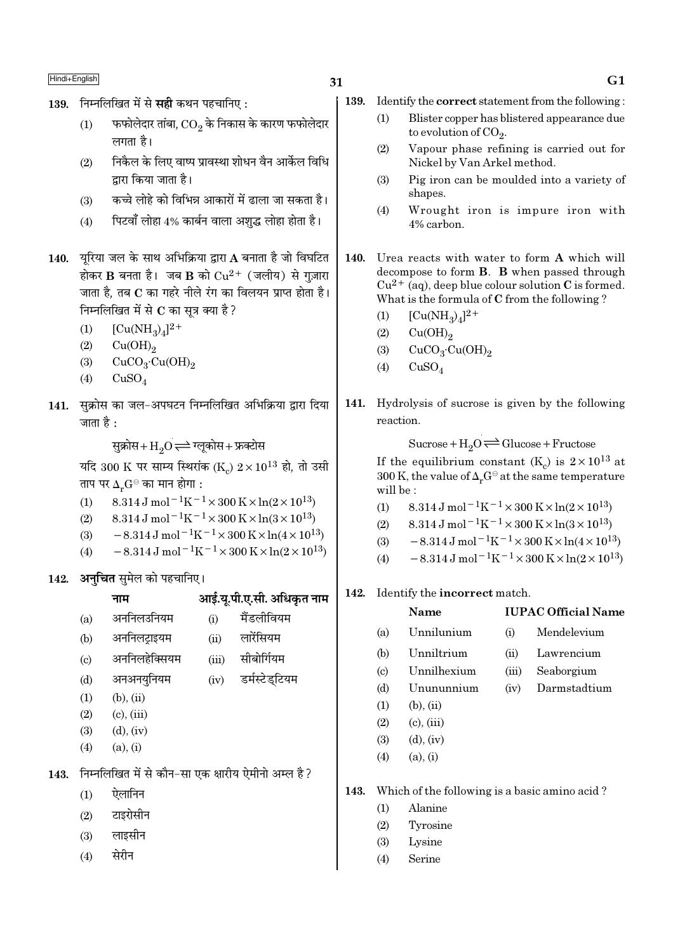$\operatorname{\mathsf{Hindi}\textrm{-}\mathsf{English}}\nolimits$ 

- 139. निम्नलिखित में से सही कथन पहचानिए:
	- $\left( 1\right)$   $\equiv$  फफोलेदार तांबा,  $\overline{\text{CO}_{2}}$  के निकास के कारण फफोलेदार लगता है।
	- (2) निकैल के लिए वाष्प प्रावस्था शोधन वैन आर्केल विधि द्वारा किया जाता है।
	- (3) कच्चे लोहे को विभिन्न आकारों में ढाला जा सकता है।
	- (4) Fuzवाँ लोहा 4% कार्बन वाला अशुद्ध लोहा होता है।
- 140. यूरिया जल के साथ अभिक्रिया द्वारा A बनाता है जो विघटित होकर  $\bf{B}$  बनता है। जब  $\bf{B}$  को  $\rm Cu^{2+}$  (जलीय) से गुज़ारा जाता है, तब  $\bf C$  का गहरे नीले रंग का विलयन प्राप्त होता है। निम्नलिखित में से  $\bf C$  का सूत्र क्या है ?
	- (1)  $[Cu(NH_3)_4]^{2+}$
	- $(2)$   $Cu(OH)_{2}$
	- (3)  $CuCO<sub>3</sub>·Cu(OH)<sub>2</sub>$
	- $(4)$  CuSO<sub>4</sub>
- 141. सुक्रोस का जल-अपघटन निम्नलिखित अभिक्रिया द्वारा दिया जाता है  $\cdot$

सुक्रोस+ $\mathrm{H}_2\mathrm{O}$  $\rightleftharpoons$  ग्लूकोस+ फ्रक्टोस

यदि 300 K पर साम्य स्थिरांक (K $_{\rm c}$ )  $2\!\times\!10^{13}$  हो, तो उसी ताप पर  $\Delta_r G^\ominus$  का मान होगा :

- (1) 8.314 J mol<sup>-1</sup>K<sup>-1</sup> × 300 K × ln(2 × 10<sup>13</sup>)
- (2) 8.314 J mol<sup>-1</sup>K<sup>-1</sup> × 300 K × ln(3 × 10<sup>13</sup>)
- (3)  $-8.314 \,\mathrm{J} \,\mathrm{mol}^{-1} \mathrm{K}^{-1} \times 300 \,\mathrm{K} \times \ln(4 \times 10^{13})$
- (4)  $-8.314 \,\mathrm{J} \,\mathrm{mol}^{-1} \mathrm{K}^{-1} \times 300 \,\mathrm{K} \times \ln(2 \times 10^{13})$

142. अ**नचित** सुमेल को पहचानिए।

|      |                            | नाम                                                 |       | आई.यू.पी.ए.सी. अधिकृत नाम |
|------|----------------------------|-----------------------------------------------------|-------|---------------------------|
|      | (a)                        | अननिलउनियम                                          | (i)   | मैंडलीवियम                |
|      | (b)                        | अननिलट्राइयम                                        | (ii)  | लारेंसियम                 |
|      | $\left( \mathrm{c}\right)$ | अननिलहेक्सियम                                       | (iii) | सीबोर्गियम                |
|      | (d)                        | अनअनयुनियम                                          | (iv)  | डर्मस्टेड्टियम            |
|      | (1)                        | $(b)$ , $(ii)$                                      |       |                           |
|      | (2)                        | $(c)$ , $(iii)$                                     |       |                           |
|      | (3)                        | $(d)$ , $(iv)$                                      |       |                           |
|      | (4)                        | (a), (i)                                            |       |                           |
| 143. |                            | निम्नलिखित में से कौन-सा एक क्षारीय ऐमीनो अम्ल है ? |       |                           |
|      | (1)                        | ऐलानिन                                              |       |                           |
|      | (9)                        | टादग्रेमीन                                          |       |                           |

- $(2)$   $\leq$   $\leq$   $\leq$
- $(3)$  लाइसीन
- $(4)$  सेरीन
- 139. Identify the correct statement from the following :
	- (1) Blister copper has blistered appearance due to evolution of  $\mathrm{CO}_2$ .
	- (2) Vapour phase refining is carried out for Nickel by Van Arkel method.
	- (3) Pig iron can be moulded into a variety of shapes.
	- (4) Wrought iron is impure iron with 4% carbon.
- 140. Urea reacts with water to form A which will decompose to form B. B when passed through  $Cu^{2+}$  (aq), deep blue colour solution C is formed. What is the formula of C from the following ?
	- (1)  $[Cu(NH_3)_4]^{2+}$
	- $(2)$   $Cu(OH)_{2}$
	- (3)  $CuCO<sub>3</sub>·Cu(OH)<sub>2</sub>$
	- $(4)$  CuSO<sub>4</sub>
- 141. Hydrolysis of sucrose is given by the following reaction.

 $Sucrose+H_2O \rightleftharpoons Glucose+Fructose$ If the equilibrium constant (K<sub>c</sub>) is  $2 \times 10^{13}$  at 300 K, the value of  $\Delta_r G^\ominus$  at the same temperature will be :

- (1)  $8.314 \text{ J mol}^{-1}\text{K}^{-1} \times 300 \text{ K} \times \ln(2 \times 10^{13})$
- (2)  $8.314 \text{ J mol}^{-1}\text{K}^{-1} \times 300 \text{ K} \times \ln(3 \times 10^{13})$
- (3)  $-8.314 \,\mathrm{J} \,\mathrm{mol}^{-1} \mathrm{K}^{-1} \times 300 \,\mathrm{K} \times \ln(4 \times 10^{13})$
- (4)  $-8.314 \text{ J mol}^{-1} \text{K}^{-1} \times 300 \text{ K} \times \ln(2 \times 10^{13})$
- 142. Identify the incorrect match.

# Name IUPAC Official Name (a) Unnilunium (i) Mendelevium (b) Unniltrium (ii) Lawrencium (c) Unnilhexium (iii) Seaborgium (d) Unununnium (iv) Darmstadtium  $(1)$   $(b)$ ,  $(ii)$  $(2)$   $(c), (iii)$  $(3)$   $(d)$ ,  $(iv)$ (4) (a), (i)

143. Which of the following is a basic amino acid ?

- (1) Alanine
- (2) Tyrosine
- (3) Lysine
- (4) Serine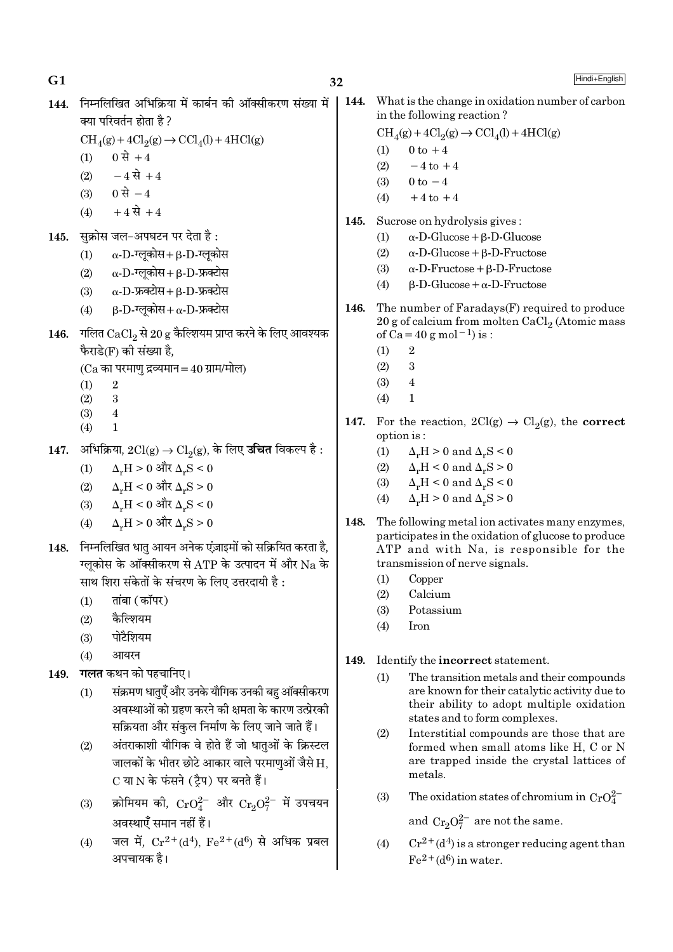144. निम्नलिखित अभिक्रिया में कार्बन की ऑक्सीकरण संख्या में क्या परिवर्तन होता है ?

 $\text{CH}_4(g) + 4\text{Cl}_2(g) \rightarrow \text{CCl}_4(l) + 4\text{HCl}(g)$ 

- $(1)$  0 से +4
- $(2)$  -4 से +4
- $(3)$  0 से  $-4$
- $(4) +4$  से +4
- 145. सुक्रोस जल-अपघटन पर देता है:
	- (1)  $\alpha$ -D-τलूकोस + β-D-τलूकोस
	- $(2)$   $\alpha$ -D- $\overline{v}$ लुकोस + β-D-फ्रक्टोस
	- $(3)$   $\alpha$ -D-फ्रब्सेस+β-D-फ्रब्सेस
	- (4)  $\beta$ -D- $\overline{v}$ लूकोस+α-D-फ्रक्टोस
- $146.$  गलित  $CaCl<sub>2</sub>$ से  $20 g$  कैल्शियम प्राप्त करने के लिए आवश्यक फैराडे(F) की संख्या है.

(Ca का परमाण द्रव्यमान $=40$  ग्राम/मोल)

- $(1)$  2
- (2) 3
- (3) 4
- $(4)$  1
- $147.$  अभिक्रिया,  $2Cl(g) \rightarrow Cl_2(g)$ , के लिए **उचित** विकल्प है :
	- $(1)$   $\Delta$ <sub>α</sub>H > 0 और  $\Delta$ <sub>α</sub>S < 0
	- $(2)$  Δ<sub>r</sub>H < 0 और Δ<sub>r</sub>S > 0
	- $(3)$  Δ<sub>π</sub>H < 0 और Δ<sub>π</sub>S < 0
	- $(4)$  △<sub>r</sub>H > 0 और Δ<sub>r</sub>S > 0
- 148. निम्नलिखित धातु आयन अनेक एंज़ाइमों को सक्रियित करता है, ग्लकोस के ऑक्सीकरण से ATP के उत्पादन में और Na के साथ शिरा संकेतों के संचरण के लिए उत्तरदायी है :
	- $(1)$   $\vec{a}$   $\vec{b}$  ( $\vec{a}$  $\vec{b}$ )
	- $(2)$  कैल्शियम
	- $(3)$  पोटैशियम
	- $(4)$  आयरन
- 149. **गलत** कथन को पहचानिए।
	- (1) संक्रमण धातुएँ और उनके यौगिक उनकी बहु ऑक्सीकरण अवस्थाओं को ग्रहण करने की क्षमता के कारण उत्प्रेरकी सक्रियता और संकल निर्माण के लिए जाने जाते हैं।
	- (2) अंतराकाशी यौगिक वे होते हैं जो धातुओं के क्रिस्टल जालकों के भीतर छोटे आकार वाले परमाणुओं जैसे  $\rm H_{\rm \star}$ C या N के फंसने (टैप) पर बनते हैं।
	- (3) क्रोमियम की,  $\rm CrO_4^{2-}$  और  $\rm Cr_3O_7^{2-}$  में उपचयन अवस्थाएँ समान नहीं हैं।
	- (4) जल में,  $Cr^{2+}(d^4)$ ,  $Fe^{2+}(d^6)$  से अधिक प्रबल अपचायक है।

144. What is the change in oxidation number of carbon in the following reaction ?

$$
\mathrm{CH}_4(g) + 4\mathrm{Cl}_2(g) \rightarrow \mathrm{CCl}_4(l) + 4\mathrm{HCl}(g)
$$

- (1)  $0 \text{ to } +4$
- (2)  $-4$  to  $+4$
- (3)  $0 \text{ to } -4$  $(4)$  +4 to +4
- 
- 145. Sucrose on hydrolysis gives : (1) α-D-Glucose+β-D-Glucose
	- (2) α-D-Glucose+β-D-Fructose
	- (3)  $\alpha$ -D-Fructose + β-D-Fructose
	- (4) β-D-Glucose+α-D-Fructose
- 146. The number of  $Faradays(F)$  required to produce
	- $20$  g of calcium from molten CaCl $_2$  (Atomic mass of Ca=40 g mol<sup>-1</sup>) is :
		- $(1)$  2
		- $(2)$  3
		- $(3)$  4
		- $(4)$  1
- 147. For the reaction,  $2Cl(g) \rightarrow Cl_2(g)$ , the correct option is :
	- (1)  $\Delta_r H > 0$  and  $\Delta_r S < 0$
	- (2)  $\Delta_r H < 0$  and  $\Delta_r S > 0$
	- (3)  $\Delta_r H < 0$  and  $\Delta_r S < 0$
	- (4)  $\Delta_r H > 0$  and  $\Delta_r S > 0$
- 148. The following metal ion activates many enzymes, participates in the oxidation of glucose to produce ATP and with Na, is responsible for the transmission of nerve signals.
	- (1) Copper
	- (2) Calcium
	- (3) Potassium
	- (4) Iron
- 149. Identify the incorrect statement.
	- (1) The transition metals and their compounds are known for their catalytic activity due to their ability to adopt multiple oxidation states and to form complexes.
	- (2) Interstitial compounds are those that are formed when small atoms like H, C or N are trapped inside the crystal lattices of metals.
	- (3) The oxidation states of chromium in  $CrO_4^{2-}$

and  $Cr_2O_7^{2-}$  are not the same.

(4)  $Cr^{2+}(d^4)$  is a stronger reducing agent than  $Fe<sup>2+</sup>(d<sup>6</sup>)$  in water.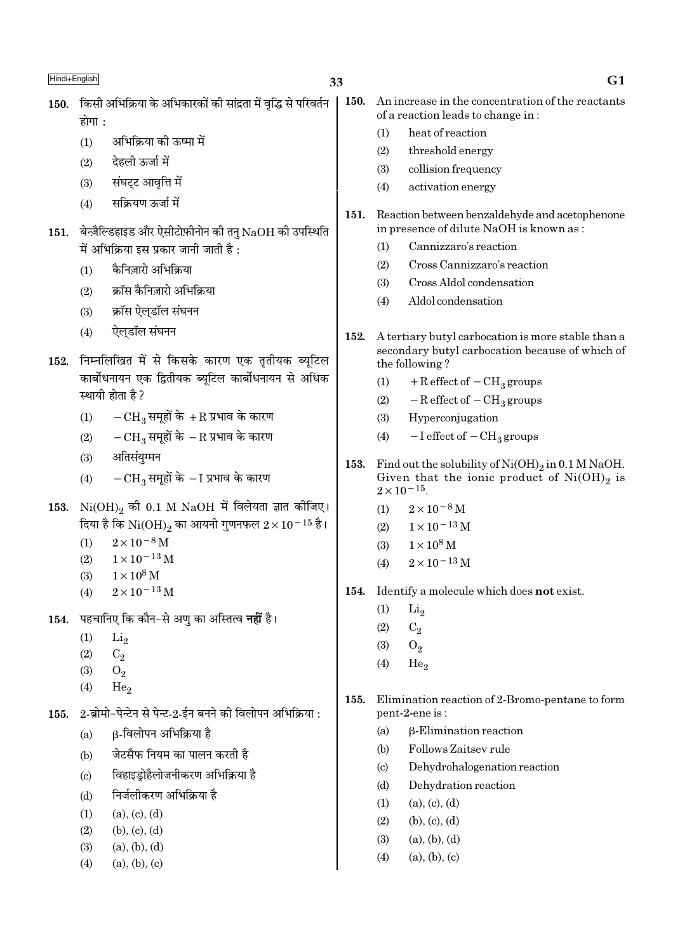- 150. किसी अभिक्रिया के अभिकारकों की सांद्रता में वृद्धि से परिवर्तन द्रोगा .
	- अभिक्रिया की ऊष्मा में  $(1)$
	- देहली ऊर्जा में  $(2)$
	- संघट्ट आवृत्ति में  $(3)$
	- सक्रियण ऊर्जा में  $(4)$
- $151.$  बेन्ज़ैल्डिहाइड और ऐसीटोफ़ीनोन की तन्  $\mathrm{NaOH}$  की उपस्थिति में अभिक्रिया इस प्रकार जानी जाती है :
	- कैनिजारो अभिक्रिया  $(1)$
	- क्रॉस कैनिज़ारो अभिक्रिया  $(2)$
	- क्रॉस ऐलडॉल संघनन  $(3)$
	- ऐलडॉल संघनन  $(4)$
- 152. निम्नलिखित में से किसके कारण एक तृतीयक ब्यूटिल कार्बोधनायन एक द्वितीयक ब्यूटिल कार्बोधनायन से अधिक स्थायी होता है ?
	- $-{\rm CH}_3$  समूहों के  $+{\rm R}$  प्रभाव के कारण  $(1)$
	- $-\text{CH}_3$ समूहों के  $-\text{R}$  प्रभाव के कारण  $(2)$
	- अतिसंयुग्मन  $(3)$
	- $-CH_3$  समूहों के  $-I$  प्रभाव के कारण  $(4)$
- 153.  $Ni(OH)_{2}$  की 0.1 M NaOH में विलेयता ज्ञात कीजिए। दिया है कि  $\rm Ni(OH)_2$  का आयनी गुणनफल  $2\times10^{-15}$  है।
	- $2 \times 10^{-8}$  M  $(1)$
	- $1 \times 10^{-13}$  M  $(2)$
	- $1 \times 10^8$  M  $(3)$
	- $2 \times 10^{-13}$  M  $(4)$
- पहचानिए कि कौन-से अण का अस्तित्व **नहीं** है। 154.
	- $(1)$  $Li<sub>2</sub>$
	- $(2)$  $C_2$
	- $(3)$  $O<sub>2</sub>$
	- $(4)$ He.
- 2-ब्रोमो-पेन्टेन से पेन्ट-2-ईन बनने की विलोपन अभिक्रिया : 155.
	- β-विलोपन अभिक्रिया है  $(a)$
	- जेटसैफ नियम का पालन करती है  $(b)$
	- विहाइडोहैलोजनीकरण अभिक्रिया है  $(c)$
	- निर्जलीकरण अभिक्रिया है  $(d)$
	- $(a), (c), (d)$  $(1)$
	- $(b), (c), (d)$  $(2)$
	- $(3)$  $(a), (b), (d)$
	- $(4)$  $(a), (b), (c)$
- 150. An increase in the concentration of the reactants of a reaction leads to change in:
	- $(1)$ heat of reaction
	- $(2)$ threshold energy
	- $(3)$ collision frequency
	- $(4)$ activation energy
- 151. Reaction between benzaldehyde and acetophenone in presence of dilute NaOH is known as:
	- Cannizzaro's reaction  $(1)$
	- $(2)$ Cross Cannizzaro's reaction
	- $(3)$ Cross Aldol condensation
	- $(4)$ Aldol condensation
- A tertiary butyl carbocation is more stable than a 152. secondary butyl carbocation because of which of the following?
	- $+$  R effect of  $-$  CH<sub>3</sub> groups  $(1)$
	- $(2)$  $-R$  effect of  $-CH<sub>3</sub>$  groups
	- Hyperconjugation  $(3)$
	- $(4)$  $-I$  effect of  $-CH<sub>3</sub>$  groups
- 153. Find out the solubility of  $Ni(OH)_2$  in 0.1 M NaOH. Given that the ionic product of  $Ni(OH)_2$  is  $2 \times 10^{-15}$ 
	- $(1)$  $2 \times 10^{-8}$  M
	- $(2)$  $1 \times 10^{-13}$  M
	- $1 \times 10^8$  M  $(3)$
	- $2 \times 10^{-13}$  M  $(4)$
- 154. Identify a molecule which does not exist.
	- $(1)$  $\rm Li_2$
	- $(2)$  $C<sub>2</sub>$
	- $O<sub>2</sub>$  $(3)$
	- $(4)$ He.
- 155. Elimination reaction of 2-Bromo-pentane to form pent-2-ene is:
	- β-Elimination reaction  $(a)$
	- $(b)$ Follows Zaitsev rule
	- $(c)$ Dehydrohalogenation reaction
	- Dehydration reaction  $(d)$
	- $(a), (c), (d)$  $(1)$
	- $(2)$  $(b), (c), (d)$
	- $(3)$  $(a), (b), (d)$
	- $(a), (b), (c)$  $(4)$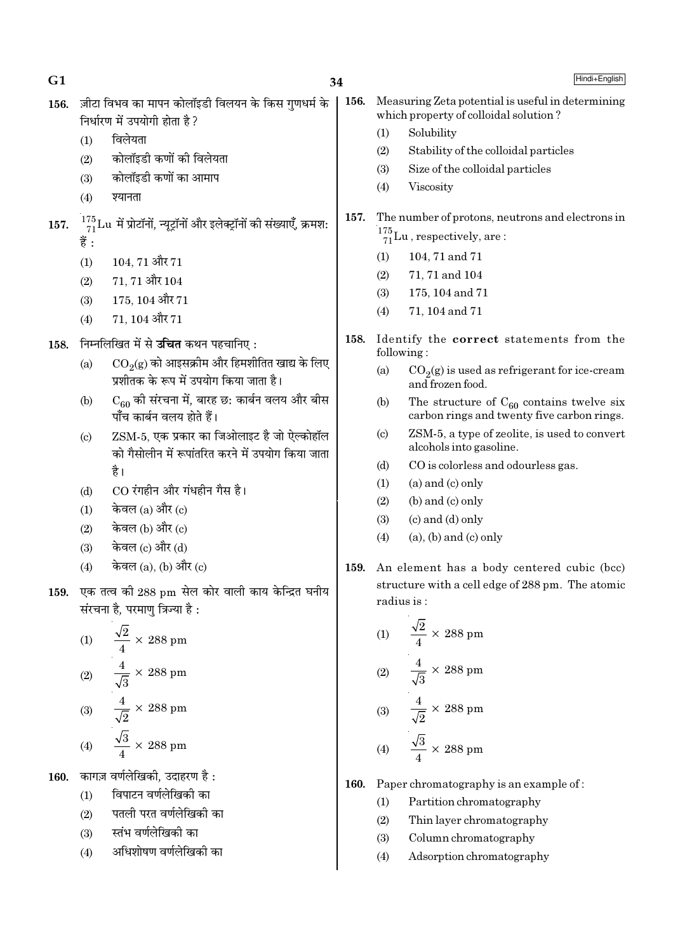$G1$ 34 ज़ीटा विभव का मापन कोलॉइडी विलयन के किस गणधर्म के 156. 156. निर्धारण में उपयोगी होता है ?  $(1)$ विलेयता  $(1)$  $(2)$ कोलॉइडी कणों की विलेयता  $(2)$  $(3)$ कोलॉइडी कणों का आमाप  $(3)$  $(4)$ श्यानता  $(4)$ 157.  $\frac{175}{71}$ Lu में प्रोटॉनों, न्यूट्रॉनों और इलेक्ट्रॉनों की संख्याएँ, क्रमश: 157. हैं :  $(1)$  $104, 71$  और  $71$  $(1)$  $(2)$ 71, 71 और 104  $(2)$  $(3)$ 175, 104 और 71  $(3)$  $(4)$ 71, 104 और 71  $(4)$ 158. निम्नलिखित में से **उचित** कथन पहचानिए : 158.  $CO<sub>2</sub>(g)$  को आइसक्रीम और हिमशीतित खाद्य के लिए  $(a)$  $(a)$ प्रशीतक के रूप में उपयोग किया जाता है।  $C_{60}$  की संरचना में, बारह छ: कार्बन वलय और बीस  $(b)$  $(b)$ पाँच कार्बन वलय होते हैं। ZSM-5, एक प्रकार का जिओलाइट है जो ऐल्कोहॉल  $(c)$  $(c)$ को गैसोलीन में रूपांतरित करने में उपयोग किया जाता  $(d)$ है।

- $CO$  रंगहीन और गंधहीन गैस है।  $(d)$
- केवल (a) और (c)  $(1)$
- केवल (b) और (c)  $(2)$
- केवल (c) और (d)  $(3)$
- केवल (a), (b) और (c)  $(4)$
- एक तत्व की 288 pm सेल कोर वाली काय केन्द्रित घनीय 159. संरचना है, परमाणु त्रिज्या है:

(1) 
$$
\frac{\sqrt{2}}{4} \times 288 \text{ pm}
$$
  
(2) 
$$
\frac{4}{\sqrt{3}} \times 288 \text{ pm}
$$
  
(3) 
$$
\frac{4}{\sqrt{2}} \times 288 \text{ pm}
$$

$$
(4) \qquad \frac{\sqrt{3}}{4} \times 288 \text{ pm}
$$

160. कागज़ वर्णलेखिकी. उदाहरण है:

- विपाटन वर्णलेखिको का  $(1)$
- पतली परत वर्णलेखिकी का  $(2)$
- स्तंभ वर्णलेखिकी का  $(3)$
- अधिशोषण वर्णलेखिकी का  $(4)$
- Measuring Zeta potential is useful in determining which property of colloidal solution?
	-
- Solubility
- Stability of the colloidal particles
- Size of the colloidal particles
- Viscosity
- The number of protons, neutrons and electrons in  $\frac{175}{71}$ Lu, respectively, are:
	- 104, 71 and 71
	- 71, 71 and 104
	- 175, 104 and 71
	- 71, 104 and 71
- Identify the correct statements from the following:
	- $CO<sub>2</sub>(g)$  is used as refrigerant for ice-cream and frozen food.
	- The structure of  $C_{60}$  contains twelve six carbon rings and twenty five carbon rings.
	- ZSM-5, a type of zeolite, is used to convert alcohols into gasoline.
	- CO is colorless and odourless gas.
	- $(a)$  and  $(c)$  only  $(1)$
	- $(2)$  $(b)$  and  $(c)$  only
	- $(3)$  $(c)$  and  $(d)$  only
	- $(4)$  $(a)$ ,  $(b)$  and  $(c)$  only
- 159. An element has a body centered cubic (bcc) structure with a cell edge of 288 pm. The atomic radius is:

(1) 
$$
\frac{\sqrt{2}}{4} \times 288 \text{ pm}
$$
  
(2) 
$$
\frac{4}{\sqrt{3}} \times 288 \text{ pm}
$$
  
(3) 
$$
\frac{4}{\sqrt{2}} \times 288 \text{ pm}
$$

$$
(4) \quad \frac{1}{4} \times 288 \text{ pm}
$$

- 160. Paper chromatography is an example of:
	- Partition chromatography  $(1)$
	- $(2)$ Thin layer chromatography
	- $(3)$ Column chromatography
	- $(4)$ Adsorption chromatography

Hindi+English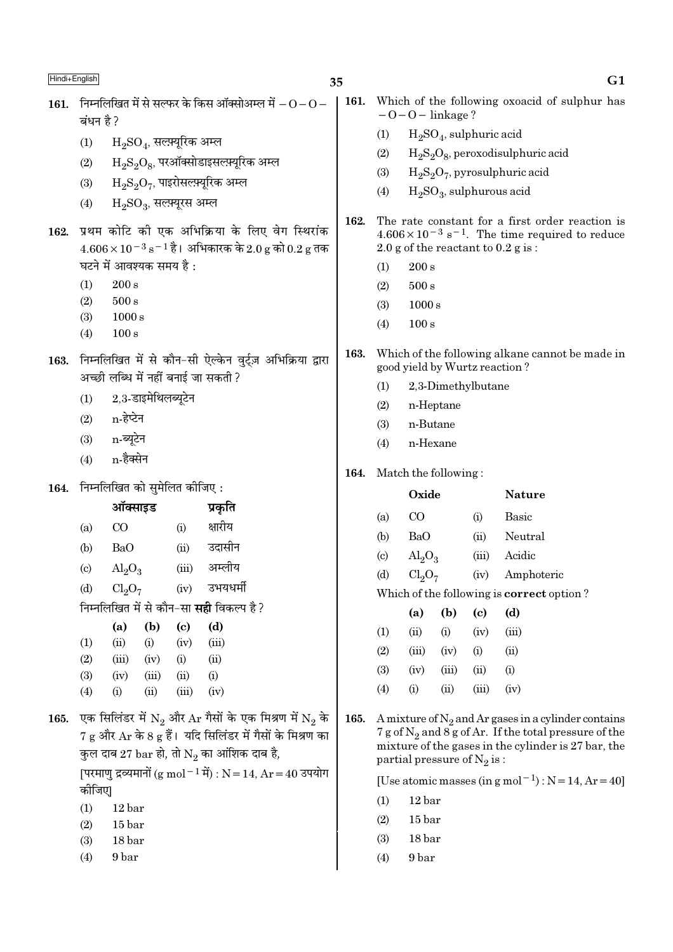| Hindi+English |                                     |                                                    |                                  |                             |                                                                         | 35   |                                                                       |                                                                                            |            |                                    | G1                                                                                                                  |  |  |
|---------------|-------------------------------------|----------------------------------------------------|----------------------------------|-----------------------------|-------------------------------------------------------------------------|------|-----------------------------------------------------------------------|--------------------------------------------------------------------------------------------|------------|------------------------------------|---------------------------------------------------------------------------------------------------------------------|--|--|
| 161.          |                                     |                                                    |                                  |                             | निम्नलिखित में से सल्फर के किस ऑक्सोअम्ल में $ \rm O$ $ \rm O$ $-$      | 161. |                                                                       |                                                                                            |            |                                    | Which of the following oxoacid of sulphur has                                                                       |  |  |
|               | बंधन है ?                           |                                                    |                                  |                             |                                                                         |      |                                                                       | $-0-0$ – linkage?                                                                          |            |                                    |                                                                                                                     |  |  |
|               | (1)                                 |                                                    | $\rm H_2SO_4$ , सल्फ़्यूरिक अम्ल |                             |                                                                         |      | (1)                                                                   | $H2SO4$ , sulphuric acid                                                                   |            |                                    |                                                                                                                     |  |  |
|               | (2)                                 |                                                    |                                  |                             | $\mathrm{H_{2}S_{2}O_{8}}$ , परऑक्सोडाइसल्फ़्यूरिक अम्ल                 |      | (2)                                                                   | $H_2S_2O_8$ , peroxodisulphuric acid                                                       |            |                                    |                                                                                                                     |  |  |
|               | (3)                                 |                                                    |                                  |                             | $H_2S_2O_7$ , पाइरोसल्फ़्यूरिक अम्ल                                     |      | (3)                                                                   | $H_2S_2O_7$ , pyrosulphuric acid                                                           |            |                                    |                                                                                                                     |  |  |
|               | (4)                                 |                                                    | $H_2SO_3$ , सल्फ़्यूरस अम्ल      |                             |                                                                         |      | (4)                                                                   | $H2SO3$ , sulphurous acid                                                                  |            |                                    |                                                                                                                     |  |  |
|               |                                     |                                                    |                                  |                             |                                                                         | 162. |                                                                       | The rate constant for a first order reaction is                                            |            |                                    |                                                                                                                     |  |  |
| 162.          |                                     |                                                    |                                  |                             | प्रथम कोटि को एक अभिक्रिया के लिए वेग स्थिरांक                          |      |                                                                       |                                                                                            |            |                                    | $4.606 \times 10^{-3}$ s <sup>-1</sup> . The time required to reduce                                                |  |  |
|               |                                     |                                                    |                                  |                             | $4.606 \times 10^{-3}$ s <sup>-1</sup> है। अभिकारक के 2.0 g को 0.2 g तक |      |                                                                       |                                                                                            |            |                                    | 2.0 g of the reactant to $0.2$ g is:                                                                                |  |  |
|               |                                     |                                                    | घटने में आवश्यक समय है :         |                             |                                                                         |      | (1)                                                                   | 200 s                                                                                      |            |                                    |                                                                                                                     |  |  |
|               | (1)                                 | 200 s<br>$500\,\mathrm{s}$                         |                                  |                             |                                                                         |      | (2)                                                                   | 500 s                                                                                      |            |                                    |                                                                                                                     |  |  |
|               | (2)<br>(3)                          | 1000 s                                             |                                  |                             |                                                                         |      | (3)                                                                   | 1000 s                                                                                     |            |                                    |                                                                                                                     |  |  |
|               | (4)                                 | 100 s                                              |                                  |                             |                                                                         |      | (4)                                                                   | 100 s                                                                                      |            |                                    |                                                                                                                     |  |  |
|               |                                     |                                                    |                                  |                             |                                                                         | 163. |                                                                       |                                                                                            |            |                                    | Which of the following alkane cannot be made in                                                                     |  |  |
| 163.          |                                     |                                                    |                                  |                             | निम्नलिखित में से कौन-सी ऐल्केन वुर्ट्ज़ अभिक्रिया द्वारा               |      |                                                                       | good yield by Wurtz reaction?                                                              |            |                                    |                                                                                                                     |  |  |
|               | अच्छी लब्धि में नहीं बनाई जा सकती ? |                                                    |                                  |                             |                                                                         |      | (1)                                                                   |                                                                                            |            | 2,3-Dimethylbutane                 |                                                                                                                     |  |  |
|               | 2,3-डाइमेथिलब्यूटेन<br>(1)          |                                                    |                                  |                             |                                                                         |      | (2)                                                                   | n-Heptane                                                                                  |            |                                    |                                                                                                                     |  |  |
|               | (2)                                 | n-हेप्टेन                                          |                                  |                             |                                                                         |      | (3)                                                                   | n-Butane                                                                                   |            |                                    |                                                                                                                     |  |  |
|               | (3)                                 | n-ब्यूटेन                                          |                                  |                             |                                                                         |      | (4)                                                                   | n-Hexane                                                                                   |            |                                    |                                                                                                                     |  |  |
|               | (4)                                 | n-हैक्सेन                                          |                                  |                             |                                                                         | 164. | Match the following:                                                  |                                                                                            |            |                                    |                                                                                                                     |  |  |
| 164.          |                                     |                                                    | निम्नलिखित को सुमेलित कीजिए:     |                             |                                                                         |      |                                                                       | Oxide                                                                                      |            |                                    | <b>Nature</b>                                                                                                       |  |  |
|               | ऑक्साइड                             |                                                    |                                  |                             | प्रकृति                                                                 |      |                                                                       |                                                                                            |            |                                    |                                                                                                                     |  |  |
|               | (a)                                 | $\rm CO$<br>(i)                                    |                                  |                             | क्षारीय                                                                 |      | (a)                                                                   | CO                                                                                         |            | (i)                                | <b>Basic</b>                                                                                                        |  |  |
|               | (b)                                 | <b>BaO</b>                                         |                                  | (ii)                        | उदासीन                                                                  |      | (b)                                                                   | <b>BaO</b>                                                                                 |            | (ii)                               | Neutral                                                                                                             |  |  |
|               | $\left( \mathrm{c} \right)$         | $\text{Al}_2\text{O}_3$                            |                                  | (iii)                       | अम्लीय                                                                  |      |                                                                       | $\text{Al}_2\text{O}_3$<br>$\left( \text{c} \right)$                                       |            | (iii)                              | Acidic                                                                                                              |  |  |
|               | (d)                                 | उभयधर्मी<br>Cl <sub>2</sub> O <sub>7</sub><br>(iv) |                                  |                             |                                                                         |      | (d)                                                                   | Cl <sub>2</sub> O <sub>7</sub><br>(iv)<br>Which of the following is <b>correct</b> option? |            |                                    | Amphoteric                                                                                                          |  |  |
|               |                                     |                                                    |                                  |                             | निम्नलिखित में से कौन-सा <b>सही</b> विकल्प है?                          |      |                                                                       |                                                                                            |            |                                    |                                                                                                                     |  |  |
|               |                                     | (a)                                                | (b)                              | $\left( \mathbf{c} \right)$ | (d)                                                                     |      | (1)                                                                   | (a)<br>(ii)                                                                                | (b)<br>(i) | $\left( \mathrm{c}\right)$<br>(iv) | (d)<br>(iii)                                                                                                        |  |  |
|               | (1)                                 | (ii)                                               | (i)                              | (iv)                        | (iii)                                                                   |      | (2)                                                                   | (iii)                                                                                      | (iv)       | (i)                                | (ii)                                                                                                                |  |  |
|               | (2)                                 | (iii)                                              | (iv)                             | (i)                         | (ii)                                                                    |      | (3)                                                                   | (iv)                                                                                       | (iii)      | (ii)                               | (i)                                                                                                                 |  |  |
|               | (3)                                 | (iv)                                               | (iii)                            | (ii)                        | (i)                                                                     |      | (4)                                                                   | (i)                                                                                        | (ii)       | (iii)                              | (iv)                                                                                                                |  |  |
|               | (4)                                 | (i)                                                | (ii)                             | (iii)                       | (iv)                                                                    |      |                                                                       |                                                                                            |            |                                    |                                                                                                                     |  |  |
| 165.          |                                     |                                                    |                                  |                             | एक सिलिंडर में $N_2$ और $Ar$ गैसों के एक मिश्रण में $N_2$ के            | 165. |                                                                       |                                                                                            |            |                                    | A mixture of $N_2$ and Ar gases in a cylinder contains                                                              |  |  |
|               |                                     |                                                    |                                  |                             | $7 g$ और $Ar$ के 8 $g$ हैं। यदि सिलिंडर में गैसों के मिश्रण का          |      |                                                                       |                                                                                            |            |                                    | $7 g$ of $N_2$ and $8 g$ of Ar. If the total pressure of the<br>mixture of the gases in the cylinder is 27 bar, the |  |  |
|               |                                     |                                                    |                                  |                             | कुल दाब 27 bar हो, तो $\mathrm{N}_2$ का आंशिक दाब है,                   |      |                                                                       | partial pressure of $N_2$ is:                                                              |            |                                    |                                                                                                                     |  |  |
|               |                                     |                                                    |                                  |                             | [परमाणु द्रव्यमानों (g mol <sup>-1</sup> में) : N = 14, Ar = 40 उपयोग   |      | [Use atomic masses (in g mol <sup>-1</sup> ) : $N = 14$ , $Ar = 40$ ] |                                                                                            |            |                                    |                                                                                                                     |  |  |
|               | कीजिए                               |                                                    |                                  |                             |                                                                         |      | (1)                                                                   | 12 bar                                                                                     |            |                                    |                                                                                                                     |  |  |
|               | 12 bar<br>(1)                       |                                                    |                                  |                             |                                                                         |      | 15 <sub>bar</sub><br>(2)                                              |                                                                                            |            |                                    |                                                                                                                     |  |  |
|               | (2)                                 | 15 <sub>bar</sub>                                  |                                  |                             |                                                                         |      |                                                                       |                                                                                            |            |                                    |                                                                                                                     |  |  |

 $\overline{\phantom{a}}$ 

 $(4)$ 

 $9\,\mathrm{bar}$ 

 $(4)$ 

 $9\,\mathrm{bar}$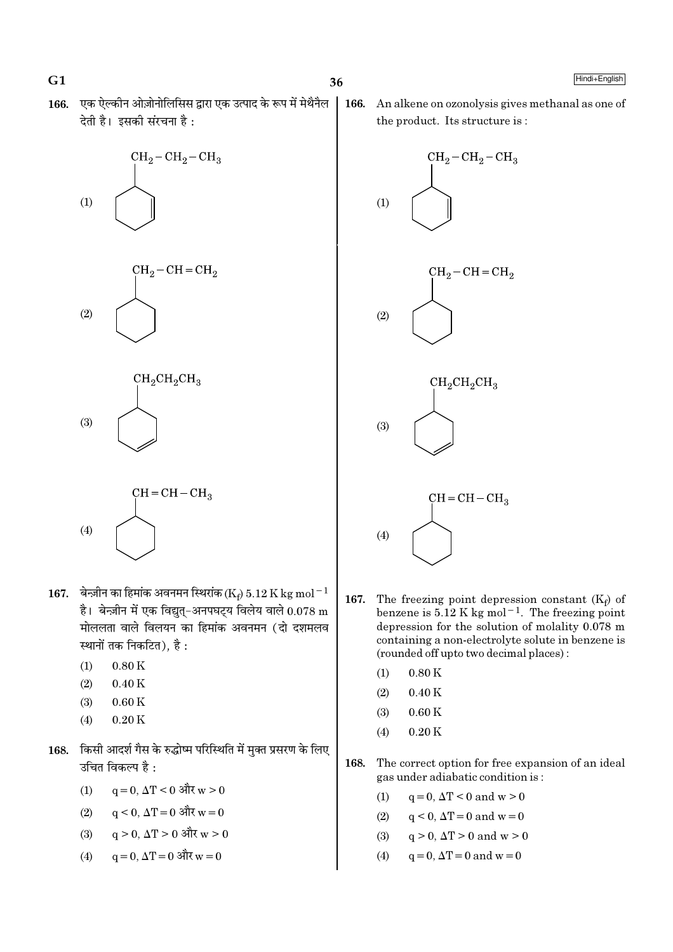$G1$ 

Hindi+English

166. एक ऐल्कीन ओज़ोनोलिसिस द्वारा एक उत्पाद के रूप में मेथैनैल देती है। इसकी संरचना है:







$$
(4)
$$
 
$$
CH = CH - CH3
$$

- 167. बेन्ज़ीन का हिमांक अवनमन स्थिरांक (Ke) 5.12 K kg mol<sup>-1</sup> है। बेन्ज़ीन में एक विद्युत्-अनपघट्य विलेय वाले  $0.078$  m मोललता वाले विलयन का हिमांक अवनमन (दो दशमलव स्थानों तक निकटित), है :
	- $(1)$  $0.80K$
	- $(2)$  $0.40K$
	- $(3)$  $0.60K$
	- $(4)$  $0.20K$
- 168. किसी आदर्श गैस के रुद्धोष्म परिस्थिति में मुक्त प्रसरण के लिए उचित विकल्प है :
	- $(1)$  $q = 0$ ,  $\Delta T < 0$  और w > 0
	- $q \le 0$ ,  $\Delta T = 0$  और  $w = 0$  $(2)$
	- $q > 0$ ,  $\Delta T > 0$  और  $w > 0$  $(3)$
	- $q = 0$ ,  $\Delta T = 0$  और  $w = 0$  $(4)$

166. An alkene on ozonolysis gives methanal as one of the product. Its structure is:



- 167. The freezing point depression constant  $(K_f)$  of benzene is  $5.12$  K kg mol<sup>-1</sup>. The freezing point depression for the solution of molality 0.078 m containing a non-electrolyte solute in benzene is (rounded off upto two decimal places):
	- $0.80K$  $(1)$
	- $0.40K$  $(2)$
	- $(3)$  $0.60K$
	- $0.20K$  $(4)$
- 168. The correct option for free expansion of an ideal gas under adiabatic condition is:
	- $(1)$  $q = 0$ ,  $\Delta T < 0$  and  $w > 0$
	- $q < 0$ ,  $\Delta T = 0$  and  $w = 0$  $(2)$
	- $(3)$  $q > 0$ ,  $\Delta T > 0$  and  $w > 0$
	- $(4)$  $q = 0$ ,  $\Delta T = 0$  and  $w = 0$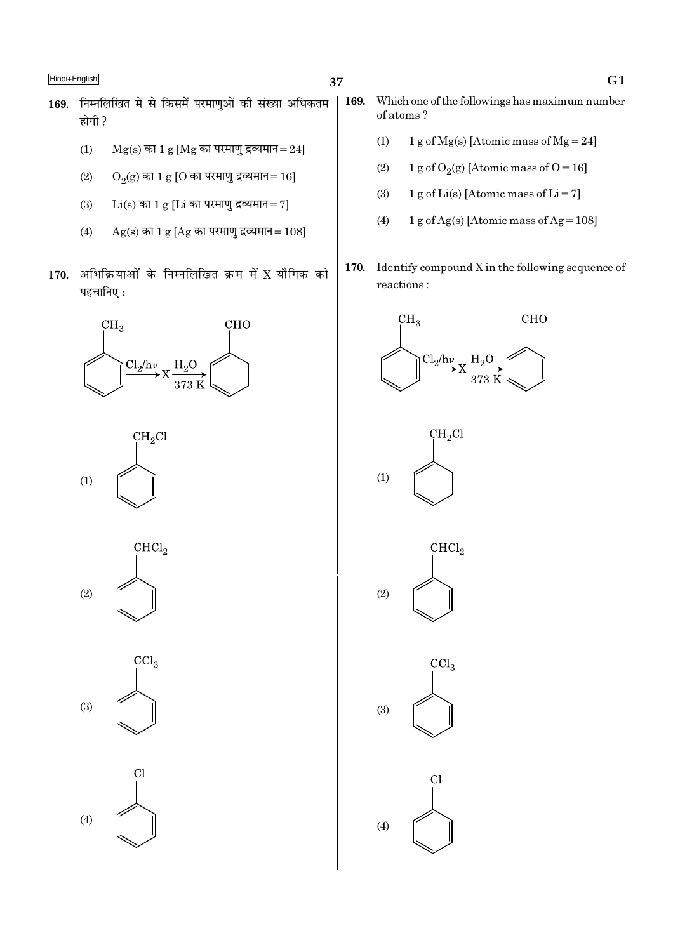- 169. निम्नलिखित में से किसमें परमाणुओं की संख्या अधिकतम होगी ?
	- $(1)$  $Mg(s)$  का 1  $g$  [Mg का परमाणु द्रव्यमान=24]
	- $(2)$  $O_2(g)$  का 1 g [O का परमाणु द्रव्यमान = 16]
	- $(3)$  $Li(s)$  का 1 g [ $Li$  का परमाणु द्रव्यमान=7]
	- $Ag(s)$  का 1 g [Ag का परमाणु द्रव्यमान=108]  $(4)$
- 170. अभिक्रियाओं के निम्नलिखित क्रम में X यौगिक को पहचानिए:









 $Cl$  $(4)$ 

- 169. Which one of the followings has maximum number of atoms?
	- 1 g of Mg(s) [Atomic mass of Mg = 24]  $(1)$
	- $(2)$ 1 g of O<sub>2</sub>(g) [Atomic mass of O = 16]
	- $(3)$ 1 g of Li(s) [Atomic mass of Li = 7]
	- $(4)$ 1 g of Ag(s) [Atomic mass of Ag =  $108$ ]
- 170. Identify compound  $X$  in the following sequence of  $\rm reactions$  :









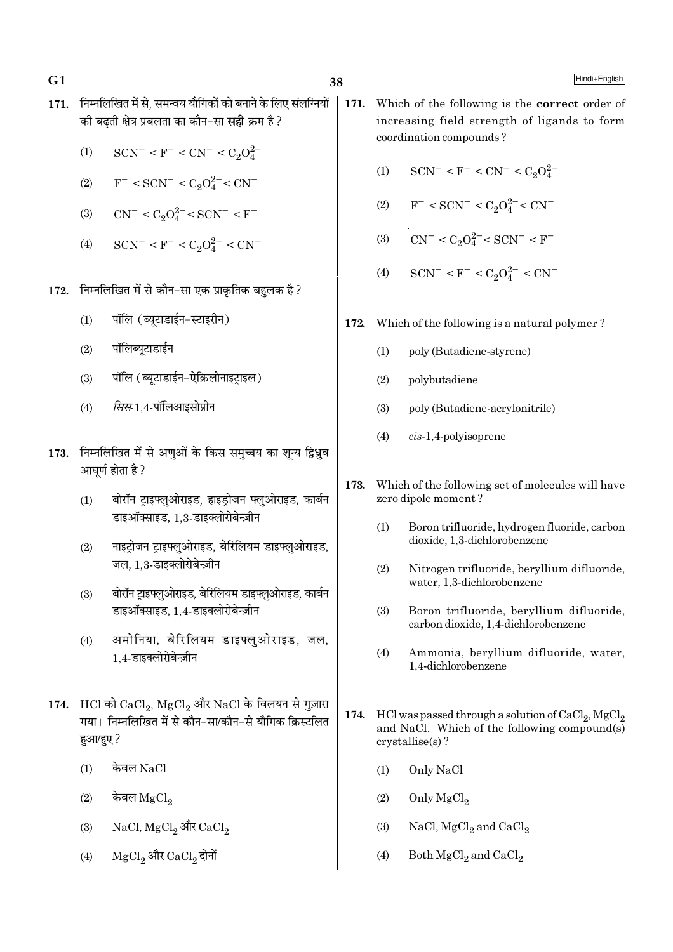$G1$ 

- 38
- 171. निम्नलिखित में से. समन्वय यौगिकों को बनाने के लिए संलग्नियों की बढती क्षेत्र प्रबलता का कौन-सा **सही** क्रम है ?
	- $SCN^{-} < F^{-} < CN^{-} < C_2O_4^{2-}$  $(1)$
	- $F^-$  < SCN<sup>-</sup> < C<sub>2</sub>O<sup>2-</sup> < CN<sup>-</sup>  $(2)$
	- $CN^{-} < C_2O_4^{2-} < SCN^{-} < F^{-}$  $(3)$
	- $SCN^{-} < F^{-} < C_2O_4^{2-} < CN^{-}$  $(4)$
- 172. निम्नलिखित में से कौन-सा एक प्राकृतिक बहुलक है ?
	- पॉलि (ब्युटाडाईन-स्टाइरीन)  $(1)$
	- पॉलिब्युटाडाईन  $(2)$
	- पॉलि (ब्युटाडाईन-ऐक्रिलोनाइटाइल)  $(3)$
	- सिस-1.4-पॉलिआइसोप्रीन  $(4)$
- 173. निम्नलिखित में से अणुओं के किस समुच्चय का शून्य द्विध्रुव आघर्ण होता है ?
	- बोरॉन ट्राइफ्लुओराइड, हाइड्रोजन फ्लुओराइड, कार्बन  $(1)$ डाइऑक्साइड. 1.3-डाइक्लोरोबेन्ज़ीन
	- नाइट्रोजन ट्राइफ्लुओराइड, बेरिलियम डाइफ्लुओराइड,  $(2)$ जल. 1.3-डाइक्लोरोबेन्ज़ीन
	- बोरॉन टाइफ्लओराइड. बेरिलियम डाइफ्लओराइड. कार्बन  $(3)$ डाइऑक्साइड, 1.4-डाइक्लोरोबेन्ज़ीन
	- अमोनिया, बेरिलियम डाइफ्लुओराइड, जल,  $(4)$ 1.4-डाइक्लोरोबेन्ज़ीन
- 174. HCl को CaCl, MgCl, और NaCl के विलयन से गुज़ारा गया। निम्नलिखित में से कौन-सा/कौन-से यौगिक क्रिस्टलित हआ/हए?
	- केवल  $NaCl$  $(1)$
	- $(2)$ केवल  $_{\rm MgCl_2}$
	- NaCl, MgCl<sub>2</sub> और CaCl<sub>2</sub>  $(3)$
	- MgCl, और CaCl, दोनों  $(4)$
- 171. Which of the following is the correct order of increasing field strength of ligands to form coordination compounds?
	- $SCN^- < F^- < CN^- < C_2O_4^{2-}$  $(1)$
	- $(2)$  $F^-$  < SCN<sup>-</sup> < C<sub>2</sub>O<sup>2</sup><sup>-</sup> < CN<sup>-</sup>
	- (3)  $CN^- < C_2O_4^{2-} < SCN^- < F^-$
	- $SCN^- < F^- < C_2O_4^{2-} < CN^ (4)$
- 172. Which of the following is a natural polymer?
	- $(1)$ poly (Butadiene-styrene)
	- $(2)$ polybutadiene
	- poly (Butadiene-acrylonitrile)  $(3)$
	- $(4)$  $cis-1,4$ -polyisoprene
- 173. Which of the following set of molecules will have zero dipole moment?
	- $(1)$ Boron trifluoride, hydrogen fluoride, carbon dioxide. 1.3-dichlorobenzene
	- $(2)$ Nitrogen trifluoride, bervllium difluoride. water, 1,3-dichlorobenzene
	- $(3)$ Boron trifluoride, beryllium difluoride, carbon dioxide, 1,4-dichlorobenzene
	- $(4)$ Ammonia, beryllium difluoride, water, 1.4-dichlorobenzene
- HCl was passed through a solution of  $CaCl<sub>2</sub>$ ,  $MgCl<sub>2</sub>$ 174. and NaCl. Which of the following compound(s)  $crystalise(s)?$ 
	- Only NaCl  $(1)$
	- Only MgCl<sub>2</sub>  $(2)$
	- $(3)$ NaCl,  $MgCl<sub>2</sub>$  and  $CaCl<sub>2</sub>$
	- $(4)$ Both  $MgCl<sub>2</sub>$  and  $CaCl<sub>2</sub>$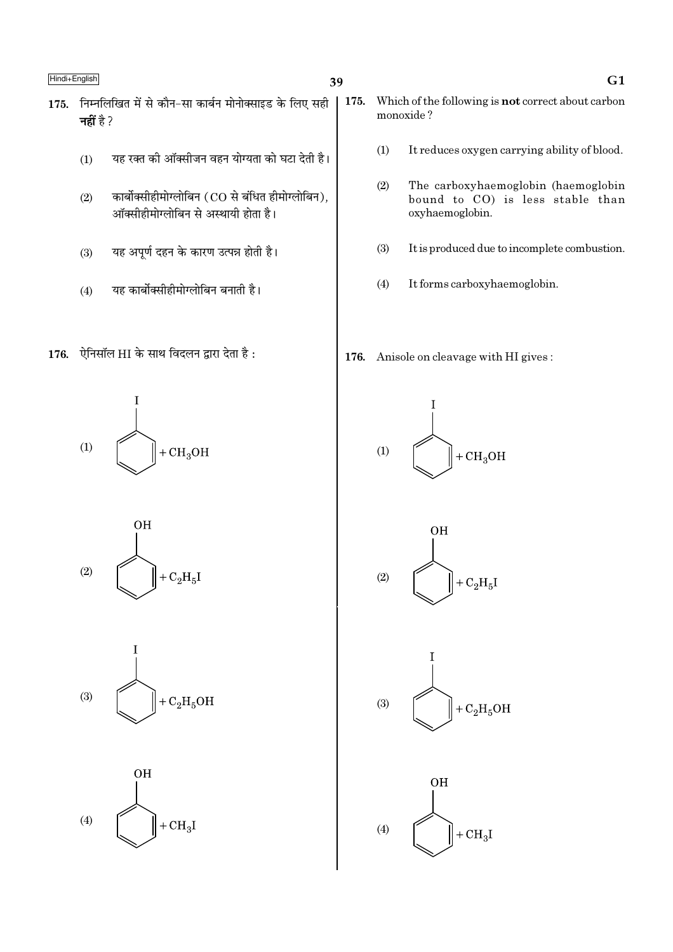## 39

- 175. निम्नलिखित में से कौन-सा कार्बन मोनोक्साइड के लिए सही नहीं है ?
	- यह रक्त की ऑक्सीजन वहन योग्यता को घटा देती है।  $(1)$
	- कार्बोक्सीहीमोग्लोबिन (CO से बंधित हीमोग्लोबिन).  $(2)$ ऑक्सीहीमोग्लोबिन से अस्थायी होता है।
	- यह अपूर्ण दहन के कारण उत्पन्न होती है।  $(3)$
	- यह कार्बोक्सीहीमोग्लोबिन बनाती है।  $(4)$
- 176. ऐनिसॉल HI के साथ विदलन द्वारा देता है:

 $(1)$  $+CH<sub>3</sub>OH$ 







- 175. Which of the following is **not** correct about carbon monoxide?
	- $(1)$ It reduces oxygen carrying ability of blood.
	- $(2)$ The carboxyhaemoglobin (haemoglobin bound to CO) is less stable than oxyhaemoglobin.
	- $(3)$ It is produced due to incomplete combustion.
	- $(4)$ It forms carboxyhaemoglobin.

176. Anisole on cleavage with HI gives:









## $G1$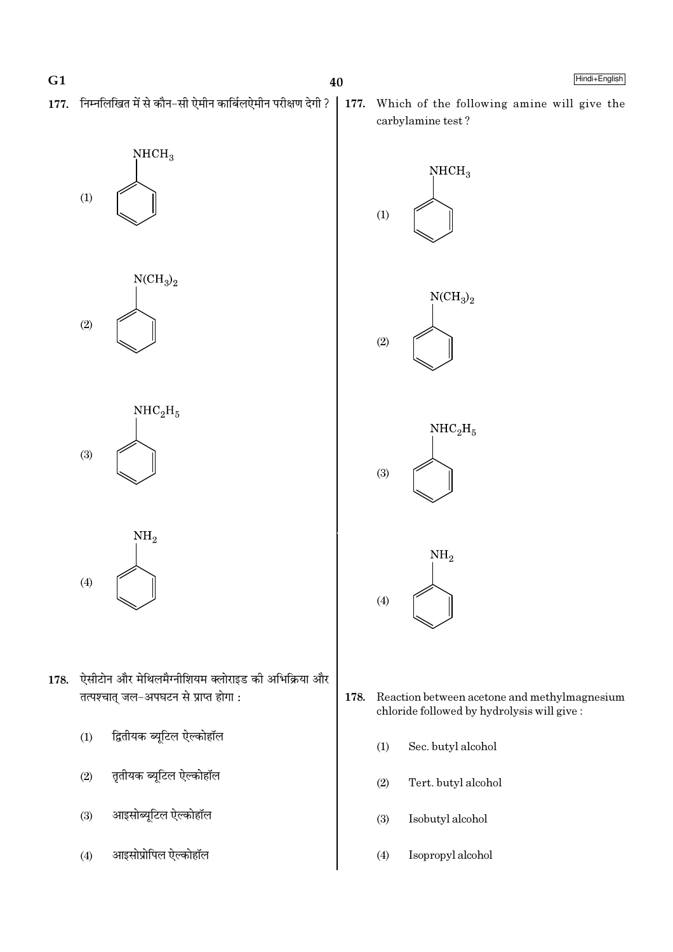177. निम्नलिखित में से कौन-सी ऐमीन कार्बिलऐमीन परीक्षण देगी ?







 $NH<sub>2</sub>$  $(4)$ 

- 178. ऐसीटोन और मेथिलमैग्नीशियम क्लोराइड की अभिक्रिया और तत्पश्चात् जल-अपघटन से प्राप्त होगा:
	- द्वितीयक ब्यूटिल ऐल्कोहॉल  $(1)$
	- $(2)$ तृतीयक ब्यूटिल ऐल्कोहॉल
	- आइसोब्यूटिल ऐल्कोहॉल  $(3)$
	- आइसोप्रोपिल ऐल्कोहॉल  $(4)$

177. Which of the following amine will give the carbylamine test?



- 178. Reaction between acetone and methylmagnesium chloride followed by hydrolysis will give:
	- $(1)$ Sec. butyl alcohol
	- $(2)$ Tert. butyl alcohol
	- Isobutyl alcohol  $(3)$
	- $(4)$ Isopropyl alcohol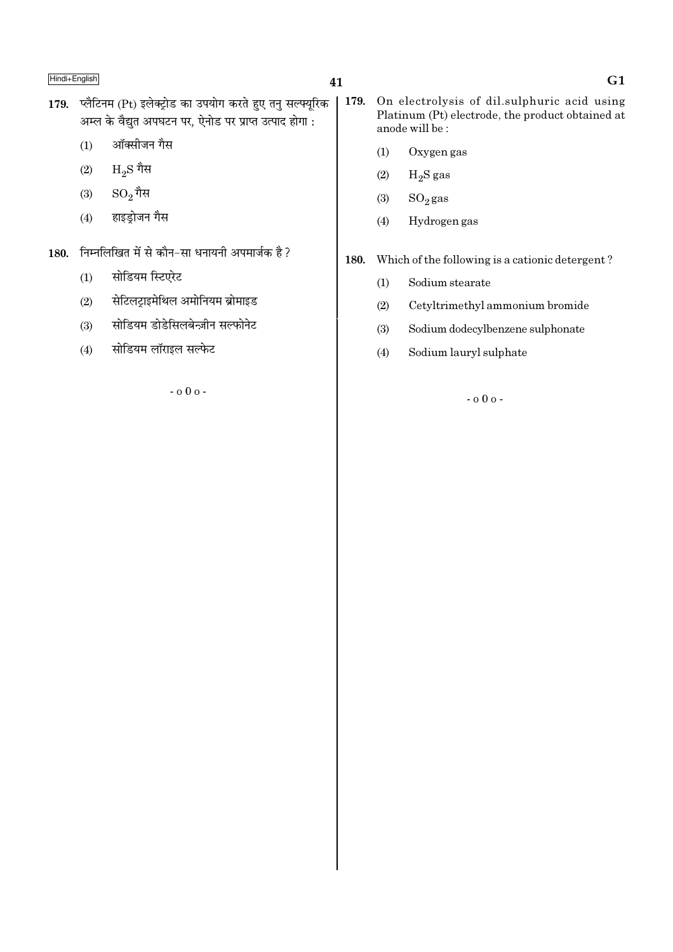## 41

- 179. प्लैटिनम (Pt) इलेक्ट्रोड का उपयोग करते हुए तनु सल्फ्युरिक अम्ल के वैद्युत अपघटन पर, ऐनोड पर प्राप्त उत्पाद होगा :
	- ऑक्सीजन गैस  $(1)$
	- $H_2S$  गैस  $(2)$
	- $SO_2$ गैस  $(3)$
	- हाइड्रोजन गैस  $(4)$
- 180. निम्नलिखित में से कौन-सा धनायनी अपमार्जक है?
	- सोडियम स्टिएरेट  $(1)$
	- <u>सेटिलट्राइमेथिल अमोनियम ब्रोमाइड</u>  $(2)$
	- सोडियम डोडेसिलबेन्ज़ीन सल्फोनेट  $(3)$
	- सोडियम लॉराइल सल्फेट  $(4)$

 $-0.00 -$ 

- On electrolysis of dil.sulphuric acid using  $\vert$  179. Platinum (Pt) electrode, the product obtained at anode will be:
	- $(1)$ Oxygen gas
	- $H_2S$  gas  $(2)$
	- $(3)$  $SO<sub>2</sub>$ gas
	- Hydrogen gas  $(4)$
- Which of the following is a cationic detergent? 180.
	- Sodium stearate  $(1)$
	- $(2)$ Cetyltrimethyl ammonium bromide
	- $(3)$ Sodium dodecylbenzene sulphonate
	- $(4)$ Sodium lauryl sulphate

 $-000 -$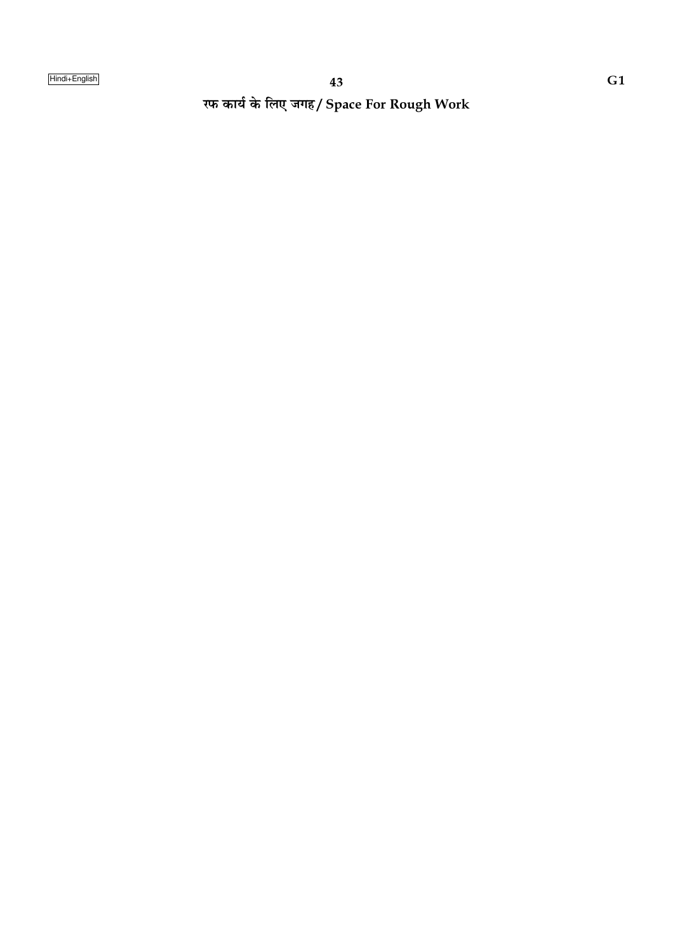रफ कार्य के लिए जगह/ Space For Rough Work